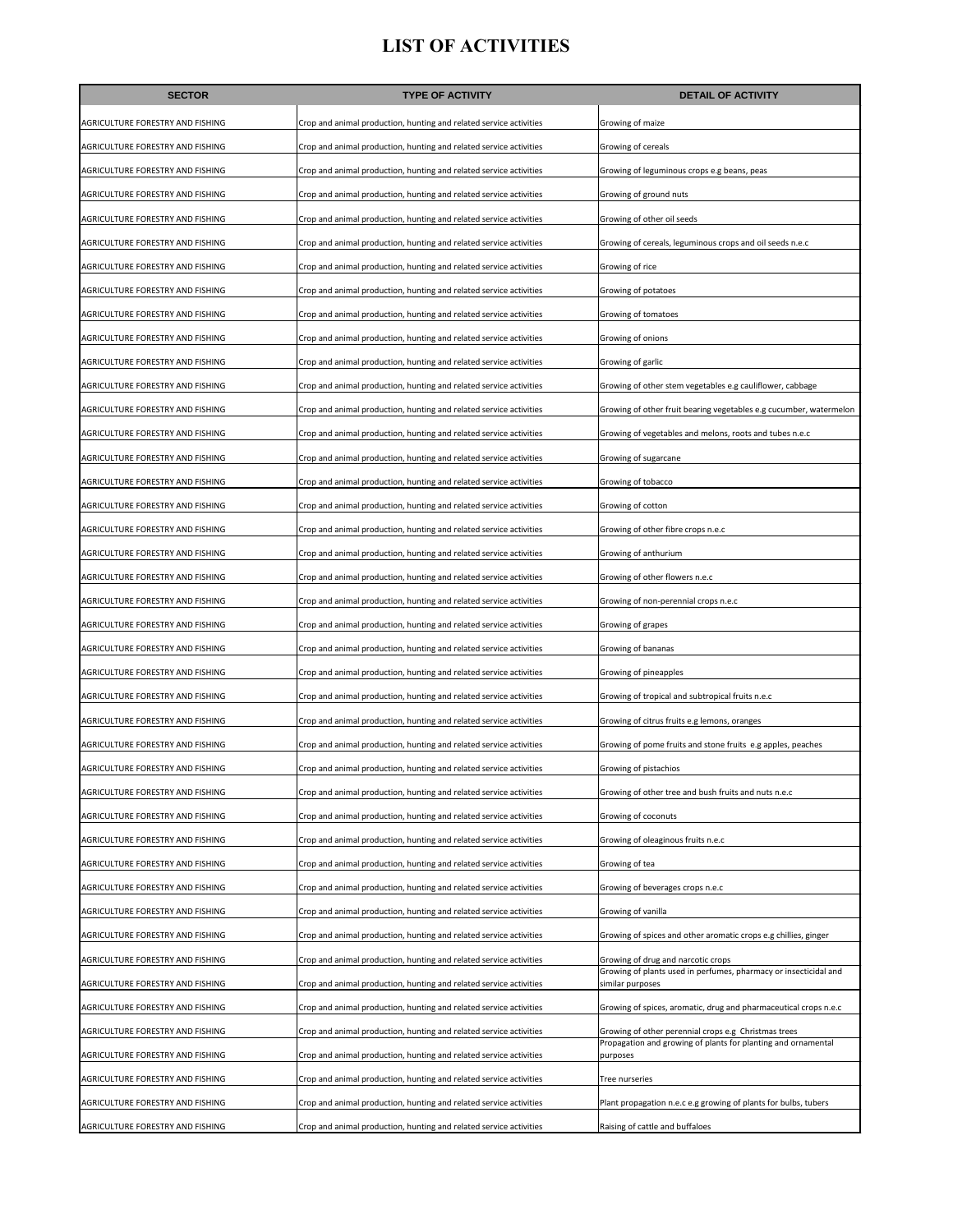| <b>SECTOR</b>                           | <b>TYPE OF ACTIVITY</b>                                            | <b>DETAIL OF ACTIVITY</b>                                                            |
|-----------------------------------------|--------------------------------------------------------------------|--------------------------------------------------------------------------------------|
| AGRICULTURE FORESTRY AND FISHING        | Crop and animal production, hunting and related service activities | Growing of maize                                                                     |
| AGRICULTURE FORESTRY AND FISHING        | Crop and animal production, hunting and related service activities | Growing of cereals                                                                   |
| AGRICULTURE FORESTRY AND FISHING        | Crop and animal production, hunting and related service activities | Growing of leguminous crops e.g beans, peas                                          |
| AGRICULTURE FORESTRY AND FISHING        | Crop and animal production, hunting and related service activities | Growing of ground nuts                                                               |
| AGRICULTURE FORESTRY AND FISHING        | Crop and animal production, hunting and related service activities | Growing of other oil seeds                                                           |
| AGRICULTURE FORESTRY AND FISHING        | Crop and animal production, hunting and related service activities | Growing of cereals, leguminous crops and oil seeds n.e.c                             |
| AGRICULTURE FORESTRY AND FISHING        | Crop and animal production, hunting and related service activities | Growing of rice                                                                      |
| AGRICULTURE FORESTRY AND FISHING        | Crop and animal production, hunting and related service activities | Growing of potatoes                                                                  |
| AGRICULTURE FORESTRY AND FISHING        | Crop and animal production, hunting and related service activities | Growing of tomatoes                                                                  |
| AGRICULTURE FORESTRY AND FISHING        | Crop and animal production, hunting and related service activities | Growing of onions                                                                    |
| AGRICULTURE FORESTRY AND FISHING        | Crop and animal production, hunting and related service activities | Growing of garlic                                                                    |
| AGRICULTURE FORESTRY AND FISHING        | Crop and animal production, hunting and related service activities | Growing of other stem vegetables e.g cauliflower, cabbage                            |
| AGRICULTURE FORESTRY AND FISHING        | Crop and animal production, hunting and related service activities | Growing of other fruit bearing vegetables e.g cucumber, watermelon                   |
| AGRICULTURE FORESTRY AND FISHING        | Crop and animal production, hunting and related service activities | Growing of vegetables and melons, roots and tubes n.e.c                              |
| <b>AGRICULTURE FORESTRY AND FISHING</b> | Crop and animal production, hunting and related service activities | Growing of sugarcane                                                                 |
| AGRICULTURE FORESTRY AND FISHING        | Crop and animal production, hunting and related service activities | Growing of tobacco                                                                   |
| AGRICULTURE FORESTRY AND FISHING        | Crop and animal production, hunting and related service activities | Growing of cotton                                                                    |
| AGRICULTURE FORESTRY AND FISHING        | Crop and animal production, hunting and related service activities | Growing of other fibre crops n.e.c                                                   |
| AGRICULTURE FORESTRY AND FISHING        | Crop and animal production, hunting and related service activities | Growing of anthurium                                                                 |
| AGRICULTURE FORESTRY AND FISHING        | Crop and animal production, hunting and related service activities | Growing of other flowers n.e.c                                                       |
| AGRICULTURE FORESTRY AND FISHING        | Crop and animal production, hunting and related service activities | Growing of non-perennial crops n.e.c                                                 |
| AGRICULTURE FORESTRY AND FISHING        | Crop and animal production, hunting and related service activities | Growing of grapes                                                                    |
| AGRICULTURE FORESTRY AND FISHING        | Crop and animal production, hunting and related service activities | Growing of bananas                                                                   |
| AGRICULTURE FORESTRY AND FISHING        | Crop and animal production, hunting and related service activities | Growing of pineapples                                                                |
| AGRICULTURE FORESTRY AND FISHING        | Crop and animal production, hunting and related service activities | Growing of tropical and subtropical fruits n.e.c                                     |
| AGRICULTURE FORESTRY AND FISHING        | Crop and animal production, hunting and related service activities | Growing of citrus fruits e.g lemons, oranges                                         |
| AGRICULTURE FORESTRY AND FISHING        | Crop and animal production, hunting and related service activities | Growing of pome fruits and stone fruits e.g apples, peaches                          |
| AGRICULTURE FORESTRY AND FISHING        | Crop and animal production, hunting and related service activities | Growing of pistachios                                                                |
| AGRICULTURE FORESTRY AND FISHING        | Crop and animal production, hunting and related service activities | Growing of other tree and bush fruits and nuts n.e.c                                 |
| AGRICULTURE FORESTRY AND FISHING        | Crop and animal production, hunting and related service activities | Growing of coconuts                                                                  |
| AGRICULTURE FORESTRY AND FISHING        | Crop and animal production, hunting and related service activities | Growing of oleaginous fruits n.e.c                                                   |
| AGRICULTURE FORESTRY AND FISHING        | Crop and animal production, hunting and related service activities | Growing of tea                                                                       |
| AGRICULTURE FORESTRY AND FISHING        | Crop and animal production, hunting and related service activities | Growing of beverages crops n.e.c                                                     |
| AGRICULTURE FORESTRY AND FISHING        | Crop and animal production, hunting and related service activities | Growing of vanilla                                                                   |
| AGRICULTURE FORESTRY AND FISHING        | Crop and animal production, hunting and related service activities | Growing of spices and other aromatic crops e.g chillies, ginger                      |
| AGRICULTURE FORESTRY AND FISHING        | Crop and animal production, hunting and related service activities | Growing of drug and narcotic crops                                                   |
| AGRICULTURE FORESTRY AND FISHING        | Crop and animal production, hunting and related service activities | Growing of plants used in perfumes, pharmacy or insecticidal and<br>similar purposes |
| AGRICULTURE FORESTRY AND FISHING        | Crop and animal production, hunting and related service activities | Growing of spices, aromatic, drug and pharmaceutical crops n.e.c                     |
| AGRICULTURE FORESTRY AND FISHING        | Crop and animal production, hunting and related service activities | Growing of other perennial crops e.g Christmas trees                                 |
| AGRICULTURE FORESTRY AND FISHING        | Crop and animal production, hunting and related service activities | Propagation and growing of plants for planting and ornamental<br>purposes            |
| AGRICULTURE FORESTRY AND FISHING        | Crop and animal production, hunting and related service activities | Tree nurseries                                                                       |
| AGRICULTURE FORESTRY AND FISHING        | Crop and animal production, hunting and related service activities | Plant propagation n.e.c e.g growing of plants for bulbs, tubers                      |
| AGRICULTURE FORESTRY AND FISHING        | Crop and animal production, hunting and related service activities | Raising of cattle and buffaloes                                                      |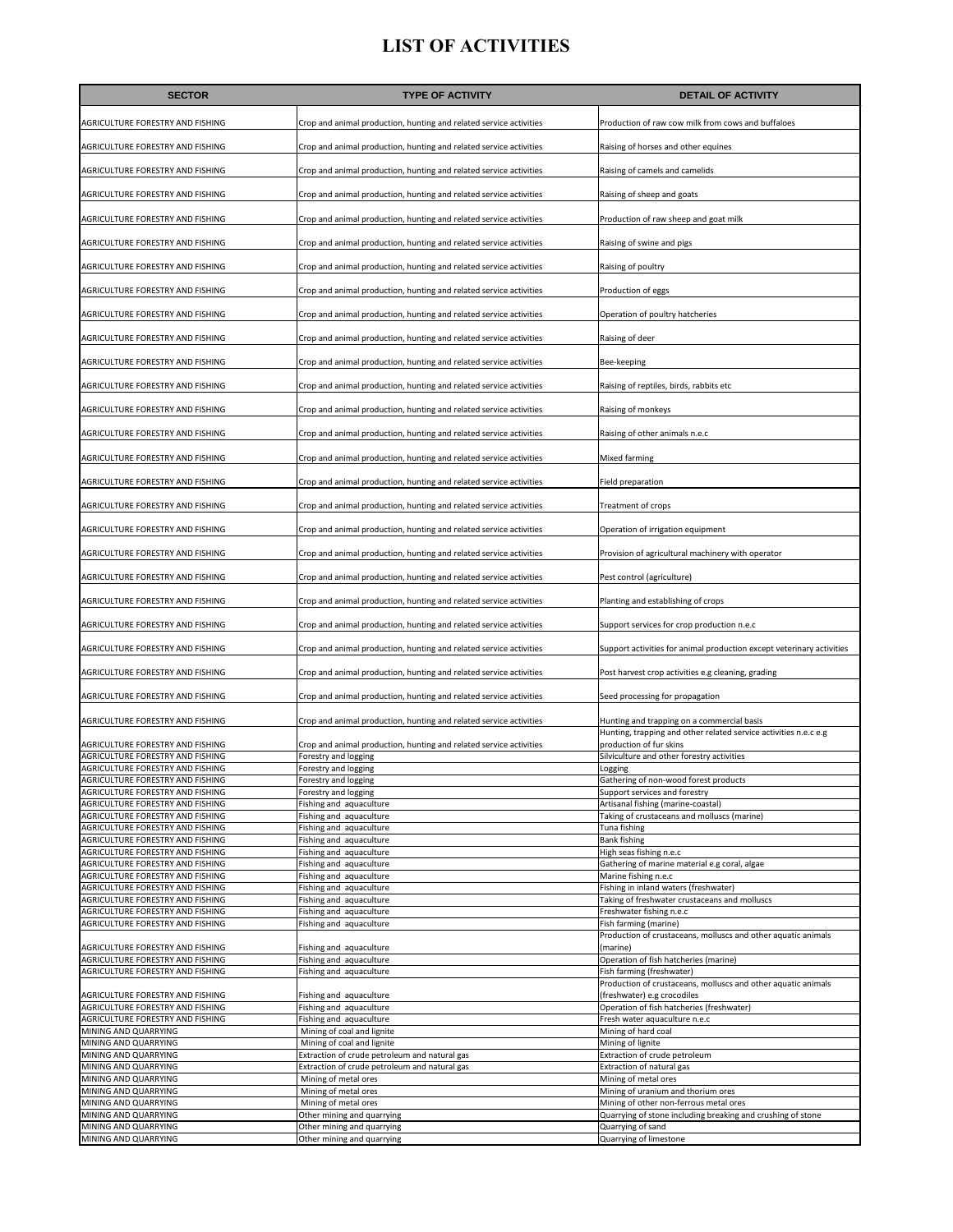| <b>SECTOR</b>                                                               | <b>TYPE OF ACTIVITY</b>                                                                        | <b>DETAIL OF ACTIVITY</b>                                                                                      |
|-----------------------------------------------------------------------------|------------------------------------------------------------------------------------------------|----------------------------------------------------------------------------------------------------------------|
| AGRICULTURE FORESTRY AND FISHING                                            | Crop and animal production, hunting and related service activities                             | Production of raw cow milk from cows and buffaloes                                                             |
| AGRICULTURE FORESTRY AND FISHING                                            | Crop and animal production, hunting and related service activities                             | Raising of horses and other equines                                                                            |
| AGRICULTURE FORESTRY AND FISHING                                            | Crop and animal production, hunting and related service activities                             | Raising of camels and camelids                                                                                 |
| AGRICULTURE FORESTRY AND FISHING                                            | Crop and animal production, hunting and related service activities                             | Raising of sheep and goats                                                                                     |
| AGRICULTURE FORESTRY AND FISHING                                            | Crop and animal production, hunting and related service activities                             | Production of raw sheep and goat milk                                                                          |
| AGRICULTURE FORESTRY AND FISHING                                            | Crop and animal production, hunting and related service activities                             | Raising of swine and pigs                                                                                      |
| AGRICULTURE FORESTRY AND FISHING                                            | Crop and animal production, hunting and related service activities                             | Raising of poultry                                                                                             |
| AGRICULTURE FORESTRY AND FISHING                                            | Crop and animal production, hunting and related service activities                             | Production of eggs                                                                                             |
| AGRICULTURE FORESTRY AND FISHING                                            | Crop and animal production, hunting and related service activities                             | Operation of poultry hatcheries                                                                                |
| AGRICULTURE FORESTRY AND FISHING                                            | Crop and animal production, hunting and related service activities                             | Raising of deer                                                                                                |
| AGRICULTURE FORESTRY AND FISHING                                            | Crop and animal production, hunting and related service activities                             | Bee-keeping                                                                                                    |
| AGRICULTURE FORESTRY AND FISHING                                            | Crop and animal production, hunting and related service activities                             | Raising of reptiles, birds, rabbits etc                                                                        |
| AGRICULTURE FORESTRY AND FISHING                                            | Crop and animal production, hunting and related service activities                             | Raising of monkeys                                                                                             |
| AGRICULTURE FORESTRY AND FISHING                                            | Crop and animal production, hunting and related service activities                             | Raising of other animals n.e.c                                                                                 |
| AGRICULTURE FORESTRY AND FISHING                                            | Crop and animal production, hunting and related service activities                             | Mixed farming                                                                                                  |
| AGRICULTURE FORESTRY AND FISHING                                            | Crop and animal production, hunting and related service activities                             | Field preparation                                                                                              |
| AGRICULTURE FORESTRY AND FISHING                                            | Crop and animal production, hunting and related service activities                             | Treatment of crops                                                                                             |
| AGRICULTURE FORESTRY AND FISHING                                            | Crop and animal production, hunting and related service activities                             | Operation of irrigation equipment                                                                              |
| AGRICULTURE FORESTRY AND FISHING                                            | Crop and animal production, hunting and related service activities                             | Provision of agricultural machinery with operator                                                              |
| AGRICULTURE FORESTRY AND FISHING                                            | Crop and animal production, hunting and related service activities                             | Pest control (agriculture)                                                                                     |
| AGRICULTURE FORESTRY AND FISHING                                            | Crop and animal production, hunting and related service activities                             | Planting and establishing of crops                                                                             |
| AGRICULTURE FORESTRY AND FISHING                                            | Crop and animal production, hunting and related service activities                             | Support services for crop production n.e.c                                                                     |
| AGRICULTURE FORESTRY AND FISHING                                            | Crop and animal production, hunting and related service activities                             | Support activities for animal production except veterinary activities                                          |
| AGRICULTURE FORESTRY AND FISHING                                            | Crop and animal production, hunting and related service activities                             | Post harvest crop activities e.g cleaning, grading                                                             |
| AGRICULTURE FORESTRY AND FISHING                                            | Crop and animal production, hunting and related service activities                             | Seed processing for propagation                                                                                |
| AGRICULTURE FORESTRY AND FISHING                                            | Crop and animal production, hunting and related service activities                             | Hunting and trapping on a commercial basis<br>Hunting, trapping and other related service activities n.e.c e.g |
| AGRICULTURE FORESTRY AND FISHING                                            | Crop and animal production, hunting and related service activities                             | production of fur skins                                                                                        |
| <b>AGRICULTURE FORESTRY AND FISHING</b><br>AGRICULTURE FORESTRY AND FISHING | Forestry and logging<br>Forestry and logging                                                   | Silviculture and other forestry activities<br>Logging                                                          |
| AGRICULTURE FORESTRY AND FISHING                                            | Forestry and logging                                                                           | Gathering of non-wood forest products                                                                          |
| AGRICULTURE FORESTRY AND FISHING<br>AGRICULTURE FORESTRY AND FISHING        | Forestry and logging<br>Fishing and aquaculture                                                | Support services and forestry<br>Artisanal fishing (marine-coastal)                                            |
| AGRICULTURE FORESTRY AND FISHING                                            | Fishing and aquaculture                                                                        | Taking of crustaceans and molluscs (marine)                                                                    |
| AGRICULTURE FORESTRY AND FISHING                                            | Fishing and aquaculture                                                                        | Tuna fishing                                                                                                   |
| AGRICULTURE FORESTRY AND FISHING                                            | Fishing and aquaculture                                                                        | <b>Bank fishing</b>                                                                                            |
| AGRICULTURE FORESTRY AND FISHING<br>AGRICULTURE FORESTRY AND FISHING        | Fishing and aquaculture<br>Fishing and aquaculture                                             | High seas fishing n.e.c<br>Gathering of marine material e.g coral, algae                                       |
| AGRICULTURE FORESTRY AND FISHING                                            | Fishing and aquaculture                                                                        | Marine fishing n.e.c                                                                                           |
| AGRICULTURE FORESTRY AND FISHING                                            | Fishing and aquaculture                                                                        | Fishing in inland waters (freshwater)                                                                          |
| AGRICULTURE FORESTRY AND FISHING                                            | Fishing and aquaculture                                                                        | Taking of freshwater crustaceans and molluscs                                                                  |
| AGRICULTURE FORESTRY AND FISHING                                            | Fishing and aquaculture                                                                        | Freshwater fishing n.e.c<br>Fish farming (marine)                                                              |
| AGRICULTURE FORESTRY AND FISHING                                            | Fishing and aquaculture                                                                        | Production of crustaceans, molluscs and other aquatic animals                                                  |
| AGRICULTURE FORESTRY AND FISHING                                            | Fishing and aquaculture                                                                        | (marine)                                                                                                       |
| AGRICULTURE FORESTRY AND FISHING                                            | Fishing and aquaculture                                                                        | Operation of fish hatcheries (marine)                                                                          |
| AGRICULTURE FORESTRY AND FISHING                                            | Fishing and aquaculture                                                                        | Fish farming (freshwater)<br>Production of crustaceans, molluscs and other aquatic animals                     |
| AGRICULTURE FORESTRY AND FISHING                                            | Fishing and aquaculture                                                                        | (freshwater) e.g crocodiles                                                                                    |
| AGRICULTURE FORESTRY AND FISHING                                            | Fishing and aquaculture                                                                        | Operation of fish hatcheries (freshwater)                                                                      |
| AGRICULTURE FORESTRY AND FISHING                                            | Fishing and aquaculture                                                                        | Fresh water aquaculture n.e.c                                                                                  |
| MINING AND QUARRYING                                                        | Mining of coal and lignite                                                                     | Mining of hard coal                                                                                            |
| MINING AND QUARRYING                                                        | Mining of coal and lignite                                                                     | Mining of lignite                                                                                              |
| MINING AND QUARRYING<br>MINING AND QUARRYING                                | Extraction of crude petroleum and natural gas<br>Extraction of crude petroleum and natural gas | Extraction of crude petroleum<br>Extraction of natural gas                                                     |
| MINING AND QUARRYING                                                        | Mining of metal ores                                                                           | Mining of metal ores                                                                                           |
| MINING AND QUARRYING                                                        | Mining of metal ores                                                                           | Mining of uranium and thorium ores                                                                             |
| MINING AND QUARRYING                                                        | Mining of metal ores                                                                           | Mining of other non-ferrous metal ores                                                                         |
| MINING AND QUARRYING<br>MINING AND QUARRYING                                | Other mining and quarrying<br>Other mining and quarrying                                       | Quarrying of stone including breaking and crushing of stone<br>Quarrying of sand                               |
| MINING AND QUARRYING                                                        | Other mining and quarrying                                                                     | Quarrying of limestone                                                                                         |
|                                                                             |                                                                                                |                                                                                                                |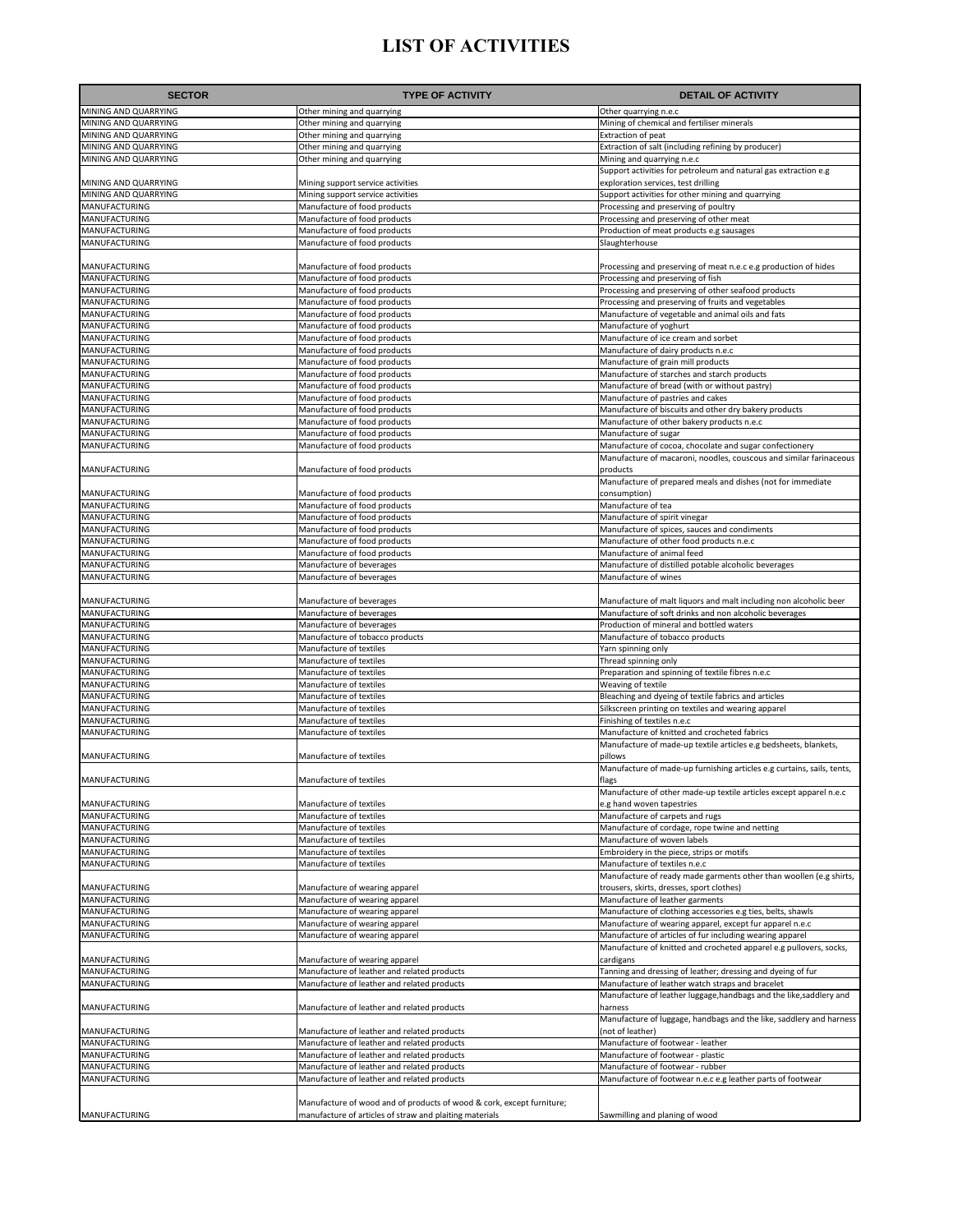| MINING AND QUARRYING<br>Other mining and quarrying<br>Other quarrying n.e.c<br>MINING AND QUARRYING<br>Other mining and quarrying<br>Mining of chemical and fertiliser minerals<br>MINING AND QUARRYING<br>Other mining and quarrying<br>Extraction of peat<br>MINING AND QUARRYING<br>Other mining and quarrying<br>Extraction of salt (including refining by producer)<br>MINING AND QUARRYING<br>Other mining and quarrying<br>Mining and quarrying n.e.c<br>Support activities for petroleum and natural gas extraction e.g<br>MINING AND QUARRYING<br>Mining support service activities<br>exploration services, test drilling<br>MINING AND QUARRYING<br>Support activities for other mining and quarrying<br>Mining support service activities<br>MANUFACTURING<br>Manufacture of food products<br>Processing and preserving of poultry<br>MANUFACTURING<br>Manufacture of food products<br>Processing and preserving of other meat<br>MANUFACTURING<br>Manufacture of food products<br>Production of meat products e.g sausages<br>MANUFACTURING<br>Manufacture of food products<br>Slaughterhouse<br>MANUFACTURING<br>Manufacture of food products<br>Processing and preserving of meat n.e.c e.g production of hides<br>MANUFACTURING<br>Manufacture of food products<br>Processing and preserving of fish<br>MANUFACTURING<br>Manufacture of food products<br>Processing and preserving of other seafood products<br>MANUFACTURING<br>Manufacture of food products<br>Processing and preserving of fruits and vegetables<br>MANUFACTURING<br>Manufacture of food products<br>Manufacture of vegetable and animal oils and fats<br>MANUFACTURING<br>Manufacture of food products<br>Manufacture of yoghurt<br>MANUFACTURING<br>Manufacture of food products<br>Manufacture of ice cream and sorbet<br>MANUFACTURING<br>Manufacture of food products<br>Manufacture of dairy products n.e.c<br>MANUFACTURING<br>Manufacture of food products<br>Manufacture of grain mill products<br>MANUFACTURING<br>Manufacture of food products<br>Manufacture of starches and starch products<br>MANUFACTURING<br>Manufacture of food products<br>Manufacture of bread (with or without pastry)<br>MANUFACTURING<br>Manufacture of food products<br>Manufacture of pastries and cakes<br>MANUFACTURING<br>Manufacture of food products<br>Manufacture of biscuits and other dry bakery products<br>MANUFACTURING<br>Manufacture of food products<br>Manufacture of other bakery products n.e.c<br>MANUFACTURING<br>Manufacture of food products<br>Manufacture of sugar<br>MANUFACTURING<br>Manufacture of food products<br>Manufacture of cocoa, chocolate and sugar confectionery<br>Manufacture of macaroni, noodles, couscous and similar farinaceous<br>MANUFACTURING<br>Manufacture of food products<br>products<br>Manufacture of prepared meals and dishes (not for immediate<br>MANUFACTURING<br>Manufacture of food products<br>consumption)<br>MANUFACTURING<br>Manufacture of food products<br>Manufacture of tea<br>MANUFACTURING<br>Manufacture of food products<br>Manufacture of spirit vinegar<br>MANUFACTURING<br>Manufacture of food products<br>Manufacture of spices, sauces and condiments<br>MANUFACTURING<br>Manufacture of food products<br>Manufacture of other food products n.e.c<br>MANUFACTURING<br>Manufacture of food products<br>Manufacture of animal feed<br>MANUFACTURING<br>Manufacture of beverages<br>Manufacture of distilled potable alcoholic beverages<br>MANUFACTURING<br>Manufacture of beverages<br>Manufacture of wines<br>MANUFACTURING<br>Manufacture of beverages<br>Manufacture of malt liquors and malt including non alcoholic beer<br>MANUFACTURING<br>Manufacture of beverages<br>Manufacture of soft drinks and non alcoholic beverages<br>MANUFACTURING<br>Manufacture of beverages<br>Production of mineral and bottled waters<br>MANUFACTURING<br>Manufacture of tobacco products<br>Manufacture of tobacco products<br>MANUFACTURING<br>Manufacture of textiles<br>Yarn spinning only<br>MANUFACTURING<br>Manufacture of textiles<br>Thread spinning only<br>MANUFACTURING<br>Manufacture of textiles<br>Preparation and spinning of textile fibres n.e.c<br>MANUFACTURING<br>Weaving of textile<br>Manufacture of textiles<br>MANUFACTURING<br>Manufacture of textiles<br>Bleaching and dyeing of textile fabrics and articles<br>MANUFACTURING<br>Silkscreen printing on textiles and wearing apparel<br>Manufacture of textiles<br>MANUFACTURING<br>Manufacture of textiles<br>Finishing of textiles n.e.c<br>MANUFACTURING<br>Manufacture of textiles<br>Manufacture of knitted and crocheted fabrics<br>Manufacture of made-up textile articles e.g bedsheets, blankets,<br>MANUFACTURING<br>Manufacture of textiles<br>pillows<br>Manufacture of made-up furnishing articles e.g curtains, sails, tents,<br>MANUFACTURING<br>Manufacture of textiles<br>Tiags<br>Manufacture of other made-up textile articles except apparel n.e.c<br>MANUFACTURING<br>Manufacture of textiles<br>e.g hand woven tapestries<br>MANUFACTURING<br>Manufacture of textiles<br>Manufacture of carpets and rugs<br>MANUFACTURING<br>Manufacture of cordage, rope twine and netting<br>Manufacture of textiles<br>MANUFACTURING<br>Manufacture of woven labels<br>Manufacture of textiles<br>MANUFACTURING<br>Manufacture of textiles<br>Embroidery in the piece, strips or motifs<br>MANUFACTURING<br>Manufacture of textiles<br>Manufacture of textiles n.e.c<br>Manufacture of ready made garments other than woollen (e.g shirts,<br>MANUFACTURING<br>Manufacture of wearing apparel<br>trousers, skirts, dresses, sport clothes)<br>MANUFACTURING<br>Manufacture of leather garments<br>Manufacture of wearing apparel<br>MANUFACTURING<br>Manufacture of clothing accessories e.g ties, belts, shawls<br>Manufacture of wearing apparel<br>MANUFACTURING<br>Manufacture of wearing apparel<br>Manufacture of wearing apparel, except fur apparel n.e.c<br>MANUFACTURING<br>Manufacture of wearing apparel<br>Manufacture of articles of fur including wearing apparel<br>Manufacture of knitted and crocheted apparel e.g pullovers, socks,<br>MANUFACTURING<br>Manufacture of wearing apparel<br>cardigans<br>MANUFACTURING<br>Manufacture of leather and related products<br>Tanning and dressing of leather; dressing and dyeing of fur<br>MANUFACTURING<br>Manufacture of leather and related products<br>Manufacture of leather watch straps and bracelet<br>Manufacture of leather luggage, handbags and the like, saddlery and<br>MANUFACTURING<br>Manufacture of leather and related products<br>harness<br>Manufacture of luggage, handbags and the like, saddlery and harness<br>MANUFACTURING<br>Manufacture of leather and related products<br>(not of leather)<br>MANUFACTURING<br>Manufacture of footwear - leather<br>Manufacture of leather and related products<br>MANUFACTURING<br>Manufacture of leather and related products<br>Manufacture of footwear - plastic<br>MANUFACTURING<br>Manufacture of leather and related products<br>Manufacture of footwear - rubber<br>MANUFACTURING<br>Manufacture of leather and related products<br>Manufacture of footwear n.e.c e.g leather parts of footwear<br>Manufacture of wood and of products of wood & cork, except furniture;<br>manufacture of articles of straw and plaiting materials<br>MANUFACTURING<br>Sawmilling and planing of wood | <b>SECTOR</b> | <b>TYPE OF ACTIVITY</b> | <b>DETAIL OF ACTIVITY</b> |
|------------------------------------------------------------------------------------------------------------------------------------------------------------------------------------------------------------------------------------------------------------------------------------------------------------------------------------------------------------------------------------------------------------------------------------------------------------------------------------------------------------------------------------------------------------------------------------------------------------------------------------------------------------------------------------------------------------------------------------------------------------------------------------------------------------------------------------------------------------------------------------------------------------------------------------------------------------------------------------------------------------------------------------------------------------------------------------------------------------------------------------------------------------------------------------------------------------------------------------------------------------------------------------------------------------------------------------------------------------------------------------------------------------------------------------------------------------------------------------------------------------------------------------------------------------------------------------------------------------------------------------------------------------------------------------------------------------------------------------------------------------------------------------------------------------------------------------------------------------------------------------------------------------------------------------------------------------------------------------------------------------------------------------------------------------------------------------------------------------------------------------------------------------------------------------------------------------------------------------------------------------------------------------------------------------------------------------------------------------------------------------------------------------------------------------------------------------------------------------------------------------------------------------------------------------------------------------------------------------------------------------------------------------------------------------------------------------------------------------------------------------------------------------------------------------------------------------------------------------------------------------------------------------------------------------------------------------------------------------------------------------------------------------------------------------------------------------------------------------------------------------------------------------------------------------------------------------------------------------------------------------------------------------------------------------------------------------------------------------------------------------------------------------------------------------------------------------------------------------------------------------------------------------------------------------------------------------------------------------------------------------------------------------------------------------------------------------------------------------------------------------------------------------------------------------------------------------------------------------------------------------------------------------------------------------------------------------------------------------------------------------------------------------------------------------------------------------------------------------------------------------------------------------------------------------------------------------------------------------------------------------------------------------------------------------------------------------------------------------------------------------------------------------------------------------------------------------------------------------------------------------------------------------------------------------------------------------------------------------------------------------------------------------------------------------------------------------------------------------------------------------------------------------------------------------------------------------------------------------------------------------------------------------------------------------------------------------------------------------------------------------------------------------------------------------------------------------------------------------------------------------------------------------------------------------------------------------------------------------------------------------------------------------------------------------------------------------------------------------------------------------------------------------------------------------------------------------------------------------------------------------------------------------------------------------------------------------------------------------------------------------------------------------------------------------------------------------------------------------------------------------------------------------------------------------------------------------------------------------------------------------------------------------------------------------------------------------------------------------------------------------------------------------------------------------------------------------------------------------------------------------------------------------------------------------------------------------------------------------------------------------------------------------------------------------------------------------------------------------------------------------------------------------------------------------------------------------------------------------------------------------------------------------------------------------------------------------------------------------------------------------------------------------------------------------------------------------------------------------------------------------------------------------------------------------------------------------------------------------------------------------------------------------------------------------------------------------------------------------------------------------------------------------------------------------------------------------------------------------------------------------------------------------------------------------------------------------------------------------------------------------------------------------------------------------------------------------------------------------------------------------------------------------------------------------------------------------------|---------------|-------------------------|---------------------------|
|                                                                                                                                                                                                                                                                                                                                                                                                                                                                                                                                                                                                                                                                                                                                                                                                                                                                                                                                                                                                                                                                                                                                                                                                                                                                                                                                                                                                                                                                                                                                                                                                                                                                                                                                                                                                                                                                                                                                                                                                                                                                                                                                                                                                                                                                                                                                                                                                                                                                                                                                                                                                                                                                                                                                                                                                                                                                                                                                                                                                                                                                                                                                                                                                                                                                                                                                                                                                                                                                                                                                                                                                                                                                                                                                                                                                                                                                                                                                                                                                                                                                                                                                                                                                                                                                                                                                                                                                                                                                                                                                                                                                                                                                                                                                                                                                                                                                                                                                                                                                                                                                                                                                                                                                                                                                                                                                                                                                                                                                                                                                                                                                                                                                                                                                                                                                                                                                                                                                                                                                                                                                                                                                                                                                                                                                                                                                                                                                                                                                                                                                                                                                                                                                                                                                                                                                                                                                                                                                                                                                                                                                                                                                                                                                                                                                                                                                                                                                                                                                  |               |                         |                           |
|                                                                                                                                                                                                                                                                                                                                                                                                                                                                                                                                                                                                                                                                                                                                                                                                                                                                                                                                                                                                                                                                                                                                                                                                                                                                                                                                                                                                                                                                                                                                                                                                                                                                                                                                                                                                                                                                                                                                                                                                                                                                                                                                                                                                                                                                                                                                                                                                                                                                                                                                                                                                                                                                                                                                                                                                                                                                                                                                                                                                                                                                                                                                                                                                                                                                                                                                                                                                                                                                                                                                                                                                                                                                                                                                                                                                                                                                                                                                                                                                                                                                                                                                                                                                                                                                                                                                                                                                                                                                                                                                                                                                                                                                                                                                                                                                                                                                                                                                                                                                                                                                                                                                                                                                                                                                                                                                                                                                                                                                                                                                                                                                                                                                                                                                                                                                                                                                                                                                                                                                                                                                                                                                                                                                                                                                                                                                                                                                                                                                                                                                                                                                                                                                                                                                                                                                                                                                                                                                                                                                                                                                                                                                                                                                                                                                                                                                                                                                                                                                  |               |                         |                           |
|                                                                                                                                                                                                                                                                                                                                                                                                                                                                                                                                                                                                                                                                                                                                                                                                                                                                                                                                                                                                                                                                                                                                                                                                                                                                                                                                                                                                                                                                                                                                                                                                                                                                                                                                                                                                                                                                                                                                                                                                                                                                                                                                                                                                                                                                                                                                                                                                                                                                                                                                                                                                                                                                                                                                                                                                                                                                                                                                                                                                                                                                                                                                                                                                                                                                                                                                                                                                                                                                                                                                                                                                                                                                                                                                                                                                                                                                                                                                                                                                                                                                                                                                                                                                                                                                                                                                                                                                                                                                                                                                                                                                                                                                                                                                                                                                                                                                                                                                                                                                                                                                                                                                                                                                                                                                                                                                                                                                                                                                                                                                                                                                                                                                                                                                                                                                                                                                                                                                                                                                                                                                                                                                                                                                                                                                                                                                                                                                                                                                                                                                                                                                                                                                                                                                                                                                                                                                                                                                                                                                                                                                                                                                                                                                                                                                                                                                                                                                                                                                  |               |                         |                           |
|                                                                                                                                                                                                                                                                                                                                                                                                                                                                                                                                                                                                                                                                                                                                                                                                                                                                                                                                                                                                                                                                                                                                                                                                                                                                                                                                                                                                                                                                                                                                                                                                                                                                                                                                                                                                                                                                                                                                                                                                                                                                                                                                                                                                                                                                                                                                                                                                                                                                                                                                                                                                                                                                                                                                                                                                                                                                                                                                                                                                                                                                                                                                                                                                                                                                                                                                                                                                                                                                                                                                                                                                                                                                                                                                                                                                                                                                                                                                                                                                                                                                                                                                                                                                                                                                                                                                                                                                                                                                                                                                                                                                                                                                                                                                                                                                                                                                                                                                                                                                                                                                                                                                                                                                                                                                                                                                                                                                                                                                                                                                                                                                                                                                                                                                                                                                                                                                                                                                                                                                                                                                                                                                                                                                                                                                                                                                                                                                                                                                                                                                                                                                                                                                                                                                                                                                                                                                                                                                                                                                                                                                                                                                                                                                                                                                                                                                                                                                                                                                  |               |                         |                           |
|                                                                                                                                                                                                                                                                                                                                                                                                                                                                                                                                                                                                                                                                                                                                                                                                                                                                                                                                                                                                                                                                                                                                                                                                                                                                                                                                                                                                                                                                                                                                                                                                                                                                                                                                                                                                                                                                                                                                                                                                                                                                                                                                                                                                                                                                                                                                                                                                                                                                                                                                                                                                                                                                                                                                                                                                                                                                                                                                                                                                                                                                                                                                                                                                                                                                                                                                                                                                                                                                                                                                                                                                                                                                                                                                                                                                                                                                                                                                                                                                                                                                                                                                                                                                                                                                                                                                                                                                                                                                                                                                                                                                                                                                                                                                                                                                                                                                                                                                                                                                                                                                                                                                                                                                                                                                                                                                                                                                                                                                                                                                                                                                                                                                                                                                                                                                                                                                                                                                                                                                                                                                                                                                                                                                                                                                                                                                                                                                                                                                                                                                                                                                                                                                                                                                                                                                                                                                                                                                                                                                                                                                                                                                                                                                                                                                                                                                                                                                                                                                  |               |                         |                           |
|                                                                                                                                                                                                                                                                                                                                                                                                                                                                                                                                                                                                                                                                                                                                                                                                                                                                                                                                                                                                                                                                                                                                                                                                                                                                                                                                                                                                                                                                                                                                                                                                                                                                                                                                                                                                                                                                                                                                                                                                                                                                                                                                                                                                                                                                                                                                                                                                                                                                                                                                                                                                                                                                                                                                                                                                                                                                                                                                                                                                                                                                                                                                                                                                                                                                                                                                                                                                                                                                                                                                                                                                                                                                                                                                                                                                                                                                                                                                                                                                                                                                                                                                                                                                                                                                                                                                                                                                                                                                                                                                                                                                                                                                                                                                                                                                                                                                                                                                                                                                                                                                                                                                                                                                                                                                                                                                                                                                                                                                                                                                                                                                                                                                                                                                                                                                                                                                                                                                                                                                                                                                                                                                                                                                                                                                                                                                                                                                                                                                                                                                                                                                                                                                                                                                                                                                                                                                                                                                                                                                                                                                                                                                                                                                                                                                                                                                                                                                                                                                  |               |                         |                           |
|                                                                                                                                                                                                                                                                                                                                                                                                                                                                                                                                                                                                                                                                                                                                                                                                                                                                                                                                                                                                                                                                                                                                                                                                                                                                                                                                                                                                                                                                                                                                                                                                                                                                                                                                                                                                                                                                                                                                                                                                                                                                                                                                                                                                                                                                                                                                                                                                                                                                                                                                                                                                                                                                                                                                                                                                                                                                                                                                                                                                                                                                                                                                                                                                                                                                                                                                                                                                                                                                                                                                                                                                                                                                                                                                                                                                                                                                                                                                                                                                                                                                                                                                                                                                                                                                                                                                                                                                                                                                                                                                                                                                                                                                                                                                                                                                                                                                                                                                                                                                                                                                                                                                                                                                                                                                                                                                                                                                                                                                                                                                                                                                                                                                                                                                                                                                                                                                                                                                                                                                                                                                                                                                                                                                                                                                                                                                                                                                                                                                                                                                                                                                                                                                                                                                                                                                                                                                                                                                                                                                                                                                                                                                                                                                                                                                                                                                                                                                                                                                  |               |                         |                           |
|                                                                                                                                                                                                                                                                                                                                                                                                                                                                                                                                                                                                                                                                                                                                                                                                                                                                                                                                                                                                                                                                                                                                                                                                                                                                                                                                                                                                                                                                                                                                                                                                                                                                                                                                                                                                                                                                                                                                                                                                                                                                                                                                                                                                                                                                                                                                                                                                                                                                                                                                                                                                                                                                                                                                                                                                                                                                                                                                                                                                                                                                                                                                                                                                                                                                                                                                                                                                                                                                                                                                                                                                                                                                                                                                                                                                                                                                                                                                                                                                                                                                                                                                                                                                                                                                                                                                                                                                                                                                                                                                                                                                                                                                                                                                                                                                                                                                                                                                                                                                                                                                                                                                                                                                                                                                                                                                                                                                                                                                                                                                                                                                                                                                                                                                                                                                                                                                                                                                                                                                                                                                                                                                                                                                                                                                                                                                                                                                                                                                                                                                                                                                                                                                                                                                                                                                                                                                                                                                                                                                                                                                                                                                                                                                                                                                                                                                                                                                                                                                  |               |                         |                           |
|                                                                                                                                                                                                                                                                                                                                                                                                                                                                                                                                                                                                                                                                                                                                                                                                                                                                                                                                                                                                                                                                                                                                                                                                                                                                                                                                                                                                                                                                                                                                                                                                                                                                                                                                                                                                                                                                                                                                                                                                                                                                                                                                                                                                                                                                                                                                                                                                                                                                                                                                                                                                                                                                                                                                                                                                                                                                                                                                                                                                                                                                                                                                                                                                                                                                                                                                                                                                                                                                                                                                                                                                                                                                                                                                                                                                                                                                                                                                                                                                                                                                                                                                                                                                                                                                                                                                                                                                                                                                                                                                                                                                                                                                                                                                                                                                                                                                                                                                                                                                                                                                                                                                                                                                                                                                                                                                                                                                                                                                                                                                                                                                                                                                                                                                                                                                                                                                                                                                                                                                                                                                                                                                                                                                                                                                                                                                                                                                                                                                                                                                                                                                                                                                                                                                                                                                                                                                                                                                                                                                                                                                                                                                                                                                                                                                                                                                                                                                                                                                  |               |                         |                           |
|                                                                                                                                                                                                                                                                                                                                                                                                                                                                                                                                                                                                                                                                                                                                                                                                                                                                                                                                                                                                                                                                                                                                                                                                                                                                                                                                                                                                                                                                                                                                                                                                                                                                                                                                                                                                                                                                                                                                                                                                                                                                                                                                                                                                                                                                                                                                                                                                                                                                                                                                                                                                                                                                                                                                                                                                                                                                                                                                                                                                                                                                                                                                                                                                                                                                                                                                                                                                                                                                                                                                                                                                                                                                                                                                                                                                                                                                                                                                                                                                                                                                                                                                                                                                                                                                                                                                                                                                                                                                                                                                                                                                                                                                                                                                                                                                                                                                                                                                                                                                                                                                                                                                                                                                                                                                                                                                                                                                                                                                                                                                                                                                                                                                                                                                                                                                                                                                                                                                                                                                                                                                                                                                                                                                                                                                                                                                                                                                                                                                                                                                                                                                                                                                                                                                                                                                                                                                                                                                                                                                                                                                                                                                                                                                                                                                                                                                                                                                                                                                  |               |                         |                           |
|                                                                                                                                                                                                                                                                                                                                                                                                                                                                                                                                                                                                                                                                                                                                                                                                                                                                                                                                                                                                                                                                                                                                                                                                                                                                                                                                                                                                                                                                                                                                                                                                                                                                                                                                                                                                                                                                                                                                                                                                                                                                                                                                                                                                                                                                                                                                                                                                                                                                                                                                                                                                                                                                                                                                                                                                                                                                                                                                                                                                                                                                                                                                                                                                                                                                                                                                                                                                                                                                                                                                                                                                                                                                                                                                                                                                                                                                                                                                                                                                                                                                                                                                                                                                                                                                                                                                                                                                                                                                                                                                                                                                                                                                                                                                                                                                                                                                                                                                                                                                                                                                                                                                                                                                                                                                                                                                                                                                                                                                                                                                                                                                                                                                                                                                                                                                                                                                                                                                                                                                                                                                                                                                                                                                                                                                                                                                                                                                                                                                                                                                                                                                                                                                                                                                                                                                                                                                                                                                                                                                                                                                                                                                                                                                                                                                                                                                                                                                                                                                  |               |                         |                           |
|                                                                                                                                                                                                                                                                                                                                                                                                                                                                                                                                                                                                                                                                                                                                                                                                                                                                                                                                                                                                                                                                                                                                                                                                                                                                                                                                                                                                                                                                                                                                                                                                                                                                                                                                                                                                                                                                                                                                                                                                                                                                                                                                                                                                                                                                                                                                                                                                                                                                                                                                                                                                                                                                                                                                                                                                                                                                                                                                                                                                                                                                                                                                                                                                                                                                                                                                                                                                                                                                                                                                                                                                                                                                                                                                                                                                                                                                                                                                                                                                                                                                                                                                                                                                                                                                                                                                                                                                                                                                                                                                                                                                                                                                                                                                                                                                                                                                                                                                                                                                                                                                                                                                                                                                                                                                                                                                                                                                                                                                                                                                                                                                                                                                                                                                                                                                                                                                                                                                                                                                                                                                                                                                                                                                                                                                                                                                                                                                                                                                                                                                                                                                                                                                                                                                                                                                                                                                                                                                                                                                                                                                                                                                                                                                                                                                                                                                                                                                                                                                  |               |                         |                           |
|                                                                                                                                                                                                                                                                                                                                                                                                                                                                                                                                                                                                                                                                                                                                                                                                                                                                                                                                                                                                                                                                                                                                                                                                                                                                                                                                                                                                                                                                                                                                                                                                                                                                                                                                                                                                                                                                                                                                                                                                                                                                                                                                                                                                                                                                                                                                                                                                                                                                                                                                                                                                                                                                                                                                                                                                                                                                                                                                                                                                                                                                                                                                                                                                                                                                                                                                                                                                                                                                                                                                                                                                                                                                                                                                                                                                                                                                                                                                                                                                                                                                                                                                                                                                                                                                                                                                                                                                                                                                                                                                                                                                                                                                                                                                                                                                                                                                                                                                                                                                                                                                                                                                                                                                                                                                                                                                                                                                                                                                                                                                                                                                                                                                                                                                                                                                                                                                                                                                                                                                                                                                                                                                                                                                                                                                                                                                                                                                                                                                                                                                                                                                                                                                                                                                                                                                                                                                                                                                                                                                                                                                                                                                                                                                                                                                                                                                                                                                                                                                  |               |                         |                           |
|                                                                                                                                                                                                                                                                                                                                                                                                                                                                                                                                                                                                                                                                                                                                                                                                                                                                                                                                                                                                                                                                                                                                                                                                                                                                                                                                                                                                                                                                                                                                                                                                                                                                                                                                                                                                                                                                                                                                                                                                                                                                                                                                                                                                                                                                                                                                                                                                                                                                                                                                                                                                                                                                                                                                                                                                                                                                                                                                                                                                                                                                                                                                                                                                                                                                                                                                                                                                                                                                                                                                                                                                                                                                                                                                                                                                                                                                                                                                                                                                                                                                                                                                                                                                                                                                                                                                                                                                                                                                                                                                                                                                                                                                                                                                                                                                                                                                                                                                                                                                                                                                                                                                                                                                                                                                                                                                                                                                                                                                                                                                                                                                                                                                                                                                                                                                                                                                                                                                                                                                                                                                                                                                                                                                                                                                                                                                                                                                                                                                                                                                                                                                                                                                                                                                                                                                                                                                                                                                                                                                                                                                                                                                                                                                                                                                                                                                                                                                                                                                  |               |                         |                           |
|                                                                                                                                                                                                                                                                                                                                                                                                                                                                                                                                                                                                                                                                                                                                                                                                                                                                                                                                                                                                                                                                                                                                                                                                                                                                                                                                                                                                                                                                                                                                                                                                                                                                                                                                                                                                                                                                                                                                                                                                                                                                                                                                                                                                                                                                                                                                                                                                                                                                                                                                                                                                                                                                                                                                                                                                                                                                                                                                                                                                                                                                                                                                                                                                                                                                                                                                                                                                                                                                                                                                                                                                                                                                                                                                                                                                                                                                                                                                                                                                                                                                                                                                                                                                                                                                                                                                                                                                                                                                                                                                                                                                                                                                                                                                                                                                                                                                                                                                                                                                                                                                                                                                                                                                                                                                                                                                                                                                                                                                                                                                                                                                                                                                                                                                                                                                                                                                                                                                                                                                                                                                                                                                                                                                                                                                                                                                                                                                                                                                                                                                                                                                                                                                                                                                                                                                                                                                                                                                                                                                                                                                                                                                                                                                                                                                                                                                                                                                                                                                  |               |                         |                           |
|                                                                                                                                                                                                                                                                                                                                                                                                                                                                                                                                                                                                                                                                                                                                                                                                                                                                                                                                                                                                                                                                                                                                                                                                                                                                                                                                                                                                                                                                                                                                                                                                                                                                                                                                                                                                                                                                                                                                                                                                                                                                                                                                                                                                                                                                                                                                                                                                                                                                                                                                                                                                                                                                                                                                                                                                                                                                                                                                                                                                                                                                                                                                                                                                                                                                                                                                                                                                                                                                                                                                                                                                                                                                                                                                                                                                                                                                                                                                                                                                                                                                                                                                                                                                                                                                                                                                                                                                                                                                                                                                                                                                                                                                                                                                                                                                                                                                                                                                                                                                                                                                                                                                                                                                                                                                                                                                                                                                                                                                                                                                                                                                                                                                                                                                                                                                                                                                                                                                                                                                                                                                                                                                                                                                                                                                                                                                                                                                                                                                                                                                                                                                                                                                                                                                                                                                                                                                                                                                                                                                                                                                                                                                                                                                                                                                                                                                                                                                                                                                  |               |                         |                           |
|                                                                                                                                                                                                                                                                                                                                                                                                                                                                                                                                                                                                                                                                                                                                                                                                                                                                                                                                                                                                                                                                                                                                                                                                                                                                                                                                                                                                                                                                                                                                                                                                                                                                                                                                                                                                                                                                                                                                                                                                                                                                                                                                                                                                                                                                                                                                                                                                                                                                                                                                                                                                                                                                                                                                                                                                                                                                                                                                                                                                                                                                                                                                                                                                                                                                                                                                                                                                                                                                                                                                                                                                                                                                                                                                                                                                                                                                                                                                                                                                                                                                                                                                                                                                                                                                                                                                                                                                                                                                                                                                                                                                                                                                                                                                                                                                                                                                                                                                                                                                                                                                                                                                                                                                                                                                                                                                                                                                                                                                                                                                                                                                                                                                                                                                                                                                                                                                                                                                                                                                                                                                                                                                                                                                                                                                                                                                                                                                                                                                                                                                                                                                                                                                                                                                                                                                                                                                                                                                                                                                                                                                                                                                                                                                                                                                                                                                                                                                                                                                  |               |                         |                           |
|                                                                                                                                                                                                                                                                                                                                                                                                                                                                                                                                                                                                                                                                                                                                                                                                                                                                                                                                                                                                                                                                                                                                                                                                                                                                                                                                                                                                                                                                                                                                                                                                                                                                                                                                                                                                                                                                                                                                                                                                                                                                                                                                                                                                                                                                                                                                                                                                                                                                                                                                                                                                                                                                                                                                                                                                                                                                                                                                                                                                                                                                                                                                                                                                                                                                                                                                                                                                                                                                                                                                                                                                                                                                                                                                                                                                                                                                                                                                                                                                                                                                                                                                                                                                                                                                                                                                                                                                                                                                                                                                                                                                                                                                                                                                                                                                                                                                                                                                                                                                                                                                                                                                                                                                                                                                                                                                                                                                                                                                                                                                                                                                                                                                                                                                                                                                                                                                                                                                                                                                                                                                                                                                                                                                                                                                                                                                                                                                                                                                                                                                                                                                                                                                                                                                                                                                                                                                                                                                                                                                                                                                                                                                                                                                                                                                                                                                                                                                                                                                  |               |                         |                           |
|                                                                                                                                                                                                                                                                                                                                                                                                                                                                                                                                                                                                                                                                                                                                                                                                                                                                                                                                                                                                                                                                                                                                                                                                                                                                                                                                                                                                                                                                                                                                                                                                                                                                                                                                                                                                                                                                                                                                                                                                                                                                                                                                                                                                                                                                                                                                                                                                                                                                                                                                                                                                                                                                                                                                                                                                                                                                                                                                                                                                                                                                                                                                                                                                                                                                                                                                                                                                                                                                                                                                                                                                                                                                                                                                                                                                                                                                                                                                                                                                                                                                                                                                                                                                                                                                                                                                                                                                                                                                                                                                                                                                                                                                                                                                                                                                                                                                                                                                                                                                                                                                                                                                                                                                                                                                                                                                                                                                                                                                                                                                                                                                                                                                                                                                                                                                                                                                                                                                                                                                                                                                                                                                                                                                                                                                                                                                                                                                                                                                                                                                                                                                                                                                                                                                                                                                                                                                                                                                                                                                                                                                                                                                                                                                                                                                                                                                                                                                                                                                  |               |                         |                           |
|                                                                                                                                                                                                                                                                                                                                                                                                                                                                                                                                                                                                                                                                                                                                                                                                                                                                                                                                                                                                                                                                                                                                                                                                                                                                                                                                                                                                                                                                                                                                                                                                                                                                                                                                                                                                                                                                                                                                                                                                                                                                                                                                                                                                                                                                                                                                                                                                                                                                                                                                                                                                                                                                                                                                                                                                                                                                                                                                                                                                                                                                                                                                                                                                                                                                                                                                                                                                                                                                                                                                                                                                                                                                                                                                                                                                                                                                                                                                                                                                                                                                                                                                                                                                                                                                                                                                                                                                                                                                                                                                                                                                                                                                                                                                                                                                                                                                                                                                                                                                                                                                                                                                                                                                                                                                                                                                                                                                                                                                                                                                                                                                                                                                                                                                                                                                                                                                                                                                                                                                                                                                                                                                                                                                                                                                                                                                                                                                                                                                                                                                                                                                                                                                                                                                                                                                                                                                                                                                                                                                                                                                                                                                                                                                                                                                                                                                                                                                                                                                  |               |                         |                           |
|                                                                                                                                                                                                                                                                                                                                                                                                                                                                                                                                                                                                                                                                                                                                                                                                                                                                                                                                                                                                                                                                                                                                                                                                                                                                                                                                                                                                                                                                                                                                                                                                                                                                                                                                                                                                                                                                                                                                                                                                                                                                                                                                                                                                                                                                                                                                                                                                                                                                                                                                                                                                                                                                                                                                                                                                                                                                                                                                                                                                                                                                                                                                                                                                                                                                                                                                                                                                                                                                                                                                                                                                                                                                                                                                                                                                                                                                                                                                                                                                                                                                                                                                                                                                                                                                                                                                                                                                                                                                                                                                                                                                                                                                                                                                                                                                                                                                                                                                                                                                                                                                                                                                                                                                                                                                                                                                                                                                                                                                                                                                                                                                                                                                                                                                                                                                                                                                                                                                                                                                                                                                                                                                                                                                                                                                                                                                                                                                                                                                                                                                                                                                                                                                                                                                                                                                                                                                                                                                                                                                                                                                                                                                                                                                                                                                                                                                                                                                                                                                  |               |                         |                           |
|                                                                                                                                                                                                                                                                                                                                                                                                                                                                                                                                                                                                                                                                                                                                                                                                                                                                                                                                                                                                                                                                                                                                                                                                                                                                                                                                                                                                                                                                                                                                                                                                                                                                                                                                                                                                                                                                                                                                                                                                                                                                                                                                                                                                                                                                                                                                                                                                                                                                                                                                                                                                                                                                                                                                                                                                                                                                                                                                                                                                                                                                                                                                                                                                                                                                                                                                                                                                                                                                                                                                                                                                                                                                                                                                                                                                                                                                                                                                                                                                                                                                                                                                                                                                                                                                                                                                                                                                                                                                                                                                                                                                                                                                                                                                                                                                                                                                                                                                                                                                                                                                                                                                                                                                                                                                                                                                                                                                                                                                                                                                                                                                                                                                                                                                                                                                                                                                                                                                                                                                                                                                                                                                                                                                                                                                                                                                                                                                                                                                                                                                                                                                                                                                                                                                                                                                                                                                                                                                                                                                                                                                                                                                                                                                                                                                                                                                                                                                                                                                  |               |                         |                           |
|                                                                                                                                                                                                                                                                                                                                                                                                                                                                                                                                                                                                                                                                                                                                                                                                                                                                                                                                                                                                                                                                                                                                                                                                                                                                                                                                                                                                                                                                                                                                                                                                                                                                                                                                                                                                                                                                                                                                                                                                                                                                                                                                                                                                                                                                                                                                                                                                                                                                                                                                                                                                                                                                                                                                                                                                                                                                                                                                                                                                                                                                                                                                                                                                                                                                                                                                                                                                                                                                                                                                                                                                                                                                                                                                                                                                                                                                                                                                                                                                                                                                                                                                                                                                                                                                                                                                                                                                                                                                                                                                                                                                                                                                                                                                                                                                                                                                                                                                                                                                                                                                                                                                                                                                                                                                                                                                                                                                                                                                                                                                                                                                                                                                                                                                                                                                                                                                                                                                                                                                                                                                                                                                                                                                                                                                                                                                                                                                                                                                                                                                                                                                                                                                                                                                                                                                                                                                                                                                                                                                                                                                                                                                                                                                                                                                                                                                                                                                                                                                  |               |                         |                           |
|                                                                                                                                                                                                                                                                                                                                                                                                                                                                                                                                                                                                                                                                                                                                                                                                                                                                                                                                                                                                                                                                                                                                                                                                                                                                                                                                                                                                                                                                                                                                                                                                                                                                                                                                                                                                                                                                                                                                                                                                                                                                                                                                                                                                                                                                                                                                                                                                                                                                                                                                                                                                                                                                                                                                                                                                                                                                                                                                                                                                                                                                                                                                                                                                                                                                                                                                                                                                                                                                                                                                                                                                                                                                                                                                                                                                                                                                                                                                                                                                                                                                                                                                                                                                                                                                                                                                                                                                                                                                                                                                                                                                                                                                                                                                                                                                                                                                                                                                                                                                                                                                                                                                                                                                                                                                                                                                                                                                                                                                                                                                                                                                                                                                                                                                                                                                                                                                                                                                                                                                                                                                                                                                                                                                                                                                                                                                                                                                                                                                                                                                                                                                                                                                                                                                                                                                                                                                                                                                                                                                                                                                                                                                                                                                                                                                                                                                                                                                                                                                  |               |                         |                           |
|                                                                                                                                                                                                                                                                                                                                                                                                                                                                                                                                                                                                                                                                                                                                                                                                                                                                                                                                                                                                                                                                                                                                                                                                                                                                                                                                                                                                                                                                                                                                                                                                                                                                                                                                                                                                                                                                                                                                                                                                                                                                                                                                                                                                                                                                                                                                                                                                                                                                                                                                                                                                                                                                                                                                                                                                                                                                                                                                                                                                                                                                                                                                                                                                                                                                                                                                                                                                                                                                                                                                                                                                                                                                                                                                                                                                                                                                                                                                                                                                                                                                                                                                                                                                                                                                                                                                                                                                                                                                                                                                                                                                                                                                                                                                                                                                                                                                                                                                                                                                                                                                                                                                                                                                                                                                                                                                                                                                                                                                                                                                                                                                                                                                                                                                                                                                                                                                                                                                                                                                                                                                                                                                                                                                                                                                                                                                                                                                                                                                                                                                                                                                                                                                                                                                                                                                                                                                                                                                                                                                                                                                                                                                                                                                                                                                                                                                                                                                                                                                  |               |                         |                           |
|                                                                                                                                                                                                                                                                                                                                                                                                                                                                                                                                                                                                                                                                                                                                                                                                                                                                                                                                                                                                                                                                                                                                                                                                                                                                                                                                                                                                                                                                                                                                                                                                                                                                                                                                                                                                                                                                                                                                                                                                                                                                                                                                                                                                                                                                                                                                                                                                                                                                                                                                                                                                                                                                                                                                                                                                                                                                                                                                                                                                                                                                                                                                                                                                                                                                                                                                                                                                                                                                                                                                                                                                                                                                                                                                                                                                                                                                                                                                                                                                                                                                                                                                                                                                                                                                                                                                                                                                                                                                                                                                                                                                                                                                                                                                                                                                                                                                                                                                                                                                                                                                                                                                                                                                                                                                                                                                                                                                                                                                                                                                                                                                                                                                                                                                                                                                                                                                                                                                                                                                                                                                                                                                                                                                                                                                                                                                                                                                                                                                                                                                                                                                                                                                                                                                                                                                                                                                                                                                                                                                                                                                                                                                                                                                                                                                                                                                                                                                                                                                  |               |                         |                           |
|                                                                                                                                                                                                                                                                                                                                                                                                                                                                                                                                                                                                                                                                                                                                                                                                                                                                                                                                                                                                                                                                                                                                                                                                                                                                                                                                                                                                                                                                                                                                                                                                                                                                                                                                                                                                                                                                                                                                                                                                                                                                                                                                                                                                                                                                                                                                                                                                                                                                                                                                                                                                                                                                                                                                                                                                                                                                                                                                                                                                                                                                                                                                                                                                                                                                                                                                                                                                                                                                                                                                                                                                                                                                                                                                                                                                                                                                                                                                                                                                                                                                                                                                                                                                                                                                                                                                                                                                                                                                                                                                                                                                                                                                                                                                                                                                                                                                                                                                                                                                                                                                                                                                                                                                                                                                                                                                                                                                                                                                                                                                                                                                                                                                                                                                                                                                                                                                                                                                                                                                                                                                                                                                                                                                                                                                                                                                                                                                                                                                                                                                                                                                                                                                                                                                                                                                                                                                                                                                                                                                                                                                                                                                                                                                                                                                                                                                                                                                                                                                  |               |                         |                           |
|                                                                                                                                                                                                                                                                                                                                                                                                                                                                                                                                                                                                                                                                                                                                                                                                                                                                                                                                                                                                                                                                                                                                                                                                                                                                                                                                                                                                                                                                                                                                                                                                                                                                                                                                                                                                                                                                                                                                                                                                                                                                                                                                                                                                                                                                                                                                                                                                                                                                                                                                                                                                                                                                                                                                                                                                                                                                                                                                                                                                                                                                                                                                                                                                                                                                                                                                                                                                                                                                                                                                                                                                                                                                                                                                                                                                                                                                                                                                                                                                                                                                                                                                                                                                                                                                                                                                                                                                                                                                                                                                                                                                                                                                                                                                                                                                                                                                                                                                                                                                                                                                                                                                                                                                                                                                                                                                                                                                                                                                                                                                                                                                                                                                                                                                                                                                                                                                                                                                                                                                                                                                                                                                                                                                                                                                                                                                                                                                                                                                                                                                                                                                                                                                                                                                                                                                                                                                                                                                                                                                                                                                                                                                                                                                                                                                                                                                                                                                                                                                  |               |                         |                           |
|                                                                                                                                                                                                                                                                                                                                                                                                                                                                                                                                                                                                                                                                                                                                                                                                                                                                                                                                                                                                                                                                                                                                                                                                                                                                                                                                                                                                                                                                                                                                                                                                                                                                                                                                                                                                                                                                                                                                                                                                                                                                                                                                                                                                                                                                                                                                                                                                                                                                                                                                                                                                                                                                                                                                                                                                                                                                                                                                                                                                                                                                                                                                                                                                                                                                                                                                                                                                                                                                                                                                                                                                                                                                                                                                                                                                                                                                                                                                                                                                                                                                                                                                                                                                                                                                                                                                                                                                                                                                                                                                                                                                                                                                                                                                                                                                                                                                                                                                                                                                                                                                                                                                                                                                                                                                                                                                                                                                                                                                                                                                                                                                                                                                                                                                                                                                                                                                                                                                                                                                                                                                                                                                                                                                                                                                                                                                                                                                                                                                                                                                                                                                                                                                                                                                                                                                                                                                                                                                                                                                                                                                                                                                                                                                                                                                                                                                                                                                                                                                  |               |                         |                           |
|                                                                                                                                                                                                                                                                                                                                                                                                                                                                                                                                                                                                                                                                                                                                                                                                                                                                                                                                                                                                                                                                                                                                                                                                                                                                                                                                                                                                                                                                                                                                                                                                                                                                                                                                                                                                                                                                                                                                                                                                                                                                                                                                                                                                                                                                                                                                                                                                                                                                                                                                                                                                                                                                                                                                                                                                                                                                                                                                                                                                                                                                                                                                                                                                                                                                                                                                                                                                                                                                                                                                                                                                                                                                                                                                                                                                                                                                                                                                                                                                                                                                                                                                                                                                                                                                                                                                                                                                                                                                                                                                                                                                                                                                                                                                                                                                                                                                                                                                                                                                                                                                                                                                                                                                                                                                                                                                                                                                                                                                                                                                                                                                                                                                                                                                                                                                                                                                                                                                                                                                                                                                                                                                                                                                                                                                                                                                                                                                                                                                                                                                                                                                                                                                                                                                                                                                                                                                                                                                                                                                                                                                                                                                                                                                                                                                                                                                                                                                                                                                  |               |                         |                           |
|                                                                                                                                                                                                                                                                                                                                                                                                                                                                                                                                                                                                                                                                                                                                                                                                                                                                                                                                                                                                                                                                                                                                                                                                                                                                                                                                                                                                                                                                                                                                                                                                                                                                                                                                                                                                                                                                                                                                                                                                                                                                                                                                                                                                                                                                                                                                                                                                                                                                                                                                                                                                                                                                                                                                                                                                                                                                                                                                                                                                                                                                                                                                                                                                                                                                                                                                                                                                                                                                                                                                                                                                                                                                                                                                                                                                                                                                                                                                                                                                                                                                                                                                                                                                                                                                                                                                                                                                                                                                                                                                                                                                                                                                                                                                                                                                                                                                                                                                                                                                                                                                                                                                                                                                                                                                                                                                                                                                                                                                                                                                                                                                                                                                                                                                                                                                                                                                                                                                                                                                                                                                                                                                                                                                                                                                                                                                                                                                                                                                                                                                                                                                                                                                                                                                                                                                                                                                                                                                                                                                                                                                                                                                                                                                                                                                                                                                                                                                                                                                  |               |                         |                           |
|                                                                                                                                                                                                                                                                                                                                                                                                                                                                                                                                                                                                                                                                                                                                                                                                                                                                                                                                                                                                                                                                                                                                                                                                                                                                                                                                                                                                                                                                                                                                                                                                                                                                                                                                                                                                                                                                                                                                                                                                                                                                                                                                                                                                                                                                                                                                                                                                                                                                                                                                                                                                                                                                                                                                                                                                                                                                                                                                                                                                                                                                                                                                                                                                                                                                                                                                                                                                                                                                                                                                                                                                                                                                                                                                                                                                                                                                                                                                                                                                                                                                                                                                                                                                                                                                                                                                                                                                                                                                                                                                                                                                                                                                                                                                                                                                                                                                                                                                                                                                                                                                                                                                                                                                                                                                                                                                                                                                                                                                                                                                                                                                                                                                                                                                                                                                                                                                                                                                                                                                                                                                                                                                                                                                                                                                                                                                                                                                                                                                                                                                                                                                                                                                                                                                                                                                                                                                                                                                                                                                                                                                                                                                                                                                                                                                                                                                                                                                                                                                  |               |                         |                           |
|                                                                                                                                                                                                                                                                                                                                                                                                                                                                                                                                                                                                                                                                                                                                                                                                                                                                                                                                                                                                                                                                                                                                                                                                                                                                                                                                                                                                                                                                                                                                                                                                                                                                                                                                                                                                                                                                                                                                                                                                                                                                                                                                                                                                                                                                                                                                                                                                                                                                                                                                                                                                                                                                                                                                                                                                                                                                                                                                                                                                                                                                                                                                                                                                                                                                                                                                                                                                                                                                                                                                                                                                                                                                                                                                                                                                                                                                                                                                                                                                                                                                                                                                                                                                                                                                                                                                                                                                                                                                                                                                                                                                                                                                                                                                                                                                                                                                                                                                                                                                                                                                                                                                                                                                                                                                                                                                                                                                                                                                                                                                                                                                                                                                                                                                                                                                                                                                                                                                                                                                                                                                                                                                                                                                                                                                                                                                                                                                                                                                                                                                                                                                                                                                                                                                                                                                                                                                                                                                                                                                                                                                                                                                                                                                                                                                                                                                                                                                                                                                  |               |                         |                           |
|                                                                                                                                                                                                                                                                                                                                                                                                                                                                                                                                                                                                                                                                                                                                                                                                                                                                                                                                                                                                                                                                                                                                                                                                                                                                                                                                                                                                                                                                                                                                                                                                                                                                                                                                                                                                                                                                                                                                                                                                                                                                                                                                                                                                                                                                                                                                                                                                                                                                                                                                                                                                                                                                                                                                                                                                                                                                                                                                                                                                                                                                                                                                                                                                                                                                                                                                                                                                                                                                                                                                                                                                                                                                                                                                                                                                                                                                                                                                                                                                                                                                                                                                                                                                                                                                                                                                                                                                                                                                                                                                                                                                                                                                                                                                                                                                                                                                                                                                                                                                                                                                                                                                                                                                                                                                                                                                                                                                                                                                                                                                                                                                                                                                                                                                                                                                                                                                                                                                                                                                                                                                                                                                                                                                                                                                                                                                                                                                                                                                                                                                                                                                                                                                                                                                                                                                                                                                                                                                                                                                                                                                                                                                                                                                                                                                                                                                                                                                                                                                  |               |                         |                           |
|                                                                                                                                                                                                                                                                                                                                                                                                                                                                                                                                                                                                                                                                                                                                                                                                                                                                                                                                                                                                                                                                                                                                                                                                                                                                                                                                                                                                                                                                                                                                                                                                                                                                                                                                                                                                                                                                                                                                                                                                                                                                                                                                                                                                                                                                                                                                                                                                                                                                                                                                                                                                                                                                                                                                                                                                                                                                                                                                                                                                                                                                                                                                                                                                                                                                                                                                                                                                                                                                                                                                                                                                                                                                                                                                                                                                                                                                                                                                                                                                                                                                                                                                                                                                                                                                                                                                                                                                                                                                                                                                                                                                                                                                                                                                                                                                                                                                                                                                                                                                                                                                                                                                                                                                                                                                                                                                                                                                                                                                                                                                                                                                                                                                                                                                                                                                                                                                                                                                                                                                                                                                                                                                                                                                                                                                                                                                                                                                                                                                                                                                                                                                                                                                                                                                                                                                                                                                                                                                                                                                                                                                                                                                                                                                                                                                                                                                                                                                                                                                  |               |                         |                           |
|                                                                                                                                                                                                                                                                                                                                                                                                                                                                                                                                                                                                                                                                                                                                                                                                                                                                                                                                                                                                                                                                                                                                                                                                                                                                                                                                                                                                                                                                                                                                                                                                                                                                                                                                                                                                                                                                                                                                                                                                                                                                                                                                                                                                                                                                                                                                                                                                                                                                                                                                                                                                                                                                                                                                                                                                                                                                                                                                                                                                                                                                                                                                                                                                                                                                                                                                                                                                                                                                                                                                                                                                                                                                                                                                                                                                                                                                                                                                                                                                                                                                                                                                                                                                                                                                                                                                                                                                                                                                                                                                                                                                                                                                                                                                                                                                                                                                                                                                                                                                                                                                                                                                                                                                                                                                                                                                                                                                                                                                                                                                                                                                                                                                                                                                                                                                                                                                                                                                                                                                                                                                                                                                                                                                                                                                                                                                                                                                                                                                                                                                                                                                                                                                                                                                                                                                                                                                                                                                                                                                                                                                                                                                                                                                                                                                                                                                                                                                                                                                  |               |                         |                           |
|                                                                                                                                                                                                                                                                                                                                                                                                                                                                                                                                                                                                                                                                                                                                                                                                                                                                                                                                                                                                                                                                                                                                                                                                                                                                                                                                                                                                                                                                                                                                                                                                                                                                                                                                                                                                                                                                                                                                                                                                                                                                                                                                                                                                                                                                                                                                                                                                                                                                                                                                                                                                                                                                                                                                                                                                                                                                                                                                                                                                                                                                                                                                                                                                                                                                                                                                                                                                                                                                                                                                                                                                                                                                                                                                                                                                                                                                                                                                                                                                                                                                                                                                                                                                                                                                                                                                                                                                                                                                                                                                                                                                                                                                                                                                                                                                                                                                                                                                                                                                                                                                                                                                                                                                                                                                                                                                                                                                                                                                                                                                                                                                                                                                                                                                                                                                                                                                                                                                                                                                                                                                                                                                                                                                                                                                                                                                                                                                                                                                                                                                                                                                                                                                                                                                                                                                                                                                                                                                                                                                                                                                                                                                                                                                                                                                                                                                                                                                                                                                  |               |                         |                           |
|                                                                                                                                                                                                                                                                                                                                                                                                                                                                                                                                                                                                                                                                                                                                                                                                                                                                                                                                                                                                                                                                                                                                                                                                                                                                                                                                                                                                                                                                                                                                                                                                                                                                                                                                                                                                                                                                                                                                                                                                                                                                                                                                                                                                                                                                                                                                                                                                                                                                                                                                                                                                                                                                                                                                                                                                                                                                                                                                                                                                                                                                                                                                                                                                                                                                                                                                                                                                                                                                                                                                                                                                                                                                                                                                                                                                                                                                                                                                                                                                                                                                                                                                                                                                                                                                                                                                                                                                                                                                                                                                                                                                                                                                                                                                                                                                                                                                                                                                                                                                                                                                                                                                                                                                                                                                                                                                                                                                                                                                                                                                                                                                                                                                                                                                                                                                                                                                                                                                                                                                                                                                                                                                                                                                                                                                                                                                                                                                                                                                                                                                                                                                                                                                                                                                                                                                                                                                                                                                                                                                                                                                                                                                                                                                                                                                                                                                                                                                                                                                  |               |                         |                           |
|                                                                                                                                                                                                                                                                                                                                                                                                                                                                                                                                                                                                                                                                                                                                                                                                                                                                                                                                                                                                                                                                                                                                                                                                                                                                                                                                                                                                                                                                                                                                                                                                                                                                                                                                                                                                                                                                                                                                                                                                                                                                                                                                                                                                                                                                                                                                                                                                                                                                                                                                                                                                                                                                                                                                                                                                                                                                                                                                                                                                                                                                                                                                                                                                                                                                                                                                                                                                                                                                                                                                                                                                                                                                                                                                                                                                                                                                                                                                                                                                                                                                                                                                                                                                                                                                                                                                                                                                                                                                                                                                                                                                                                                                                                                                                                                                                                                                                                                                                                                                                                                                                                                                                                                                                                                                                                                                                                                                                                                                                                                                                                                                                                                                                                                                                                                                                                                                                                                                                                                                                                                                                                                                                                                                                                                                                                                                                                                                                                                                                                                                                                                                                                                                                                                                                                                                                                                                                                                                                                                                                                                                                                                                                                                                                                                                                                                                                                                                                                                                  |               |                         |                           |
|                                                                                                                                                                                                                                                                                                                                                                                                                                                                                                                                                                                                                                                                                                                                                                                                                                                                                                                                                                                                                                                                                                                                                                                                                                                                                                                                                                                                                                                                                                                                                                                                                                                                                                                                                                                                                                                                                                                                                                                                                                                                                                                                                                                                                                                                                                                                                                                                                                                                                                                                                                                                                                                                                                                                                                                                                                                                                                                                                                                                                                                                                                                                                                                                                                                                                                                                                                                                                                                                                                                                                                                                                                                                                                                                                                                                                                                                                                                                                                                                                                                                                                                                                                                                                                                                                                                                                                                                                                                                                                                                                                                                                                                                                                                                                                                                                                                                                                                                                                                                                                                                                                                                                                                                                                                                                                                                                                                                                                                                                                                                                                                                                                                                                                                                                                                                                                                                                                                                                                                                                                                                                                                                                                                                                                                                                                                                                                                                                                                                                                                                                                                                                                                                                                                                                                                                                                                                                                                                                                                                                                                                                                                                                                                                                                                                                                                                                                                                                                                                  |               |                         |                           |
|                                                                                                                                                                                                                                                                                                                                                                                                                                                                                                                                                                                                                                                                                                                                                                                                                                                                                                                                                                                                                                                                                                                                                                                                                                                                                                                                                                                                                                                                                                                                                                                                                                                                                                                                                                                                                                                                                                                                                                                                                                                                                                                                                                                                                                                                                                                                                                                                                                                                                                                                                                                                                                                                                                                                                                                                                                                                                                                                                                                                                                                                                                                                                                                                                                                                                                                                                                                                                                                                                                                                                                                                                                                                                                                                                                                                                                                                                                                                                                                                                                                                                                                                                                                                                                                                                                                                                                                                                                                                                                                                                                                                                                                                                                                                                                                                                                                                                                                                                                                                                                                                                                                                                                                                                                                                                                                                                                                                                                                                                                                                                                                                                                                                                                                                                                                                                                                                                                                                                                                                                                                                                                                                                                                                                                                                                                                                                                                                                                                                                                                                                                                                                                                                                                                                                                                                                                                                                                                                                                                                                                                                                                                                                                                                                                                                                                                                                                                                                                                                  |               |                         |                           |
|                                                                                                                                                                                                                                                                                                                                                                                                                                                                                                                                                                                                                                                                                                                                                                                                                                                                                                                                                                                                                                                                                                                                                                                                                                                                                                                                                                                                                                                                                                                                                                                                                                                                                                                                                                                                                                                                                                                                                                                                                                                                                                                                                                                                                                                                                                                                                                                                                                                                                                                                                                                                                                                                                                                                                                                                                                                                                                                                                                                                                                                                                                                                                                                                                                                                                                                                                                                                                                                                                                                                                                                                                                                                                                                                                                                                                                                                                                                                                                                                                                                                                                                                                                                                                                                                                                                                                                                                                                                                                                                                                                                                                                                                                                                                                                                                                                                                                                                                                                                                                                                                                                                                                                                                                                                                                                                                                                                                                                                                                                                                                                                                                                                                                                                                                                                                                                                                                                                                                                                                                                                                                                                                                                                                                                                                                                                                                                                                                                                                                                                                                                                                                                                                                                                                                                                                                                                                                                                                                                                                                                                                                                                                                                                                                                                                                                                                                                                                                                                                  |               |                         |                           |
|                                                                                                                                                                                                                                                                                                                                                                                                                                                                                                                                                                                                                                                                                                                                                                                                                                                                                                                                                                                                                                                                                                                                                                                                                                                                                                                                                                                                                                                                                                                                                                                                                                                                                                                                                                                                                                                                                                                                                                                                                                                                                                                                                                                                                                                                                                                                                                                                                                                                                                                                                                                                                                                                                                                                                                                                                                                                                                                                                                                                                                                                                                                                                                                                                                                                                                                                                                                                                                                                                                                                                                                                                                                                                                                                                                                                                                                                                                                                                                                                                                                                                                                                                                                                                                                                                                                                                                                                                                                                                                                                                                                                                                                                                                                                                                                                                                                                                                                                                                                                                                                                                                                                                                                                                                                                                                                                                                                                                                                                                                                                                                                                                                                                                                                                                                                                                                                                                                                                                                                                                                                                                                                                                                                                                                                                                                                                                                                                                                                                                                                                                                                                                                                                                                                                                                                                                                                                                                                                                                                                                                                                                                                                                                                                                                                                                                                                                                                                                                                                  |               |                         |                           |
|                                                                                                                                                                                                                                                                                                                                                                                                                                                                                                                                                                                                                                                                                                                                                                                                                                                                                                                                                                                                                                                                                                                                                                                                                                                                                                                                                                                                                                                                                                                                                                                                                                                                                                                                                                                                                                                                                                                                                                                                                                                                                                                                                                                                                                                                                                                                                                                                                                                                                                                                                                                                                                                                                                                                                                                                                                                                                                                                                                                                                                                                                                                                                                                                                                                                                                                                                                                                                                                                                                                                                                                                                                                                                                                                                                                                                                                                                                                                                                                                                                                                                                                                                                                                                                                                                                                                                                                                                                                                                                                                                                                                                                                                                                                                                                                                                                                                                                                                                                                                                                                                                                                                                                                                                                                                                                                                                                                                                                                                                                                                                                                                                                                                                                                                                                                                                                                                                                                                                                                                                                                                                                                                                                                                                                                                                                                                                                                                                                                                                                                                                                                                                                                                                                                                                                                                                                                                                                                                                                                                                                                                                                                                                                                                                                                                                                                                                                                                                                                                  |               |                         |                           |
|                                                                                                                                                                                                                                                                                                                                                                                                                                                                                                                                                                                                                                                                                                                                                                                                                                                                                                                                                                                                                                                                                                                                                                                                                                                                                                                                                                                                                                                                                                                                                                                                                                                                                                                                                                                                                                                                                                                                                                                                                                                                                                                                                                                                                                                                                                                                                                                                                                                                                                                                                                                                                                                                                                                                                                                                                                                                                                                                                                                                                                                                                                                                                                                                                                                                                                                                                                                                                                                                                                                                                                                                                                                                                                                                                                                                                                                                                                                                                                                                                                                                                                                                                                                                                                                                                                                                                                                                                                                                                                                                                                                                                                                                                                                                                                                                                                                                                                                                                                                                                                                                                                                                                                                                                                                                                                                                                                                                                                                                                                                                                                                                                                                                                                                                                                                                                                                                                                                                                                                                                                                                                                                                                                                                                                                                                                                                                                                                                                                                                                                                                                                                                                                                                                                                                                                                                                                                                                                                                                                                                                                                                                                                                                                                                                                                                                                                                                                                                                                                  |               |                         |                           |
|                                                                                                                                                                                                                                                                                                                                                                                                                                                                                                                                                                                                                                                                                                                                                                                                                                                                                                                                                                                                                                                                                                                                                                                                                                                                                                                                                                                                                                                                                                                                                                                                                                                                                                                                                                                                                                                                                                                                                                                                                                                                                                                                                                                                                                                                                                                                                                                                                                                                                                                                                                                                                                                                                                                                                                                                                                                                                                                                                                                                                                                                                                                                                                                                                                                                                                                                                                                                                                                                                                                                                                                                                                                                                                                                                                                                                                                                                                                                                                                                                                                                                                                                                                                                                                                                                                                                                                                                                                                                                                                                                                                                                                                                                                                                                                                                                                                                                                                                                                                                                                                                                                                                                                                                                                                                                                                                                                                                                                                                                                                                                                                                                                                                                                                                                                                                                                                                                                                                                                                                                                                                                                                                                                                                                                                                                                                                                                                                                                                                                                                                                                                                                                                                                                                                                                                                                                                                                                                                                                                                                                                                                                                                                                                                                                                                                                                                                                                                                                                                  |               |                         |                           |
|                                                                                                                                                                                                                                                                                                                                                                                                                                                                                                                                                                                                                                                                                                                                                                                                                                                                                                                                                                                                                                                                                                                                                                                                                                                                                                                                                                                                                                                                                                                                                                                                                                                                                                                                                                                                                                                                                                                                                                                                                                                                                                                                                                                                                                                                                                                                                                                                                                                                                                                                                                                                                                                                                                                                                                                                                                                                                                                                                                                                                                                                                                                                                                                                                                                                                                                                                                                                                                                                                                                                                                                                                                                                                                                                                                                                                                                                                                                                                                                                                                                                                                                                                                                                                                                                                                                                                                                                                                                                                                                                                                                                                                                                                                                                                                                                                                                                                                                                                                                                                                                                                                                                                                                                                                                                                                                                                                                                                                                                                                                                                                                                                                                                                                                                                                                                                                                                                                                                                                                                                                                                                                                                                                                                                                                                                                                                                                                                                                                                                                                                                                                                                                                                                                                                                                                                                                                                                                                                                                                                                                                                                                                                                                                                                                                                                                                                                                                                                                                                  |               |                         |                           |
|                                                                                                                                                                                                                                                                                                                                                                                                                                                                                                                                                                                                                                                                                                                                                                                                                                                                                                                                                                                                                                                                                                                                                                                                                                                                                                                                                                                                                                                                                                                                                                                                                                                                                                                                                                                                                                                                                                                                                                                                                                                                                                                                                                                                                                                                                                                                                                                                                                                                                                                                                                                                                                                                                                                                                                                                                                                                                                                                                                                                                                                                                                                                                                                                                                                                                                                                                                                                                                                                                                                                                                                                                                                                                                                                                                                                                                                                                                                                                                                                                                                                                                                                                                                                                                                                                                                                                                                                                                                                                                                                                                                                                                                                                                                                                                                                                                                                                                                                                                                                                                                                                                                                                                                                                                                                                                                                                                                                                                                                                                                                                                                                                                                                                                                                                                                                                                                                                                                                                                                                                                                                                                                                                                                                                                                                                                                                                                                                                                                                                                                                                                                                                                                                                                                                                                                                                                                                                                                                                                                                                                                                                                                                                                                                                                                                                                                                                                                                                                                                  |               |                         |                           |
|                                                                                                                                                                                                                                                                                                                                                                                                                                                                                                                                                                                                                                                                                                                                                                                                                                                                                                                                                                                                                                                                                                                                                                                                                                                                                                                                                                                                                                                                                                                                                                                                                                                                                                                                                                                                                                                                                                                                                                                                                                                                                                                                                                                                                                                                                                                                                                                                                                                                                                                                                                                                                                                                                                                                                                                                                                                                                                                                                                                                                                                                                                                                                                                                                                                                                                                                                                                                                                                                                                                                                                                                                                                                                                                                                                                                                                                                                                                                                                                                                                                                                                                                                                                                                                                                                                                                                                                                                                                                                                                                                                                                                                                                                                                                                                                                                                                                                                                                                                                                                                                                                                                                                                                                                                                                                                                                                                                                                                                                                                                                                                                                                                                                                                                                                                                                                                                                                                                                                                                                                                                                                                                                                                                                                                                                                                                                                                                                                                                                                                                                                                                                                                                                                                                                                                                                                                                                                                                                                                                                                                                                                                                                                                                                                                                                                                                                                                                                                                                                  |               |                         |                           |
|                                                                                                                                                                                                                                                                                                                                                                                                                                                                                                                                                                                                                                                                                                                                                                                                                                                                                                                                                                                                                                                                                                                                                                                                                                                                                                                                                                                                                                                                                                                                                                                                                                                                                                                                                                                                                                                                                                                                                                                                                                                                                                                                                                                                                                                                                                                                                                                                                                                                                                                                                                                                                                                                                                                                                                                                                                                                                                                                                                                                                                                                                                                                                                                                                                                                                                                                                                                                                                                                                                                                                                                                                                                                                                                                                                                                                                                                                                                                                                                                                                                                                                                                                                                                                                                                                                                                                                                                                                                                                                                                                                                                                                                                                                                                                                                                                                                                                                                                                                                                                                                                                                                                                                                                                                                                                                                                                                                                                                                                                                                                                                                                                                                                                                                                                                                                                                                                                                                                                                                                                                                                                                                                                                                                                                                                                                                                                                                                                                                                                                                                                                                                                                                                                                                                                                                                                                                                                                                                                                                                                                                                                                                                                                                                                                                                                                                                                                                                                                                                  |               |                         |                           |
|                                                                                                                                                                                                                                                                                                                                                                                                                                                                                                                                                                                                                                                                                                                                                                                                                                                                                                                                                                                                                                                                                                                                                                                                                                                                                                                                                                                                                                                                                                                                                                                                                                                                                                                                                                                                                                                                                                                                                                                                                                                                                                                                                                                                                                                                                                                                                                                                                                                                                                                                                                                                                                                                                                                                                                                                                                                                                                                                                                                                                                                                                                                                                                                                                                                                                                                                                                                                                                                                                                                                                                                                                                                                                                                                                                                                                                                                                                                                                                                                                                                                                                                                                                                                                                                                                                                                                                                                                                                                                                                                                                                                                                                                                                                                                                                                                                                                                                                                                                                                                                                                                                                                                                                                                                                                                                                                                                                                                                                                                                                                                                                                                                                                                                                                                                                                                                                                                                                                                                                                                                                                                                                                                                                                                                                                                                                                                                                                                                                                                                                                                                                                                                                                                                                                                                                                                                                                                                                                                                                                                                                                                                                                                                                                                                                                                                                                                                                                                                                                  |               |                         |                           |
|                                                                                                                                                                                                                                                                                                                                                                                                                                                                                                                                                                                                                                                                                                                                                                                                                                                                                                                                                                                                                                                                                                                                                                                                                                                                                                                                                                                                                                                                                                                                                                                                                                                                                                                                                                                                                                                                                                                                                                                                                                                                                                                                                                                                                                                                                                                                                                                                                                                                                                                                                                                                                                                                                                                                                                                                                                                                                                                                                                                                                                                                                                                                                                                                                                                                                                                                                                                                                                                                                                                                                                                                                                                                                                                                                                                                                                                                                                                                                                                                                                                                                                                                                                                                                                                                                                                                                                                                                                                                                                                                                                                                                                                                                                                                                                                                                                                                                                                                                                                                                                                                                                                                                                                                                                                                                                                                                                                                                                                                                                                                                                                                                                                                                                                                                                                                                                                                                                                                                                                                                                                                                                                                                                                                                                                                                                                                                                                                                                                                                                                                                                                                                                                                                                                                                                                                                                                                                                                                                                                                                                                                                                                                                                                                                                                                                                                                                                                                                                                                  |               |                         |                           |
|                                                                                                                                                                                                                                                                                                                                                                                                                                                                                                                                                                                                                                                                                                                                                                                                                                                                                                                                                                                                                                                                                                                                                                                                                                                                                                                                                                                                                                                                                                                                                                                                                                                                                                                                                                                                                                                                                                                                                                                                                                                                                                                                                                                                                                                                                                                                                                                                                                                                                                                                                                                                                                                                                                                                                                                                                                                                                                                                                                                                                                                                                                                                                                                                                                                                                                                                                                                                                                                                                                                                                                                                                                                                                                                                                                                                                                                                                                                                                                                                                                                                                                                                                                                                                                                                                                                                                                                                                                                                                                                                                                                                                                                                                                                                                                                                                                                                                                                                                                                                                                                                                                                                                                                                                                                                                                                                                                                                                                                                                                                                                                                                                                                                                                                                                                                                                                                                                                                                                                                                                                                                                                                                                                                                                                                                                                                                                                                                                                                                                                                                                                                                                                                                                                                                                                                                                                                                                                                                                                                                                                                                                                                                                                                                                                                                                                                                                                                                                                                                  |               |                         |                           |
|                                                                                                                                                                                                                                                                                                                                                                                                                                                                                                                                                                                                                                                                                                                                                                                                                                                                                                                                                                                                                                                                                                                                                                                                                                                                                                                                                                                                                                                                                                                                                                                                                                                                                                                                                                                                                                                                                                                                                                                                                                                                                                                                                                                                                                                                                                                                                                                                                                                                                                                                                                                                                                                                                                                                                                                                                                                                                                                                                                                                                                                                                                                                                                                                                                                                                                                                                                                                                                                                                                                                                                                                                                                                                                                                                                                                                                                                                                                                                                                                                                                                                                                                                                                                                                                                                                                                                                                                                                                                                                                                                                                                                                                                                                                                                                                                                                                                                                                                                                                                                                                                                                                                                                                                                                                                                                                                                                                                                                                                                                                                                                                                                                                                                                                                                                                                                                                                                                                                                                                                                                                                                                                                                                                                                                                                                                                                                                                                                                                                                                                                                                                                                                                                                                                                                                                                                                                                                                                                                                                                                                                                                                                                                                                                                                                                                                                                                                                                                                                                  |               |                         |                           |
|                                                                                                                                                                                                                                                                                                                                                                                                                                                                                                                                                                                                                                                                                                                                                                                                                                                                                                                                                                                                                                                                                                                                                                                                                                                                                                                                                                                                                                                                                                                                                                                                                                                                                                                                                                                                                                                                                                                                                                                                                                                                                                                                                                                                                                                                                                                                                                                                                                                                                                                                                                                                                                                                                                                                                                                                                                                                                                                                                                                                                                                                                                                                                                                                                                                                                                                                                                                                                                                                                                                                                                                                                                                                                                                                                                                                                                                                                                                                                                                                                                                                                                                                                                                                                                                                                                                                                                                                                                                                                                                                                                                                                                                                                                                                                                                                                                                                                                                                                                                                                                                                                                                                                                                                                                                                                                                                                                                                                                                                                                                                                                                                                                                                                                                                                                                                                                                                                                                                                                                                                                                                                                                                                                                                                                                                                                                                                                                                                                                                                                                                                                                                                                                                                                                                                                                                                                                                                                                                                                                                                                                                                                                                                                                                                                                                                                                                                                                                                                                                  |               |                         |                           |
|                                                                                                                                                                                                                                                                                                                                                                                                                                                                                                                                                                                                                                                                                                                                                                                                                                                                                                                                                                                                                                                                                                                                                                                                                                                                                                                                                                                                                                                                                                                                                                                                                                                                                                                                                                                                                                                                                                                                                                                                                                                                                                                                                                                                                                                                                                                                                                                                                                                                                                                                                                                                                                                                                                                                                                                                                                                                                                                                                                                                                                                                                                                                                                                                                                                                                                                                                                                                                                                                                                                                                                                                                                                                                                                                                                                                                                                                                                                                                                                                                                                                                                                                                                                                                                                                                                                                                                                                                                                                                                                                                                                                                                                                                                                                                                                                                                                                                                                                                                                                                                                                                                                                                                                                                                                                                                                                                                                                                                                                                                                                                                                                                                                                                                                                                                                                                                                                                                                                                                                                                                                                                                                                                                                                                                                                                                                                                                                                                                                                                                                                                                                                                                                                                                                                                                                                                                                                                                                                                                                                                                                                                                                                                                                                                                                                                                                                                                                                                                                                  |               |                         |                           |
|                                                                                                                                                                                                                                                                                                                                                                                                                                                                                                                                                                                                                                                                                                                                                                                                                                                                                                                                                                                                                                                                                                                                                                                                                                                                                                                                                                                                                                                                                                                                                                                                                                                                                                                                                                                                                                                                                                                                                                                                                                                                                                                                                                                                                                                                                                                                                                                                                                                                                                                                                                                                                                                                                                                                                                                                                                                                                                                                                                                                                                                                                                                                                                                                                                                                                                                                                                                                                                                                                                                                                                                                                                                                                                                                                                                                                                                                                                                                                                                                                                                                                                                                                                                                                                                                                                                                                                                                                                                                                                                                                                                                                                                                                                                                                                                                                                                                                                                                                                                                                                                                                                                                                                                                                                                                                                                                                                                                                                                                                                                                                                                                                                                                                                                                                                                                                                                                                                                                                                                                                                                                                                                                                                                                                                                                                                                                                                                                                                                                                                                                                                                                                                                                                                                                                                                                                                                                                                                                                                                                                                                                                                                                                                                                                                                                                                                                                                                                                                                                  |               |                         |                           |
|                                                                                                                                                                                                                                                                                                                                                                                                                                                                                                                                                                                                                                                                                                                                                                                                                                                                                                                                                                                                                                                                                                                                                                                                                                                                                                                                                                                                                                                                                                                                                                                                                                                                                                                                                                                                                                                                                                                                                                                                                                                                                                                                                                                                                                                                                                                                                                                                                                                                                                                                                                                                                                                                                                                                                                                                                                                                                                                                                                                                                                                                                                                                                                                                                                                                                                                                                                                                                                                                                                                                                                                                                                                                                                                                                                                                                                                                                                                                                                                                                                                                                                                                                                                                                                                                                                                                                                                                                                                                                                                                                                                                                                                                                                                                                                                                                                                                                                                                                                                                                                                                                                                                                                                                                                                                                                                                                                                                                                                                                                                                                                                                                                                                                                                                                                                                                                                                                                                                                                                                                                                                                                                                                                                                                                                                                                                                                                                                                                                                                                                                                                                                                                                                                                                                                                                                                                                                                                                                                                                                                                                                                                                                                                                                                                                                                                                                                                                                                                                                  |               |                         |                           |
|                                                                                                                                                                                                                                                                                                                                                                                                                                                                                                                                                                                                                                                                                                                                                                                                                                                                                                                                                                                                                                                                                                                                                                                                                                                                                                                                                                                                                                                                                                                                                                                                                                                                                                                                                                                                                                                                                                                                                                                                                                                                                                                                                                                                                                                                                                                                                                                                                                                                                                                                                                                                                                                                                                                                                                                                                                                                                                                                                                                                                                                                                                                                                                                                                                                                                                                                                                                                                                                                                                                                                                                                                                                                                                                                                                                                                                                                                                                                                                                                                                                                                                                                                                                                                                                                                                                                                                                                                                                                                                                                                                                                                                                                                                                                                                                                                                                                                                                                                                                                                                                                                                                                                                                                                                                                                                                                                                                                                                                                                                                                                                                                                                                                                                                                                                                                                                                                                                                                                                                                                                                                                                                                                                                                                                                                                                                                                                                                                                                                                                                                                                                                                                                                                                                                                                                                                                                                                                                                                                                                                                                                                                                                                                                                                                                                                                                                                                                                                                                                  |               |                         |                           |
|                                                                                                                                                                                                                                                                                                                                                                                                                                                                                                                                                                                                                                                                                                                                                                                                                                                                                                                                                                                                                                                                                                                                                                                                                                                                                                                                                                                                                                                                                                                                                                                                                                                                                                                                                                                                                                                                                                                                                                                                                                                                                                                                                                                                                                                                                                                                                                                                                                                                                                                                                                                                                                                                                                                                                                                                                                                                                                                                                                                                                                                                                                                                                                                                                                                                                                                                                                                                                                                                                                                                                                                                                                                                                                                                                                                                                                                                                                                                                                                                                                                                                                                                                                                                                                                                                                                                                                                                                                                                                                                                                                                                                                                                                                                                                                                                                                                                                                                                                                                                                                                                                                                                                                                                                                                                                                                                                                                                                                                                                                                                                                                                                                                                                                                                                                                                                                                                                                                                                                                                                                                                                                                                                                                                                                                                                                                                                                                                                                                                                                                                                                                                                                                                                                                                                                                                                                                                                                                                                                                                                                                                                                                                                                                                                                                                                                                                                                                                                                                                  |               |                         |                           |
|                                                                                                                                                                                                                                                                                                                                                                                                                                                                                                                                                                                                                                                                                                                                                                                                                                                                                                                                                                                                                                                                                                                                                                                                                                                                                                                                                                                                                                                                                                                                                                                                                                                                                                                                                                                                                                                                                                                                                                                                                                                                                                                                                                                                                                                                                                                                                                                                                                                                                                                                                                                                                                                                                                                                                                                                                                                                                                                                                                                                                                                                                                                                                                                                                                                                                                                                                                                                                                                                                                                                                                                                                                                                                                                                                                                                                                                                                                                                                                                                                                                                                                                                                                                                                                                                                                                                                                                                                                                                                                                                                                                                                                                                                                                                                                                                                                                                                                                                                                                                                                                                                                                                                                                                                                                                                                                                                                                                                                                                                                                                                                                                                                                                                                                                                                                                                                                                                                                                                                                                                                                                                                                                                                                                                                                                                                                                                                                                                                                                                                                                                                                                                                                                                                                                                                                                                                                                                                                                                                                                                                                                                                                                                                                                                                                                                                                                                                                                                                                                  |               |                         |                           |
|                                                                                                                                                                                                                                                                                                                                                                                                                                                                                                                                                                                                                                                                                                                                                                                                                                                                                                                                                                                                                                                                                                                                                                                                                                                                                                                                                                                                                                                                                                                                                                                                                                                                                                                                                                                                                                                                                                                                                                                                                                                                                                                                                                                                                                                                                                                                                                                                                                                                                                                                                                                                                                                                                                                                                                                                                                                                                                                                                                                                                                                                                                                                                                                                                                                                                                                                                                                                                                                                                                                                                                                                                                                                                                                                                                                                                                                                                                                                                                                                                                                                                                                                                                                                                                                                                                                                                                                                                                                                                                                                                                                                                                                                                                                                                                                                                                                                                                                                                                                                                                                                                                                                                                                                                                                                                                                                                                                                                                                                                                                                                                                                                                                                                                                                                                                                                                                                                                                                                                                                                                                                                                                                                                                                                                                                                                                                                                                                                                                                                                                                                                                                                                                                                                                                                                                                                                                                                                                                                                                                                                                                                                                                                                                                                                                                                                                                                                                                                                                                  |               |                         |                           |
|                                                                                                                                                                                                                                                                                                                                                                                                                                                                                                                                                                                                                                                                                                                                                                                                                                                                                                                                                                                                                                                                                                                                                                                                                                                                                                                                                                                                                                                                                                                                                                                                                                                                                                                                                                                                                                                                                                                                                                                                                                                                                                                                                                                                                                                                                                                                                                                                                                                                                                                                                                                                                                                                                                                                                                                                                                                                                                                                                                                                                                                                                                                                                                                                                                                                                                                                                                                                                                                                                                                                                                                                                                                                                                                                                                                                                                                                                                                                                                                                                                                                                                                                                                                                                                                                                                                                                                                                                                                                                                                                                                                                                                                                                                                                                                                                                                                                                                                                                                                                                                                                                                                                                                                                                                                                                                                                                                                                                                                                                                                                                                                                                                                                                                                                                                                                                                                                                                                                                                                                                                                                                                                                                                                                                                                                                                                                                                                                                                                                                                                                                                                                                                                                                                                                                                                                                                                                                                                                                                                                                                                                                                                                                                                                                                                                                                                                                                                                                                                                  |               |                         |                           |
|                                                                                                                                                                                                                                                                                                                                                                                                                                                                                                                                                                                                                                                                                                                                                                                                                                                                                                                                                                                                                                                                                                                                                                                                                                                                                                                                                                                                                                                                                                                                                                                                                                                                                                                                                                                                                                                                                                                                                                                                                                                                                                                                                                                                                                                                                                                                                                                                                                                                                                                                                                                                                                                                                                                                                                                                                                                                                                                                                                                                                                                                                                                                                                                                                                                                                                                                                                                                                                                                                                                                                                                                                                                                                                                                                                                                                                                                                                                                                                                                                                                                                                                                                                                                                                                                                                                                                                                                                                                                                                                                                                                                                                                                                                                                                                                                                                                                                                                                                                                                                                                                                                                                                                                                                                                                                                                                                                                                                                                                                                                                                                                                                                                                                                                                                                                                                                                                                                                                                                                                                                                                                                                                                                                                                                                                                                                                                                                                                                                                                                                                                                                                                                                                                                                                                                                                                                                                                                                                                                                                                                                                                                                                                                                                                                                                                                                                                                                                                                                                  |               |                         |                           |
|                                                                                                                                                                                                                                                                                                                                                                                                                                                                                                                                                                                                                                                                                                                                                                                                                                                                                                                                                                                                                                                                                                                                                                                                                                                                                                                                                                                                                                                                                                                                                                                                                                                                                                                                                                                                                                                                                                                                                                                                                                                                                                                                                                                                                                                                                                                                                                                                                                                                                                                                                                                                                                                                                                                                                                                                                                                                                                                                                                                                                                                                                                                                                                                                                                                                                                                                                                                                                                                                                                                                                                                                                                                                                                                                                                                                                                                                                                                                                                                                                                                                                                                                                                                                                                                                                                                                                                                                                                                                                                                                                                                                                                                                                                                                                                                                                                                                                                                                                                                                                                                                                                                                                                                                                                                                                                                                                                                                                                                                                                                                                                                                                                                                                                                                                                                                                                                                                                                                                                                                                                                                                                                                                                                                                                                                                                                                                                                                                                                                                                                                                                                                                                                                                                                                                                                                                                                                                                                                                                                                                                                                                                                                                                                                                                                                                                                                                                                                                                                                  |               |                         |                           |
|                                                                                                                                                                                                                                                                                                                                                                                                                                                                                                                                                                                                                                                                                                                                                                                                                                                                                                                                                                                                                                                                                                                                                                                                                                                                                                                                                                                                                                                                                                                                                                                                                                                                                                                                                                                                                                                                                                                                                                                                                                                                                                                                                                                                                                                                                                                                                                                                                                                                                                                                                                                                                                                                                                                                                                                                                                                                                                                                                                                                                                                                                                                                                                                                                                                                                                                                                                                                                                                                                                                                                                                                                                                                                                                                                                                                                                                                                                                                                                                                                                                                                                                                                                                                                                                                                                                                                                                                                                                                                                                                                                                                                                                                                                                                                                                                                                                                                                                                                                                                                                                                                                                                                                                                                                                                                                                                                                                                                                                                                                                                                                                                                                                                                                                                                                                                                                                                                                                                                                                                                                                                                                                                                                                                                                                                                                                                                                                                                                                                                                                                                                                                                                                                                                                                                                                                                                                                                                                                                                                                                                                                                                                                                                                                                                                                                                                                                                                                                                                                  |               |                         |                           |
|                                                                                                                                                                                                                                                                                                                                                                                                                                                                                                                                                                                                                                                                                                                                                                                                                                                                                                                                                                                                                                                                                                                                                                                                                                                                                                                                                                                                                                                                                                                                                                                                                                                                                                                                                                                                                                                                                                                                                                                                                                                                                                                                                                                                                                                                                                                                                                                                                                                                                                                                                                                                                                                                                                                                                                                                                                                                                                                                                                                                                                                                                                                                                                                                                                                                                                                                                                                                                                                                                                                                                                                                                                                                                                                                                                                                                                                                                                                                                                                                                                                                                                                                                                                                                                                                                                                                                                                                                                                                                                                                                                                                                                                                                                                                                                                                                                                                                                                                                                                                                                                                                                                                                                                                                                                                                                                                                                                                                                                                                                                                                                                                                                                                                                                                                                                                                                                                                                                                                                                                                                                                                                                                                                                                                                                                                                                                                                                                                                                                                                                                                                                                                                                                                                                                                                                                                                                                                                                                                                                                                                                                                                                                                                                                                                                                                                                                                                                                                                                                  |               |                         |                           |
|                                                                                                                                                                                                                                                                                                                                                                                                                                                                                                                                                                                                                                                                                                                                                                                                                                                                                                                                                                                                                                                                                                                                                                                                                                                                                                                                                                                                                                                                                                                                                                                                                                                                                                                                                                                                                                                                                                                                                                                                                                                                                                                                                                                                                                                                                                                                                                                                                                                                                                                                                                                                                                                                                                                                                                                                                                                                                                                                                                                                                                                                                                                                                                                                                                                                                                                                                                                                                                                                                                                                                                                                                                                                                                                                                                                                                                                                                                                                                                                                                                                                                                                                                                                                                                                                                                                                                                                                                                                                                                                                                                                                                                                                                                                                                                                                                                                                                                                                                                                                                                                                                                                                                                                                                                                                                                                                                                                                                                                                                                                                                                                                                                                                                                                                                                                                                                                                                                                                                                                                                                                                                                                                                                                                                                                                                                                                                                                                                                                                                                                                                                                                                                                                                                                                                                                                                                                                                                                                                                                                                                                                                                                                                                                                                                                                                                                                                                                                                                                                  |               |                         |                           |
|                                                                                                                                                                                                                                                                                                                                                                                                                                                                                                                                                                                                                                                                                                                                                                                                                                                                                                                                                                                                                                                                                                                                                                                                                                                                                                                                                                                                                                                                                                                                                                                                                                                                                                                                                                                                                                                                                                                                                                                                                                                                                                                                                                                                                                                                                                                                                                                                                                                                                                                                                                                                                                                                                                                                                                                                                                                                                                                                                                                                                                                                                                                                                                                                                                                                                                                                                                                                                                                                                                                                                                                                                                                                                                                                                                                                                                                                                                                                                                                                                                                                                                                                                                                                                                                                                                                                                                                                                                                                                                                                                                                                                                                                                                                                                                                                                                                                                                                                                                                                                                                                                                                                                                                                                                                                                                                                                                                                                                                                                                                                                                                                                                                                                                                                                                                                                                                                                                                                                                                                                                                                                                                                                                                                                                                                                                                                                                                                                                                                                                                                                                                                                                                                                                                                                                                                                                                                                                                                                                                                                                                                                                                                                                                                                                                                                                                                                                                                                                                                  |               |                         |                           |
|                                                                                                                                                                                                                                                                                                                                                                                                                                                                                                                                                                                                                                                                                                                                                                                                                                                                                                                                                                                                                                                                                                                                                                                                                                                                                                                                                                                                                                                                                                                                                                                                                                                                                                                                                                                                                                                                                                                                                                                                                                                                                                                                                                                                                                                                                                                                                                                                                                                                                                                                                                                                                                                                                                                                                                                                                                                                                                                                                                                                                                                                                                                                                                                                                                                                                                                                                                                                                                                                                                                                                                                                                                                                                                                                                                                                                                                                                                                                                                                                                                                                                                                                                                                                                                                                                                                                                                                                                                                                                                                                                                                                                                                                                                                                                                                                                                                                                                                                                                                                                                                                                                                                                                                                                                                                                                                                                                                                                                                                                                                                                                                                                                                                                                                                                                                                                                                                                                                                                                                                                                                                                                                                                                                                                                                                                                                                                                                                                                                                                                                                                                                                                                                                                                                                                                                                                                                                                                                                                                                                                                                                                                                                                                                                                                                                                                                                                                                                                                                                  |               |                         |                           |
|                                                                                                                                                                                                                                                                                                                                                                                                                                                                                                                                                                                                                                                                                                                                                                                                                                                                                                                                                                                                                                                                                                                                                                                                                                                                                                                                                                                                                                                                                                                                                                                                                                                                                                                                                                                                                                                                                                                                                                                                                                                                                                                                                                                                                                                                                                                                                                                                                                                                                                                                                                                                                                                                                                                                                                                                                                                                                                                                                                                                                                                                                                                                                                                                                                                                                                                                                                                                                                                                                                                                                                                                                                                                                                                                                                                                                                                                                                                                                                                                                                                                                                                                                                                                                                                                                                                                                                                                                                                                                                                                                                                                                                                                                                                                                                                                                                                                                                                                                                                                                                                                                                                                                                                                                                                                                                                                                                                                                                                                                                                                                                                                                                                                                                                                                                                                                                                                                                                                                                                                                                                                                                                                                                                                                                                                                                                                                                                                                                                                                                                                                                                                                                                                                                                                                                                                                                                                                                                                                                                                                                                                                                                                                                                                                                                                                                                                                                                                                                                                  |               |                         |                           |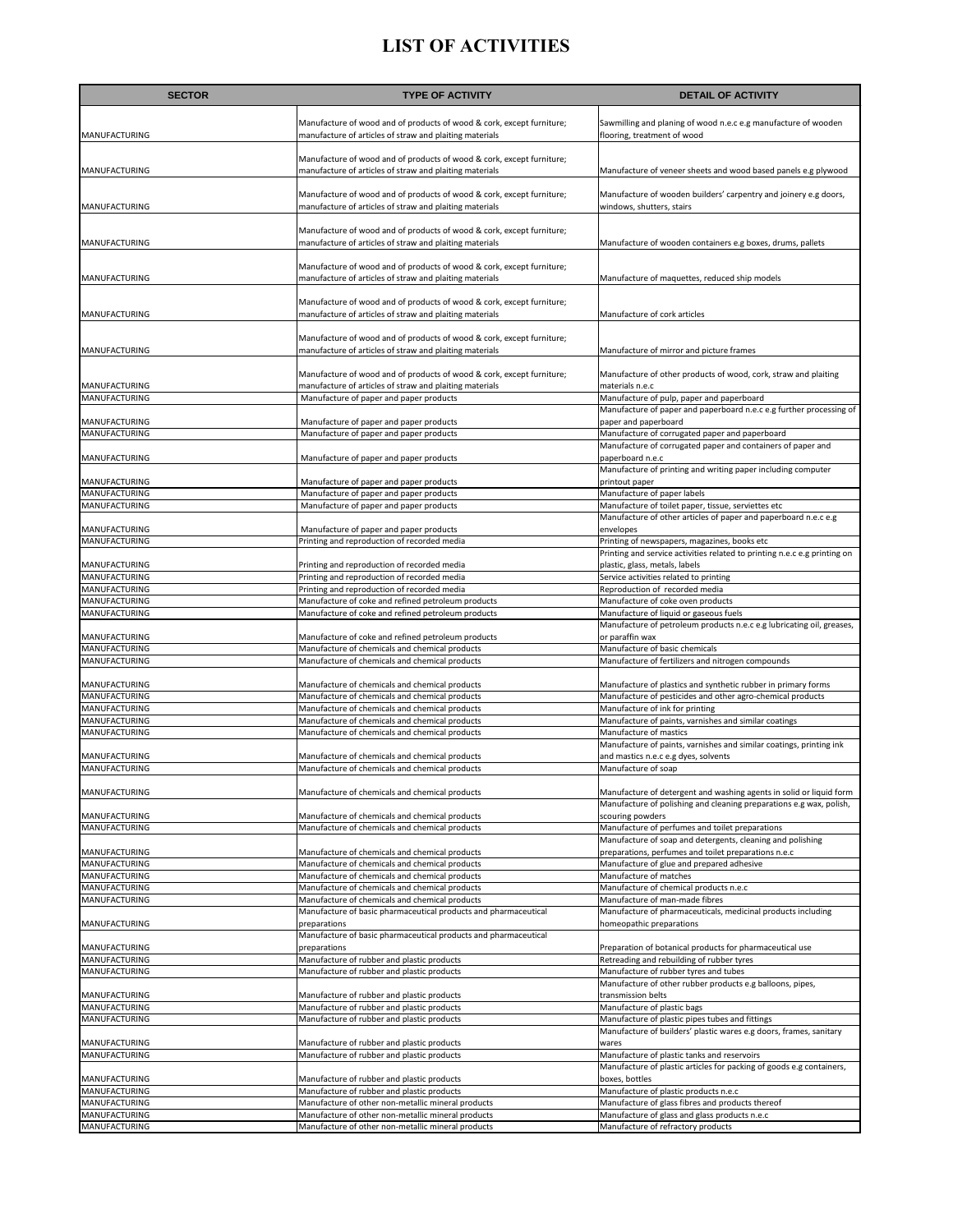| Manufacture of wood and of products of wood & cork, except furniture;<br>Sawmilling and planing of wood n.e.c e.g manufacture of wooden<br>manufacture of articles of straw and plaiting materials<br>MANUFACTURING<br>flooring, treatment of wood<br>Manufacture of wood and of products of wood & cork, except furniture;<br>MANUFACTURING<br>manufacture of articles of straw and plaiting materials<br>Manufacture of veneer sheets and wood based panels e.g plywood<br>Manufacture of wood and of products of wood & cork, except furniture;<br>Manufacture of wooden builders' carpentry and joinery e.g doors,<br>manufacture of articles of straw and plaiting materials<br>MANUFACTURING<br>windows, shutters, stairs<br>Manufacture of wood and of products of wood & cork, except furniture;<br>MANUFACTURING<br>manufacture of articles of straw and plaiting materials<br>Manufacture of wooden containers e.g boxes, drums, pallets<br>Manufacture of wood and of products of wood & cork, except furniture;<br>MANUFACTURING<br>manufacture of articles of straw and plaiting materials<br>Manufacture of maquettes, reduced ship models<br>Manufacture of wood and of products of wood & cork, except furniture;<br>MANUFACTURING<br>manufacture of articles of straw and plaiting materials<br>Manufacture of cork articles<br>Manufacture of wood and of products of wood & cork, except furniture;<br>MANUFACTURING<br>manufacture of articles of straw and plaiting materials<br>Manufacture of mirror and picture frames<br>Manufacture of wood and of products of wood & cork, except furniture;<br>Manufacture of other products of wood, cork, straw and plaiting<br>manufacture of articles of straw and plaiting materials<br>MANUFACTURING<br>materials n.e.c<br>MANUFACTURING<br>Manufacture of paper and paper products<br>Manufacture of pulp, paper and paperboard<br>Manufacture of paper and paperboard n.e.c e.g further processing of<br>MANUFACTURING<br>Manufacture of paper and paper products<br>paper and paperboard<br>MANUFACTURING<br>Manufacture of paper and paper products<br>Manufacture of corrugated paper and paperboard<br>Manufacture of corrugated paper and containers of paper and<br>MANUFACTURING<br>Manufacture of paper and paper products<br>paperboard n.e.c<br>Manufacture of printing and writing paper including computer<br>MANUFACTURING<br>Manufacture of paper and paper products<br>printout paper<br>MANUFACTURING<br>Manufacture of paper and paper products<br>Manufacture of paper labels<br>MANUFACTURING<br>Manufacture of paper and paper products<br>Manufacture of toilet paper, tissue, serviettes etc<br>Manufacture of other articles of paper and paperboard n.e.c e.g<br>MANUFACTURING<br>Manufacture of paper and paper products<br>envelopes<br>MANUFACTURING<br>Printing and reproduction of recorded media<br>Printing of newspapers, magazines, books etc<br>Printing and service activities related to printing n.e.c e.g printing on<br>MANUFACTURING<br>Printing and reproduction of recorded media<br>plastic, glass, metals, labels<br>MANUFACTURING<br>Printing and reproduction of recorded media<br>Service activities related to printing<br>MANUFACTURING<br>Printing and reproduction of recorded media<br>Reproduction of recorded media<br>MANUFACTURING<br>Manufacture of coke and refined petroleum products<br>Manufacture of coke oven products<br>MANUFACTURING<br>Manufacture of coke and refined petroleum products<br>Manufacture of liquid or gaseous fuels<br>Manufacture of petroleum products n.e.c e.g lubricating oil, greases,<br>or paraffin wax<br>MANUFACTURING<br>Manufacture of coke and refined petroleum products<br>Manufacture of basic chemicals<br>MANUFACTURING<br>Manufacture of chemicals and chemical products<br>MANUFACTURING<br>Manufacture of chemicals and chemical products<br>Manufacture of fertilizers and nitrogen compounds<br>Manufacture of chemicals and chemical products<br>MANUFACTURING<br>Manufacture of plastics and synthetic rubber in primary forms<br>MANUFACTURING<br>Manufacture of chemicals and chemical products<br>Manufacture of pesticides and other agro-chemical products<br>MANUFACTURING<br>Manufacture of chemicals and chemical products<br>Manufacture of ink for printing<br>MANUFACTURING<br>Manufacture of paints, varnishes and similar coatings<br>Manufacture of chemicals and chemical products<br>MANUFACTURING<br>Manufacture of chemicals and chemical products<br>Manufacture of mastics<br>Manufacture of paints, varnishes and similar coatings, printing ink<br>MANUFACTURING<br>Manufacture of chemicals and chemical products<br>and mastics n.e.c e.g dyes, solvents<br>MANUFACTURING<br>Manufacture of chemicals and chemical products<br>Manufacture of soap<br>MANUFACTURING<br>Manufacture of chemicals and chemical products<br>Manufacture of detergent and washing agents in solid or liquid form<br>Manufacture of polishing and cleaning preparations e.g wax, polish,<br>MANUFACTURING<br>Manufacture of chemicals and chemical products<br>scouring powders<br>MANUFACTURING<br>Manufacture of perfumes and toilet preparations<br>Manufacture of chemicals and chemical products<br>Manufacture of soap and detergents, cleaning and polishing<br>preparations, perfumes and toilet preparations n.e.c<br>MANUFACTURING<br>Manufacture of chemicals and chemical products<br>MANUFACTURING<br>Manufacture of chemicals and chemical products<br>Manufacture of glue and prepared adhesive<br>MANUFACTURING<br>Manufacture of chemicals and chemical products<br>Manufacture of matches<br>MANUFACTURING<br>Manufacture of chemicals and chemical products<br>Manufacture of chemical products n.e.c<br>MANUFACTURING<br>Manufacture of chemicals and chemical products<br>Manufacture of man-made fibres<br>Manufacture of basic pharmaceutical products and pharmaceutical<br>Manufacture of pharmaceuticals, medicinal products including<br>MANUFACTURING<br>homeopathic preparations<br>preparations<br>Manufacture of basic pharmaceutical products and pharmaceutical<br>MANUFACTURING<br>preparations<br>Preparation of botanical products for pharmaceutical use<br>MANUFACTURING<br>Manufacture of rubber and plastic products<br>Retreading and rebuilding of rubber tyres<br>MANUFACTURING<br>Manufacture of rubber and plastic products<br>Manufacture of rubber tyres and tubes<br>Manufacture of other rubber products e.g balloons, pipes,<br>Manufacture of rubber and plastic products<br>MANUFACTURING<br>transmission belts<br>MANUFACTURING<br>Manufacture of rubber and plastic products<br>Manufacture of plastic bags<br>MANUFACTURING<br>Manufacture of rubber and plastic products<br>Manufacture of plastic pipes tubes and fittings<br>Manufacture of builders' plastic wares e.g doors, frames, sanitary<br>MANUFACTURING<br>Manufacture of rubber and plastic products<br>wares<br>MANUFACTURING<br>Manufacture of rubber and plastic products<br>Manufacture of plastic tanks and reservoirs<br>Manufacture of plastic articles for packing of goods e.g containers,<br>MANUFACTURING<br>Manufacture of rubber and plastic products<br>boxes, bottles<br>MANUFACTURING<br>Manufacture of rubber and plastic products<br>Manufacture of plastic products n.e.c<br>MANUFACTURING<br>Manufacture of other non-metallic mineral products<br>Manufacture of glass fibres and products thereof<br>MANUFACTURING<br>Manufacture of other non-metallic mineral products<br>Manufacture of glass and glass products n.e.c<br>MANUFACTURING<br>Manufacture of refractory products<br>Manufacture of other non-metallic mineral products | <b>SECTOR</b> | <b>TYPE OF ACTIVITY</b> | <b>DETAIL OF ACTIVITY</b> |
|---------------------------------------------------------------------------------------------------------------------------------------------------------------------------------------------------------------------------------------------------------------------------------------------------------------------------------------------------------------------------------------------------------------------------------------------------------------------------------------------------------------------------------------------------------------------------------------------------------------------------------------------------------------------------------------------------------------------------------------------------------------------------------------------------------------------------------------------------------------------------------------------------------------------------------------------------------------------------------------------------------------------------------------------------------------------------------------------------------------------------------------------------------------------------------------------------------------------------------------------------------------------------------------------------------------------------------------------------------------------------------------------------------------------------------------------------------------------------------------------------------------------------------------------------------------------------------------------------------------------------------------------------------------------------------------------------------------------------------------------------------------------------------------------------------------------------------------------------------------------------------------------------------------------------------------------------------------------------------------------------------------------------------------------------------------------------------------------------------------------------------------------------------------------------------------------------------------------------------------------------------------------------------------------------------------------------------------------------------------------------------------------------------------------------------------------------------------------------------------------------------------------------------------------------------------------------------------------------------------------------------------------------------------------------------------------------------------------------------------------------------------------------------------------------------------------------------------------------------------------------------------------------------------------------------------------------------------------------------------------------------------------------------------------------------------------------------------------------------------------------------------------------------------------------------------------------------------------------------------------------------------------------------------------------------------------------------------------------------------------------------------------------------------------------------------------------------------------------------------------------------------------------------------------------------------------------------------------------------------------------------------------------------------------------------------------------------------------------------------------------------------------------------------------------------------------------------------------------------------------------------------------------------------------------------------------------------------------------------------------------------------------------------------------------------------------------------------------------------------------------------------------------------------------------------------------------------------------------------------------------------------------------------------------------------------------------------------------------------------------------------------------------------------------------------------------------------------------------------------------------------------------------------------------------------------------------------------------------------------------------------------------------------------------------------------------------------------------------------------------------------------------------------------------------------------------------------------------------------------------------------------------------------------------------------------------------------------------------------------------------------------------------------------------------------------------------------------------------------------------------------------------------------------------------------------------------------------------------------------------------------------------------------------------------------------------------------------------------------------------------------------------------------------------------------------------------------------------------------------------------------------------------------------------------------------------------------------------------------------------------------------------------------------------------------------------------------------------------------------------------------------------------------------------------------------------------------------------------------------------------------------------------------------------------------------------------------------------------------------------------------------------------------------------------------------------------------------------------------------------------------------------------------------------------------------------------------------------------------------------------------------------------------------------------------------------------------------------------------------------------------------------------------------------------------------------------------------------------------------------------------------------------------------------------------------------------------------------------------------------------------------------------------------------------------------------------------------------------------------------------------------------------------------------------------------------------------------------------------------------------------------------------------------------------------------------------------------------------------------------------------------------------------------------------------------------------------------------------------------------------------------------------------------------------------------------------------------------------------------------------------------------------------------------------------------------------------------------------------------------------------------------------------------------------------------------------------------------------------------------------------------------------------------------------------------------------------------------------------------------------------------------------------------------------------------------------------------------------------------------------------------------|---------------|-------------------------|---------------------------|
|                                                                                                                                                                                                                                                                                                                                                                                                                                                                                                                                                                                                                                                                                                                                                                                                                                                                                                                                                                                                                                                                                                                                                                                                                                                                                                                                                                                                                                                                                                                                                                                                                                                                                                                                                                                                                                                                                                                                                                                                                                                                                                                                                                                                                                                                                                                                                                                                                                                                                                                                                                                                                                                                                                                                                                                                                                                                                                                                                                                                                                                                                                                                                                                                                                                                                                                                                                                                                                                                                                                                                                                                                                                                                                                                                                                                                                                                                                                                                                                                                                                                                                                                                                                                                                                                                                                                                                                                                                                                                                                                                                                                                                                                                                                                                                                                                                                                                                                                                                                                                                                                                                                                                                                                                                                                                                                                                                                                                                                                                                                                                                                                                                                                                                                                                                                                                                                                                                                                                                                                                                                                                                                                                                                                                                                                                                                                                                                                                                                                                                                                                                                                                                                                                                                                                                                                                                                                                                                                                                                                                                                                                                                                                                                                                                                                                                                                                                                                                                                                                                                                                                                                                                                                                                                                                                     |               |                         |                           |
|                                                                                                                                                                                                                                                                                                                                                                                                                                                                                                                                                                                                                                                                                                                                                                                                                                                                                                                                                                                                                                                                                                                                                                                                                                                                                                                                                                                                                                                                                                                                                                                                                                                                                                                                                                                                                                                                                                                                                                                                                                                                                                                                                                                                                                                                                                                                                                                                                                                                                                                                                                                                                                                                                                                                                                                                                                                                                                                                                                                                                                                                                                                                                                                                                                                                                                                                                                                                                                                                                                                                                                                                                                                                                                                                                                                                                                                                                                                                                                                                                                                                                                                                                                                                                                                                                                                                                                                                                                                                                                                                                                                                                                                                                                                                                                                                                                                                                                                                                                                                                                                                                                                                                                                                                                                                                                                                                                                                                                                                                                                                                                                                                                                                                                                                                                                                                                                                                                                                                                                                                                                                                                                                                                                                                                                                                                                                                                                                                                                                                                                                                                                                                                                                                                                                                                                                                                                                                                                                                                                                                                                                                                                                                                                                                                                                                                                                                                                                                                                                                                                                                                                                                                                                                                                                                                     |               |                         |                           |
|                                                                                                                                                                                                                                                                                                                                                                                                                                                                                                                                                                                                                                                                                                                                                                                                                                                                                                                                                                                                                                                                                                                                                                                                                                                                                                                                                                                                                                                                                                                                                                                                                                                                                                                                                                                                                                                                                                                                                                                                                                                                                                                                                                                                                                                                                                                                                                                                                                                                                                                                                                                                                                                                                                                                                                                                                                                                                                                                                                                                                                                                                                                                                                                                                                                                                                                                                                                                                                                                                                                                                                                                                                                                                                                                                                                                                                                                                                                                                                                                                                                                                                                                                                                                                                                                                                                                                                                                                                                                                                                                                                                                                                                                                                                                                                                                                                                                                                                                                                                                                                                                                                                                                                                                                                                                                                                                                                                                                                                                                                                                                                                                                                                                                                                                                                                                                                                                                                                                                                                                                                                                                                                                                                                                                                                                                                                                                                                                                                                                                                                                                                                                                                                                                                                                                                                                                                                                                                                                                                                                                                                                                                                                                                                                                                                                                                                                                                                                                                                                                                                                                                                                                                                                                                                                                                     |               |                         |                           |
|                                                                                                                                                                                                                                                                                                                                                                                                                                                                                                                                                                                                                                                                                                                                                                                                                                                                                                                                                                                                                                                                                                                                                                                                                                                                                                                                                                                                                                                                                                                                                                                                                                                                                                                                                                                                                                                                                                                                                                                                                                                                                                                                                                                                                                                                                                                                                                                                                                                                                                                                                                                                                                                                                                                                                                                                                                                                                                                                                                                                                                                                                                                                                                                                                                                                                                                                                                                                                                                                                                                                                                                                                                                                                                                                                                                                                                                                                                                                                                                                                                                                                                                                                                                                                                                                                                                                                                                                                                                                                                                                                                                                                                                                                                                                                                                                                                                                                                                                                                                                                                                                                                                                                                                                                                                                                                                                                                                                                                                                                                                                                                                                                                                                                                                                                                                                                                                                                                                                                                                                                                                                                                                                                                                                                                                                                                                                                                                                                                                                                                                                                                                                                                                                                                                                                                                                                                                                                                                                                                                                                                                                                                                                                                                                                                                                                                                                                                                                                                                                                                                                                                                                                                                                                                                                                                     |               |                         |                           |
|                                                                                                                                                                                                                                                                                                                                                                                                                                                                                                                                                                                                                                                                                                                                                                                                                                                                                                                                                                                                                                                                                                                                                                                                                                                                                                                                                                                                                                                                                                                                                                                                                                                                                                                                                                                                                                                                                                                                                                                                                                                                                                                                                                                                                                                                                                                                                                                                                                                                                                                                                                                                                                                                                                                                                                                                                                                                                                                                                                                                                                                                                                                                                                                                                                                                                                                                                                                                                                                                                                                                                                                                                                                                                                                                                                                                                                                                                                                                                                                                                                                                                                                                                                                                                                                                                                                                                                                                                                                                                                                                                                                                                                                                                                                                                                                                                                                                                                                                                                                                                                                                                                                                                                                                                                                                                                                                                                                                                                                                                                                                                                                                                                                                                                                                                                                                                                                                                                                                                                                                                                                                                                                                                                                                                                                                                                                                                                                                                                                                                                                                                                                                                                                                                                                                                                                                                                                                                                                                                                                                                                                                                                                                                                                                                                                                                                                                                                                                                                                                                                                                                                                                                                                                                                                                                                     |               |                         |                           |
|                                                                                                                                                                                                                                                                                                                                                                                                                                                                                                                                                                                                                                                                                                                                                                                                                                                                                                                                                                                                                                                                                                                                                                                                                                                                                                                                                                                                                                                                                                                                                                                                                                                                                                                                                                                                                                                                                                                                                                                                                                                                                                                                                                                                                                                                                                                                                                                                                                                                                                                                                                                                                                                                                                                                                                                                                                                                                                                                                                                                                                                                                                                                                                                                                                                                                                                                                                                                                                                                                                                                                                                                                                                                                                                                                                                                                                                                                                                                                                                                                                                                                                                                                                                                                                                                                                                                                                                                                                                                                                                                                                                                                                                                                                                                                                                                                                                                                                                                                                                                                                                                                                                                                                                                                                                                                                                                                                                                                                                                                                                                                                                                                                                                                                                                                                                                                                                                                                                                                                                                                                                                                                                                                                                                                                                                                                                                                                                                                                                                                                                                                                                                                                                                                                                                                                                                                                                                                                                                                                                                                                                                                                                                                                                                                                                                                                                                                                                                                                                                                                                                                                                                                                                                                                                                                                     |               |                         |                           |
|                                                                                                                                                                                                                                                                                                                                                                                                                                                                                                                                                                                                                                                                                                                                                                                                                                                                                                                                                                                                                                                                                                                                                                                                                                                                                                                                                                                                                                                                                                                                                                                                                                                                                                                                                                                                                                                                                                                                                                                                                                                                                                                                                                                                                                                                                                                                                                                                                                                                                                                                                                                                                                                                                                                                                                                                                                                                                                                                                                                                                                                                                                                                                                                                                                                                                                                                                                                                                                                                                                                                                                                                                                                                                                                                                                                                                                                                                                                                                                                                                                                                                                                                                                                                                                                                                                                                                                                                                                                                                                                                                                                                                                                                                                                                                                                                                                                                                                                                                                                                                                                                                                                                                                                                                                                                                                                                                                                                                                                                                                                                                                                                                                                                                                                                                                                                                                                                                                                                                                                                                                                                                                                                                                                                                                                                                                                                                                                                                                                                                                                                                                                                                                                                                                                                                                                                                                                                                                                                                                                                                                                                                                                                                                                                                                                                                                                                                                                                                                                                                                                                                                                                                                                                                                                                                                     |               |                         |                           |
|                                                                                                                                                                                                                                                                                                                                                                                                                                                                                                                                                                                                                                                                                                                                                                                                                                                                                                                                                                                                                                                                                                                                                                                                                                                                                                                                                                                                                                                                                                                                                                                                                                                                                                                                                                                                                                                                                                                                                                                                                                                                                                                                                                                                                                                                                                                                                                                                                                                                                                                                                                                                                                                                                                                                                                                                                                                                                                                                                                                                                                                                                                                                                                                                                                                                                                                                                                                                                                                                                                                                                                                                                                                                                                                                                                                                                                                                                                                                                                                                                                                                                                                                                                                                                                                                                                                                                                                                                                                                                                                                                                                                                                                                                                                                                                                                                                                                                                                                                                                                                                                                                                                                                                                                                                                                                                                                                                                                                                                                                                                                                                                                                                                                                                                                                                                                                                                                                                                                                                                                                                                                                                                                                                                                                                                                                                                                                                                                                                                                                                                                                                                                                                                                                                                                                                                                                                                                                                                                                                                                                                                                                                                                                                                                                                                                                                                                                                                                                                                                                                                                                                                                                                                                                                                                                                     |               |                         |                           |
|                                                                                                                                                                                                                                                                                                                                                                                                                                                                                                                                                                                                                                                                                                                                                                                                                                                                                                                                                                                                                                                                                                                                                                                                                                                                                                                                                                                                                                                                                                                                                                                                                                                                                                                                                                                                                                                                                                                                                                                                                                                                                                                                                                                                                                                                                                                                                                                                                                                                                                                                                                                                                                                                                                                                                                                                                                                                                                                                                                                                                                                                                                                                                                                                                                                                                                                                                                                                                                                                                                                                                                                                                                                                                                                                                                                                                                                                                                                                                                                                                                                                                                                                                                                                                                                                                                                                                                                                                                                                                                                                                                                                                                                                                                                                                                                                                                                                                                                                                                                                                                                                                                                                                                                                                                                                                                                                                                                                                                                                                                                                                                                                                                                                                                                                                                                                                                                                                                                                                                                                                                                                                                                                                                                                                                                                                                                                                                                                                                                                                                                                                                                                                                                                                                                                                                                                                                                                                                                                                                                                                                                                                                                                                                                                                                                                                                                                                                                                                                                                                                                                                                                                                                                                                                                                                                     |               |                         |                           |
|                                                                                                                                                                                                                                                                                                                                                                                                                                                                                                                                                                                                                                                                                                                                                                                                                                                                                                                                                                                                                                                                                                                                                                                                                                                                                                                                                                                                                                                                                                                                                                                                                                                                                                                                                                                                                                                                                                                                                                                                                                                                                                                                                                                                                                                                                                                                                                                                                                                                                                                                                                                                                                                                                                                                                                                                                                                                                                                                                                                                                                                                                                                                                                                                                                                                                                                                                                                                                                                                                                                                                                                                                                                                                                                                                                                                                                                                                                                                                                                                                                                                                                                                                                                                                                                                                                                                                                                                                                                                                                                                                                                                                                                                                                                                                                                                                                                                                                                                                                                                                                                                                                                                                                                                                                                                                                                                                                                                                                                                                                                                                                                                                                                                                                                                                                                                                                                                                                                                                                                                                                                                                                                                                                                                                                                                                                                                                                                                                                                                                                                                                                                                                                                                                                                                                                                                                                                                                                                                                                                                                                                                                                                                                                                                                                                                                                                                                                                                                                                                                                                                                                                                                                                                                                                                                                     |               |                         |                           |
|                                                                                                                                                                                                                                                                                                                                                                                                                                                                                                                                                                                                                                                                                                                                                                                                                                                                                                                                                                                                                                                                                                                                                                                                                                                                                                                                                                                                                                                                                                                                                                                                                                                                                                                                                                                                                                                                                                                                                                                                                                                                                                                                                                                                                                                                                                                                                                                                                                                                                                                                                                                                                                                                                                                                                                                                                                                                                                                                                                                                                                                                                                                                                                                                                                                                                                                                                                                                                                                                                                                                                                                                                                                                                                                                                                                                                                                                                                                                                                                                                                                                                                                                                                                                                                                                                                                                                                                                                                                                                                                                                                                                                                                                                                                                                                                                                                                                                                                                                                                                                                                                                                                                                                                                                                                                                                                                                                                                                                                                                                                                                                                                                                                                                                                                                                                                                                                                                                                                                                                                                                                                                                                                                                                                                                                                                                                                                                                                                                                                                                                                                                                                                                                                                                                                                                                                                                                                                                                                                                                                                                                                                                                                                                                                                                                                                                                                                                                                                                                                                                                                                                                                                                                                                                                                                                     |               |                         |                           |
|                                                                                                                                                                                                                                                                                                                                                                                                                                                                                                                                                                                                                                                                                                                                                                                                                                                                                                                                                                                                                                                                                                                                                                                                                                                                                                                                                                                                                                                                                                                                                                                                                                                                                                                                                                                                                                                                                                                                                                                                                                                                                                                                                                                                                                                                                                                                                                                                                                                                                                                                                                                                                                                                                                                                                                                                                                                                                                                                                                                                                                                                                                                                                                                                                                                                                                                                                                                                                                                                                                                                                                                                                                                                                                                                                                                                                                                                                                                                                                                                                                                                                                                                                                                                                                                                                                                                                                                                                                                                                                                                                                                                                                                                                                                                                                                                                                                                                                                                                                                                                                                                                                                                                                                                                                                                                                                                                                                                                                                                                                                                                                                                                                                                                                                                                                                                                                                                                                                                                                                                                                                                                                                                                                                                                                                                                                                                                                                                                                                                                                                                                                                                                                                                                                                                                                                                                                                                                                                                                                                                                                                                                                                                                                                                                                                                                                                                                                                                                                                                                                                                                                                                                                                                                                                                                                     |               |                         |                           |
|                                                                                                                                                                                                                                                                                                                                                                                                                                                                                                                                                                                                                                                                                                                                                                                                                                                                                                                                                                                                                                                                                                                                                                                                                                                                                                                                                                                                                                                                                                                                                                                                                                                                                                                                                                                                                                                                                                                                                                                                                                                                                                                                                                                                                                                                                                                                                                                                                                                                                                                                                                                                                                                                                                                                                                                                                                                                                                                                                                                                                                                                                                                                                                                                                                                                                                                                                                                                                                                                                                                                                                                                                                                                                                                                                                                                                                                                                                                                                                                                                                                                                                                                                                                                                                                                                                                                                                                                                                                                                                                                                                                                                                                                                                                                                                                                                                                                                                                                                                                                                                                                                                                                                                                                                                                                                                                                                                                                                                                                                                                                                                                                                                                                                                                                                                                                                                                                                                                                                                                                                                                                                                                                                                                                                                                                                                                                                                                                                                                                                                                                                                                                                                                                                                                                                                                                                                                                                                                                                                                                                                                                                                                                                                                                                                                                                                                                                                                                                                                                                                                                                                                                                                                                                                                                                                     |               |                         |                           |
|                                                                                                                                                                                                                                                                                                                                                                                                                                                                                                                                                                                                                                                                                                                                                                                                                                                                                                                                                                                                                                                                                                                                                                                                                                                                                                                                                                                                                                                                                                                                                                                                                                                                                                                                                                                                                                                                                                                                                                                                                                                                                                                                                                                                                                                                                                                                                                                                                                                                                                                                                                                                                                                                                                                                                                                                                                                                                                                                                                                                                                                                                                                                                                                                                                                                                                                                                                                                                                                                                                                                                                                                                                                                                                                                                                                                                                                                                                                                                                                                                                                                                                                                                                                                                                                                                                                                                                                                                                                                                                                                                                                                                                                                                                                                                                                                                                                                                                                                                                                                                                                                                                                                                                                                                                                                                                                                                                                                                                                                                                                                                                                                                                                                                                                                                                                                                                                                                                                                                                                                                                                                                                                                                                                                                                                                                                                                                                                                                                                                                                                                                                                                                                                                                                                                                                                                                                                                                                                                                                                                                                                                                                                                                                                                                                                                                                                                                                                                                                                                                                                                                                                                                                                                                                                                                                     |               |                         |                           |
|                                                                                                                                                                                                                                                                                                                                                                                                                                                                                                                                                                                                                                                                                                                                                                                                                                                                                                                                                                                                                                                                                                                                                                                                                                                                                                                                                                                                                                                                                                                                                                                                                                                                                                                                                                                                                                                                                                                                                                                                                                                                                                                                                                                                                                                                                                                                                                                                                                                                                                                                                                                                                                                                                                                                                                                                                                                                                                                                                                                                                                                                                                                                                                                                                                                                                                                                                                                                                                                                                                                                                                                                                                                                                                                                                                                                                                                                                                                                                                                                                                                                                                                                                                                                                                                                                                                                                                                                                                                                                                                                                                                                                                                                                                                                                                                                                                                                                                                                                                                                                                                                                                                                                                                                                                                                                                                                                                                                                                                                                                                                                                                                                                                                                                                                                                                                                                                                                                                                                                                                                                                                                                                                                                                                                                                                                                                                                                                                                                                                                                                                                                                                                                                                                                                                                                                                                                                                                                                                                                                                                                                                                                                                                                                                                                                                                                                                                                                                                                                                                                                                                                                                                                                                                                                                                                     |               |                         |                           |
|                                                                                                                                                                                                                                                                                                                                                                                                                                                                                                                                                                                                                                                                                                                                                                                                                                                                                                                                                                                                                                                                                                                                                                                                                                                                                                                                                                                                                                                                                                                                                                                                                                                                                                                                                                                                                                                                                                                                                                                                                                                                                                                                                                                                                                                                                                                                                                                                                                                                                                                                                                                                                                                                                                                                                                                                                                                                                                                                                                                                                                                                                                                                                                                                                                                                                                                                                                                                                                                                                                                                                                                                                                                                                                                                                                                                                                                                                                                                                                                                                                                                                                                                                                                                                                                                                                                                                                                                                                                                                                                                                                                                                                                                                                                                                                                                                                                                                                                                                                                                                                                                                                                                                                                                                                                                                                                                                                                                                                                                                                                                                                                                                                                                                                                                                                                                                                                                                                                                                                                                                                                                                                                                                                                                                                                                                                                                                                                                                                                                                                                                                                                                                                                                                                                                                                                                                                                                                                                                                                                                                                                                                                                                                                                                                                                                                                                                                                                                                                                                                                                                                                                                                                                                                                                                                                     |               |                         |                           |
|                                                                                                                                                                                                                                                                                                                                                                                                                                                                                                                                                                                                                                                                                                                                                                                                                                                                                                                                                                                                                                                                                                                                                                                                                                                                                                                                                                                                                                                                                                                                                                                                                                                                                                                                                                                                                                                                                                                                                                                                                                                                                                                                                                                                                                                                                                                                                                                                                                                                                                                                                                                                                                                                                                                                                                                                                                                                                                                                                                                                                                                                                                                                                                                                                                                                                                                                                                                                                                                                                                                                                                                                                                                                                                                                                                                                                                                                                                                                                                                                                                                                                                                                                                                                                                                                                                                                                                                                                                                                                                                                                                                                                                                                                                                                                                                                                                                                                                                                                                                                                                                                                                                                                                                                                                                                                                                                                                                                                                                                                                                                                                                                                                                                                                                                                                                                                                                                                                                                                                                                                                                                                                                                                                                                                                                                                                                                                                                                                                                                                                                                                                                                                                                                                                                                                                                                                                                                                                                                                                                                                                                                                                                                                                                                                                                                                                                                                                                                                                                                                                                                                                                                                                                                                                                                                                     |               |                         |                           |
|                                                                                                                                                                                                                                                                                                                                                                                                                                                                                                                                                                                                                                                                                                                                                                                                                                                                                                                                                                                                                                                                                                                                                                                                                                                                                                                                                                                                                                                                                                                                                                                                                                                                                                                                                                                                                                                                                                                                                                                                                                                                                                                                                                                                                                                                                                                                                                                                                                                                                                                                                                                                                                                                                                                                                                                                                                                                                                                                                                                                                                                                                                                                                                                                                                                                                                                                                                                                                                                                                                                                                                                                                                                                                                                                                                                                                                                                                                                                                                                                                                                                                                                                                                                                                                                                                                                                                                                                                                                                                                                                                                                                                                                                                                                                                                                                                                                                                                                                                                                                                                                                                                                                                                                                                                                                                                                                                                                                                                                                                                                                                                                                                                                                                                                                                                                                                                                                                                                                                                                                                                                                                                                                                                                                                                                                                                                                                                                                                                                                                                                                                                                                                                                                                                                                                                                                                                                                                                                                                                                                                                                                                                                                                                                                                                                                                                                                                                                                                                                                                                                                                                                                                                                                                                                                                                     |               |                         |                           |
|                                                                                                                                                                                                                                                                                                                                                                                                                                                                                                                                                                                                                                                                                                                                                                                                                                                                                                                                                                                                                                                                                                                                                                                                                                                                                                                                                                                                                                                                                                                                                                                                                                                                                                                                                                                                                                                                                                                                                                                                                                                                                                                                                                                                                                                                                                                                                                                                                                                                                                                                                                                                                                                                                                                                                                                                                                                                                                                                                                                                                                                                                                                                                                                                                                                                                                                                                                                                                                                                                                                                                                                                                                                                                                                                                                                                                                                                                                                                                                                                                                                                                                                                                                                                                                                                                                                                                                                                                                                                                                                                                                                                                                                                                                                                                                                                                                                                                                                                                                                                                                                                                                                                                                                                                                                                                                                                                                                                                                                                                                                                                                                                                                                                                                                                                                                                                                                                                                                                                                                                                                                                                                                                                                                                                                                                                                                                                                                                                                                                                                                                                                                                                                                                                                                                                                                                                                                                                                                                                                                                                                                                                                                                                                                                                                                                                                                                                                                                                                                                                                                                                                                                                                                                                                                                                                     |               |                         |                           |
|                                                                                                                                                                                                                                                                                                                                                                                                                                                                                                                                                                                                                                                                                                                                                                                                                                                                                                                                                                                                                                                                                                                                                                                                                                                                                                                                                                                                                                                                                                                                                                                                                                                                                                                                                                                                                                                                                                                                                                                                                                                                                                                                                                                                                                                                                                                                                                                                                                                                                                                                                                                                                                                                                                                                                                                                                                                                                                                                                                                                                                                                                                                                                                                                                                                                                                                                                                                                                                                                                                                                                                                                                                                                                                                                                                                                                                                                                                                                                                                                                                                                                                                                                                                                                                                                                                                                                                                                                                                                                                                                                                                                                                                                                                                                                                                                                                                                                                                                                                                                                                                                                                                                                                                                                                                                                                                                                                                                                                                                                                                                                                                                                                                                                                                                                                                                                                                                                                                                                                                                                                                                                                                                                                                                                                                                                                                                                                                                                                                                                                                                                                                                                                                                                                                                                                                                                                                                                                                                                                                                                                                                                                                                                                                                                                                                                                                                                                                                                                                                                                                                                                                                                                                                                                                                                                     |               |                         |                           |
|                                                                                                                                                                                                                                                                                                                                                                                                                                                                                                                                                                                                                                                                                                                                                                                                                                                                                                                                                                                                                                                                                                                                                                                                                                                                                                                                                                                                                                                                                                                                                                                                                                                                                                                                                                                                                                                                                                                                                                                                                                                                                                                                                                                                                                                                                                                                                                                                                                                                                                                                                                                                                                                                                                                                                                                                                                                                                                                                                                                                                                                                                                                                                                                                                                                                                                                                                                                                                                                                                                                                                                                                                                                                                                                                                                                                                                                                                                                                                                                                                                                                                                                                                                                                                                                                                                                                                                                                                                                                                                                                                                                                                                                                                                                                                                                                                                                                                                                                                                                                                                                                                                                                                                                                                                                                                                                                                                                                                                                                                                                                                                                                                                                                                                                                                                                                                                                                                                                                                                                                                                                                                                                                                                                                                                                                                                                                                                                                                                                                                                                                                                                                                                                                                                                                                                                                                                                                                                                                                                                                                                                                                                                                                                                                                                                                                                                                                                                                                                                                                                                                                                                                                                                                                                                                                                     |               |                         |                           |
|                                                                                                                                                                                                                                                                                                                                                                                                                                                                                                                                                                                                                                                                                                                                                                                                                                                                                                                                                                                                                                                                                                                                                                                                                                                                                                                                                                                                                                                                                                                                                                                                                                                                                                                                                                                                                                                                                                                                                                                                                                                                                                                                                                                                                                                                                                                                                                                                                                                                                                                                                                                                                                                                                                                                                                                                                                                                                                                                                                                                                                                                                                                                                                                                                                                                                                                                                                                                                                                                                                                                                                                                                                                                                                                                                                                                                                                                                                                                                                                                                                                                                                                                                                                                                                                                                                                                                                                                                                                                                                                                                                                                                                                                                                                                                                                                                                                                                                                                                                                                                                                                                                                                                                                                                                                                                                                                                                                                                                                                                                                                                                                                                                                                                                                                                                                                                                                                                                                                                                                                                                                                                                                                                                                                                                                                                                                                                                                                                                                                                                                                                                                                                                                                                                                                                                                                                                                                                                                                                                                                                                                                                                                                                                                                                                                                                                                                                                                                                                                                                                                                                                                                                                                                                                                                                                     |               |                         |                           |
|                                                                                                                                                                                                                                                                                                                                                                                                                                                                                                                                                                                                                                                                                                                                                                                                                                                                                                                                                                                                                                                                                                                                                                                                                                                                                                                                                                                                                                                                                                                                                                                                                                                                                                                                                                                                                                                                                                                                                                                                                                                                                                                                                                                                                                                                                                                                                                                                                                                                                                                                                                                                                                                                                                                                                                                                                                                                                                                                                                                                                                                                                                                                                                                                                                                                                                                                                                                                                                                                                                                                                                                                                                                                                                                                                                                                                                                                                                                                                                                                                                                                                                                                                                                                                                                                                                                                                                                                                                                                                                                                                                                                                                                                                                                                                                                                                                                                                                                                                                                                                                                                                                                                                                                                                                                                                                                                                                                                                                                                                                                                                                                                                                                                                                                                                                                                                                                                                                                                                                                                                                                                                                                                                                                                                                                                                                                                                                                                                                                                                                                                                                                                                                                                                                                                                                                                                                                                                                                                                                                                                                                                                                                                                                                                                                                                                                                                                                                                                                                                                                                                                                                                                                                                                                                                                                     |               |                         |                           |
|                                                                                                                                                                                                                                                                                                                                                                                                                                                                                                                                                                                                                                                                                                                                                                                                                                                                                                                                                                                                                                                                                                                                                                                                                                                                                                                                                                                                                                                                                                                                                                                                                                                                                                                                                                                                                                                                                                                                                                                                                                                                                                                                                                                                                                                                                                                                                                                                                                                                                                                                                                                                                                                                                                                                                                                                                                                                                                                                                                                                                                                                                                                                                                                                                                                                                                                                                                                                                                                                                                                                                                                                                                                                                                                                                                                                                                                                                                                                                                                                                                                                                                                                                                                                                                                                                                                                                                                                                                                                                                                                                                                                                                                                                                                                                                                                                                                                                                                                                                                                                                                                                                                                                                                                                                                                                                                                                                                                                                                                                                                                                                                                                                                                                                                                                                                                                                                                                                                                                                                                                                                                                                                                                                                                                                                                                                                                                                                                                                                                                                                                                                                                                                                                                                                                                                                                                                                                                                                                                                                                                                                                                                                                                                                                                                                                                                                                                                                                                                                                                                                                                                                                                                                                                                                                                                     |               |                         |                           |
|                                                                                                                                                                                                                                                                                                                                                                                                                                                                                                                                                                                                                                                                                                                                                                                                                                                                                                                                                                                                                                                                                                                                                                                                                                                                                                                                                                                                                                                                                                                                                                                                                                                                                                                                                                                                                                                                                                                                                                                                                                                                                                                                                                                                                                                                                                                                                                                                                                                                                                                                                                                                                                                                                                                                                                                                                                                                                                                                                                                                                                                                                                                                                                                                                                                                                                                                                                                                                                                                                                                                                                                                                                                                                                                                                                                                                                                                                                                                                                                                                                                                                                                                                                                                                                                                                                                                                                                                                                                                                                                                                                                                                                                                                                                                                                                                                                                                                                                                                                                                                                                                                                                                                                                                                                                                                                                                                                                                                                                                                                                                                                                                                                                                                                                                                                                                                                                                                                                                                                                                                                                                                                                                                                                                                                                                                                                                                                                                                                                                                                                                                                                                                                                                                                                                                                                                                                                                                                                                                                                                                                                                                                                                                                                                                                                                                                                                                                                                                                                                                                                                                                                                                                                                                                                                                                     |               |                         |                           |
|                                                                                                                                                                                                                                                                                                                                                                                                                                                                                                                                                                                                                                                                                                                                                                                                                                                                                                                                                                                                                                                                                                                                                                                                                                                                                                                                                                                                                                                                                                                                                                                                                                                                                                                                                                                                                                                                                                                                                                                                                                                                                                                                                                                                                                                                                                                                                                                                                                                                                                                                                                                                                                                                                                                                                                                                                                                                                                                                                                                                                                                                                                                                                                                                                                                                                                                                                                                                                                                                                                                                                                                                                                                                                                                                                                                                                                                                                                                                                                                                                                                                                                                                                                                                                                                                                                                                                                                                                                                                                                                                                                                                                                                                                                                                                                                                                                                                                                                                                                                                                                                                                                                                                                                                                                                                                                                                                                                                                                                                                                                                                                                                                                                                                                                                                                                                                                                                                                                                                                                                                                                                                                                                                                                                                                                                                                                                                                                                                                                                                                                                                                                                                                                                                                                                                                                                                                                                                                                                                                                                                                                                                                                                                                                                                                                                                                                                                                                                                                                                                                                                                                                                                                                                                                                                                                     |               |                         |                           |
|                                                                                                                                                                                                                                                                                                                                                                                                                                                                                                                                                                                                                                                                                                                                                                                                                                                                                                                                                                                                                                                                                                                                                                                                                                                                                                                                                                                                                                                                                                                                                                                                                                                                                                                                                                                                                                                                                                                                                                                                                                                                                                                                                                                                                                                                                                                                                                                                                                                                                                                                                                                                                                                                                                                                                                                                                                                                                                                                                                                                                                                                                                                                                                                                                                                                                                                                                                                                                                                                                                                                                                                                                                                                                                                                                                                                                                                                                                                                                                                                                                                                                                                                                                                                                                                                                                                                                                                                                                                                                                                                                                                                                                                                                                                                                                                                                                                                                                                                                                                                                                                                                                                                                                                                                                                                                                                                                                                                                                                                                                                                                                                                                                                                                                                                                                                                                                                                                                                                                                                                                                                                                                                                                                                                                                                                                                                                                                                                                                                                                                                                                                                                                                                                                                                                                                                                                                                                                                                                                                                                                                                                                                                                                                                                                                                                                                                                                                                                                                                                                                                                                                                                                                                                                                                                                                     |               |                         |                           |
|                                                                                                                                                                                                                                                                                                                                                                                                                                                                                                                                                                                                                                                                                                                                                                                                                                                                                                                                                                                                                                                                                                                                                                                                                                                                                                                                                                                                                                                                                                                                                                                                                                                                                                                                                                                                                                                                                                                                                                                                                                                                                                                                                                                                                                                                                                                                                                                                                                                                                                                                                                                                                                                                                                                                                                                                                                                                                                                                                                                                                                                                                                                                                                                                                                                                                                                                                                                                                                                                                                                                                                                                                                                                                                                                                                                                                                                                                                                                                                                                                                                                                                                                                                                                                                                                                                                                                                                                                                                                                                                                                                                                                                                                                                                                                                                                                                                                                                                                                                                                                                                                                                                                                                                                                                                                                                                                                                                                                                                                                                                                                                                                                                                                                                                                                                                                                                                                                                                                                                                                                                                                                                                                                                                                                                                                                                                                                                                                                                                                                                                                                                                                                                                                                                                                                                                                                                                                                                                                                                                                                                                                                                                                                                                                                                                                                                                                                                                                                                                                                                                                                                                                                                                                                                                                                                     |               |                         |                           |
|                                                                                                                                                                                                                                                                                                                                                                                                                                                                                                                                                                                                                                                                                                                                                                                                                                                                                                                                                                                                                                                                                                                                                                                                                                                                                                                                                                                                                                                                                                                                                                                                                                                                                                                                                                                                                                                                                                                                                                                                                                                                                                                                                                                                                                                                                                                                                                                                                                                                                                                                                                                                                                                                                                                                                                                                                                                                                                                                                                                                                                                                                                                                                                                                                                                                                                                                                                                                                                                                                                                                                                                                                                                                                                                                                                                                                                                                                                                                                                                                                                                                                                                                                                                                                                                                                                                                                                                                                                                                                                                                                                                                                                                                                                                                                                                                                                                                                                                                                                                                                                                                                                                                                                                                                                                                                                                                                                                                                                                                                                                                                                                                                                                                                                                                                                                                                                                                                                                                                                                                                                                                                                                                                                                                                                                                                                                                                                                                                                                                                                                                                                                                                                                                                                                                                                                                                                                                                                                                                                                                                                                                                                                                                                                                                                                                                                                                                                                                                                                                                                                                                                                                                                                                                                                                                                     |               |                         |                           |
|                                                                                                                                                                                                                                                                                                                                                                                                                                                                                                                                                                                                                                                                                                                                                                                                                                                                                                                                                                                                                                                                                                                                                                                                                                                                                                                                                                                                                                                                                                                                                                                                                                                                                                                                                                                                                                                                                                                                                                                                                                                                                                                                                                                                                                                                                                                                                                                                                                                                                                                                                                                                                                                                                                                                                                                                                                                                                                                                                                                                                                                                                                                                                                                                                                                                                                                                                                                                                                                                                                                                                                                                                                                                                                                                                                                                                                                                                                                                                                                                                                                                                                                                                                                                                                                                                                                                                                                                                                                                                                                                                                                                                                                                                                                                                                                                                                                                                                                                                                                                                                                                                                                                                                                                                                                                                                                                                                                                                                                                                                                                                                                                                                                                                                                                                                                                                                                                                                                                                                                                                                                                                                                                                                                                                                                                                                                                                                                                                                                                                                                                                                                                                                                                                                                                                                                                                                                                                                                                                                                                                                                                                                                                                                                                                                                                                                                                                                                                                                                                                                                                                                                                                                                                                                                                                                     |               |                         |                           |
|                                                                                                                                                                                                                                                                                                                                                                                                                                                                                                                                                                                                                                                                                                                                                                                                                                                                                                                                                                                                                                                                                                                                                                                                                                                                                                                                                                                                                                                                                                                                                                                                                                                                                                                                                                                                                                                                                                                                                                                                                                                                                                                                                                                                                                                                                                                                                                                                                                                                                                                                                                                                                                                                                                                                                                                                                                                                                                                                                                                                                                                                                                                                                                                                                                                                                                                                                                                                                                                                                                                                                                                                                                                                                                                                                                                                                                                                                                                                                                                                                                                                                                                                                                                                                                                                                                                                                                                                                                                                                                                                                                                                                                                                                                                                                                                                                                                                                                                                                                                                                                                                                                                                                                                                                                                                                                                                                                                                                                                                                                                                                                                                                                                                                                                                                                                                                                                                                                                                                                                                                                                                                                                                                                                                                                                                                                                                                                                                                                                                                                                                                                                                                                                                                                                                                                                                                                                                                                                                                                                                                                                                                                                                                                                                                                                                                                                                                                                                                                                                                                                                                                                                                                                                                                                                                                     |               |                         |                           |
|                                                                                                                                                                                                                                                                                                                                                                                                                                                                                                                                                                                                                                                                                                                                                                                                                                                                                                                                                                                                                                                                                                                                                                                                                                                                                                                                                                                                                                                                                                                                                                                                                                                                                                                                                                                                                                                                                                                                                                                                                                                                                                                                                                                                                                                                                                                                                                                                                                                                                                                                                                                                                                                                                                                                                                                                                                                                                                                                                                                                                                                                                                                                                                                                                                                                                                                                                                                                                                                                                                                                                                                                                                                                                                                                                                                                                                                                                                                                                                                                                                                                                                                                                                                                                                                                                                                                                                                                                                                                                                                                                                                                                                                                                                                                                                                                                                                                                                                                                                                                                                                                                                                                                                                                                                                                                                                                                                                                                                                                                                                                                                                                                                                                                                                                                                                                                                                                                                                                                                                                                                                                                                                                                                                                                                                                                                                                                                                                                                                                                                                                                                                                                                                                                                                                                                                                                                                                                                                                                                                                                                                                                                                                                                                                                                                                                                                                                                                                                                                                                                                                                                                                                                                                                                                                                                     |               |                         |                           |
|                                                                                                                                                                                                                                                                                                                                                                                                                                                                                                                                                                                                                                                                                                                                                                                                                                                                                                                                                                                                                                                                                                                                                                                                                                                                                                                                                                                                                                                                                                                                                                                                                                                                                                                                                                                                                                                                                                                                                                                                                                                                                                                                                                                                                                                                                                                                                                                                                                                                                                                                                                                                                                                                                                                                                                                                                                                                                                                                                                                                                                                                                                                                                                                                                                                                                                                                                                                                                                                                                                                                                                                                                                                                                                                                                                                                                                                                                                                                                                                                                                                                                                                                                                                                                                                                                                                                                                                                                                                                                                                                                                                                                                                                                                                                                                                                                                                                                                                                                                                                                                                                                                                                                                                                                                                                                                                                                                                                                                                                                                                                                                                                                                                                                                                                                                                                                                                                                                                                                                                                                                                                                                                                                                                                                                                                                                                                                                                                                                                                                                                                                                                                                                                                                                                                                                                                                                                                                                                                                                                                                                                                                                                                                                                                                                                                                                                                                                                                                                                                                                                                                                                                                                                                                                                                                                     |               |                         |                           |
|                                                                                                                                                                                                                                                                                                                                                                                                                                                                                                                                                                                                                                                                                                                                                                                                                                                                                                                                                                                                                                                                                                                                                                                                                                                                                                                                                                                                                                                                                                                                                                                                                                                                                                                                                                                                                                                                                                                                                                                                                                                                                                                                                                                                                                                                                                                                                                                                                                                                                                                                                                                                                                                                                                                                                                                                                                                                                                                                                                                                                                                                                                                                                                                                                                                                                                                                                                                                                                                                                                                                                                                                                                                                                                                                                                                                                                                                                                                                                                                                                                                                                                                                                                                                                                                                                                                                                                                                                                                                                                                                                                                                                                                                                                                                                                                                                                                                                                                                                                                                                                                                                                                                                                                                                                                                                                                                                                                                                                                                                                                                                                                                                                                                                                                                                                                                                                                                                                                                                                                                                                                                                                                                                                                                                                                                                                                                                                                                                                                                                                                                                                                                                                                                                                                                                                                                                                                                                                                                                                                                                                                                                                                                                                                                                                                                                                                                                                                                                                                                                                                                                                                                                                                                                                                                                                     |               |                         |                           |
|                                                                                                                                                                                                                                                                                                                                                                                                                                                                                                                                                                                                                                                                                                                                                                                                                                                                                                                                                                                                                                                                                                                                                                                                                                                                                                                                                                                                                                                                                                                                                                                                                                                                                                                                                                                                                                                                                                                                                                                                                                                                                                                                                                                                                                                                                                                                                                                                                                                                                                                                                                                                                                                                                                                                                                                                                                                                                                                                                                                                                                                                                                                                                                                                                                                                                                                                                                                                                                                                                                                                                                                                                                                                                                                                                                                                                                                                                                                                                                                                                                                                                                                                                                                                                                                                                                                                                                                                                                                                                                                                                                                                                                                                                                                                                                                                                                                                                                                                                                                                                                                                                                                                                                                                                                                                                                                                                                                                                                                                                                                                                                                                                                                                                                                                                                                                                                                                                                                                                                                                                                                                                                                                                                                                                                                                                                                                                                                                                                                                                                                                                                                                                                                                                                                                                                                                                                                                                                                                                                                                                                                                                                                                                                                                                                                                                                                                                                                                                                                                                                                                                                                                                                                                                                                                                                     |               |                         |                           |
|                                                                                                                                                                                                                                                                                                                                                                                                                                                                                                                                                                                                                                                                                                                                                                                                                                                                                                                                                                                                                                                                                                                                                                                                                                                                                                                                                                                                                                                                                                                                                                                                                                                                                                                                                                                                                                                                                                                                                                                                                                                                                                                                                                                                                                                                                                                                                                                                                                                                                                                                                                                                                                                                                                                                                                                                                                                                                                                                                                                                                                                                                                                                                                                                                                                                                                                                                                                                                                                                                                                                                                                                                                                                                                                                                                                                                                                                                                                                                                                                                                                                                                                                                                                                                                                                                                                                                                                                                                                                                                                                                                                                                                                                                                                                                                                                                                                                                                                                                                                                                                                                                                                                                                                                                                                                                                                                                                                                                                                                                                                                                                                                                                                                                                                                                                                                                                                                                                                                                                                                                                                                                                                                                                                                                                                                                                                                                                                                                                                                                                                                                                                                                                                                                                                                                                                                                                                                                                                                                                                                                                                                                                                                                                                                                                                                                                                                                                                                                                                                                                                                                                                                                                                                                                                                                                     |               |                         |                           |
|                                                                                                                                                                                                                                                                                                                                                                                                                                                                                                                                                                                                                                                                                                                                                                                                                                                                                                                                                                                                                                                                                                                                                                                                                                                                                                                                                                                                                                                                                                                                                                                                                                                                                                                                                                                                                                                                                                                                                                                                                                                                                                                                                                                                                                                                                                                                                                                                                                                                                                                                                                                                                                                                                                                                                                                                                                                                                                                                                                                                                                                                                                                                                                                                                                                                                                                                                                                                                                                                                                                                                                                                                                                                                                                                                                                                                                                                                                                                                                                                                                                                                                                                                                                                                                                                                                                                                                                                                                                                                                                                                                                                                                                                                                                                                                                                                                                                                                                                                                                                                                                                                                                                                                                                                                                                                                                                                                                                                                                                                                                                                                                                                                                                                                                                                                                                                                                                                                                                                                                                                                                                                                                                                                                                                                                                                                                                                                                                                                                                                                                                                                                                                                                                                                                                                                                                                                                                                                                                                                                                                                                                                                                                                                                                                                                                                                                                                                                                                                                                                                                                                                                                                                                                                                                                                                     |               |                         |                           |
|                                                                                                                                                                                                                                                                                                                                                                                                                                                                                                                                                                                                                                                                                                                                                                                                                                                                                                                                                                                                                                                                                                                                                                                                                                                                                                                                                                                                                                                                                                                                                                                                                                                                                                                                                                                                                                                                                                                                                                                                                                                                                                                                                                                                                                                                                                                                                                                                                                                                                                                                                                                                                                                                                                                                                                                                                                                                                                                                                                                                                                                                                                                                                                                                                                                                                                                                                                                                                                                                                                                                                                                                                                                                                                                                                                                                                                                                                                                                                                                                                                                                                                                                                                                                                                                                                                                                                                                                                                                                                                                                                                                                                                                                                                                                                                                                                                                                                                                                                                                                                                                                                                                                                                                                                                                                                                                                                                                                                                                                                                                                                                                                                                                                                                                                                                                                                                                                                                                                                                                                                                                                                                                                                                                                                                                                                                                                                                                                                                                                                                                                                                                                                                                                                                                                                                                                                                                                                                                                                                                                                                                                                                                                                                                                                                                                                                                                                                                                                                                                                                                                                                                                                                                                                                                                                                     |               |                         |                           |
|                                                                                                                                                                                                                                                                                                                                                                                                                                                                                                                                                                                                                                                                                                                                                                                                                                                                                                                                                                                                                                                                                                                                                                                                                                                                                                                                                                                                                                                                                                                                                                                                                                                                                                                                                                                                                                                                                                                                                                                                                                                                                                                                                                                                                                                                                                                                                                                                                                                                                                                                                                                                                                                                                                                                                                                                                                                                                                                                                                                                                                                                                                                                                                                                                                                                                                                                                                                                                                                                                                                                                                                                                                                                                                                                                                                                                                                                                                                                                                                                                                                                                                                                                                                                                                                                                                                                                                                                                                                                                                                                                                                                                                                                                                                                                                                                                                                                                                                                                                                                                                                                                                                                                                                                                                                                                                                                                                                                                                                                                                                                                                                                                                                                                                                                                                                                                                                                                                                                                                                                                                                                                                                                                                                                                                                                                                                                                                                                                                                                                                                                                                                                                                                                                                                                                                                                                                                                                                                                                                                                                                                                                                                                                                                                                                                                                                                                                                                                                                                                                                                                                                                                                                                                                                                                                                     |               |                         |                           |
|                                                                                                                                                                                                                                                                                                                                                                                                                                                                                                                                                                                                                                                                                                                                                                                                                                                                                                                                                                                                                                                                                                                                                                                                                                                                                                                                                                                                                                                                                                                                                                                                                                                                                                                                                                                                                                                                                                                                                                                                                                                                                                                                                                                                                                                                                                                                                                                                                                                                                                                                                                                                                                                                                                                                                                                                                                                                                                                                                                                                                                                                                                                                                                                                                                                                                                                                                                                                                                                                                                                                                                                                                                                                                                                                                                                                                                                                                                                                                                                                                                                                                                                                                                                                                                                                                                                                                                                                                                                                                                                                                                                                                                                                                                                                                                                                                                                                                                                                                                                                                                                                                                                                                                                                                                                                                                                                                                                                                                                                                                                                                                                                                                                                                                                                                                                                                                                                                                                                                                                                                                                                                                                                                                                                                                                                                                                                                                                                                                                                                                                                                                                                                                                                                                                                                                                                                                                                                                                                                                                                                                                                                                                                                                                                                                                                                                                                                                                                                                                                                                                                                                                                                                                                                                                                                                     |               |                         |                           |
|                                                                                                                                                                                                                                                                                                                                                                                                                                                                                                                                                                                                                                                                                                                                                                                                                                                                                                                                                                                                                                                                                                                                                                                                                                                                                                                                                                                                                                                                                                                                                                                                                                                                                                                                                                                                                                                                                                                                                                                                                                                                                                                                                                                                                                                                                                                                                                                                                                                                                                                                                                                                                                                                                                                                                                                                                                                                                                                                                                                                                                                                                                                                                                                                                                                                                                                                                                                                                                                                                                                                                                                                                                                                                                                                                                                                                                                                                                                                                                                                                                                                                                                                                                                                                                                                                                                                                                                                                                                                                                                                                                                                                                                                                                                                                                                                                                                                                                                                                                                                                                                                                                                                                                                                                                                                                                                                                                                                                                                                                                                                                                                                                                                                                                                                                                                                                                                                                                                                                                                                                                                                                                                                                                                                                                                                                                                                                                                                                                                                                                                                                                                                                                                                                                                                                                                                                                                                                                                                                                                                                                                                                                                                                                                                                                                                                                                                                                                                                                                                                                                                                                                                                                                                                                                                                                     |               |                         |                           |
|                                                                                                                                                                                                                                                                                                                                                                                                                                                                                                                                                                                                                                                                                                                                                                                                                                                                                                                                                                                                                                                                                                                                                                                                                                                                                                                                                                                                                                                                                                                                                                                                                                                                                                                                                                                                                                                                                                                                                                                                                                                                                                                                                                                                                                                                                                                                                                                                                                                                                                                                                                                                                                                                                                                                                                                                                                                                                                                                                                                                                                                                                                                                                                                                                                                                                                                                                                                                                                                                                                                                                                                                                                                                                                                                                                                                                                                                                                                                                                                                                                                                                                                                                                                                                                                                                                                                                                                                                                                                                                                                                                                                                                                                                                                                                                                                                                                                                                                                                                                                                                                                                                                                                                                                                                                                                                                                                                                                                                                                                                                                                                                                                                                                                                                                                                                                                                                                                                                                                                                                                                                                                                                                                                                                                                                                                                                                                                                                                                                                                                                                                                                                                                                                                                                                                                                                                                                                                                                                                                                                                                                                                                                                                                                                                                                                                                                                                                                                                                                                                                                                                                                                                                                                                                                                                                     |               |                         |                           |
|                                                                                                                                                                                                                                                                                                                                                                                                                                                                                                                                                                                                                                                                                                                                                                                                                                                                                                                                                                                                                                                                                                                                                                                                                                                                                                                                                                                                                                                                                                                                                                                                                                                                                                                                                                                                                                                                                                                                                                                                                                                                                                                                                                                                                                                                                                                                                                                                                                                                                                                                                                                                                                                                                                                                                                                                                                                                                                                                                                                                                                                                                                                                                                                                                                                                                                                                                                                                                                                                                                                                                                                                                                                                                                                                                                                                                                                                                                                                                                                                                                                                                                                                                                                                                                                                                                                                                                                                                                                                                                                                                                                                                                                                                                                                                                                                                                                                                                                                                                                                                                                                                                                                                                                                                                                                                                                                                                                                                                                                                                                                                                                                                                                                                                                                                                                                                                                                                                                                                                                                                                                                                                                                                                                                                                                                                                                                                                                                                                                                                                                                                                                                                                                                                                                                                                                                                                                                                                                                                                                                                                                                                                                                                                                                                                                                                                                                                                                                                                                                                                                                                                                                                                                                                                                                                                     |               |                         |                           |
|                                                                                                                                                                                                                                                                                                                                                                                                                                                                                                                                                                                                                                                                                                                                                                                                                                                                                                                                                                                                                                                                                                                                                                                                                                                                                                                                                                                                                                                                                                                                                                                                                                                                                                                                                                                                                                                                                                                                                                                                                                                                                                                                                                                                                                                                                                                                                                                                                                                                                                                                                                                                                                                                                                                                                                                                                                                                                                                                                                                                                                                                                                                                                                                                                                                                                                                                                                                                                                                                                                                                                                                                                                                                                                                                                                                                                                                                                                                                                                                                                                                                                                                                                                                                                                                                                                                                                                                                                                                                                                                                                                                                                                                                                                                                                                                                                                                                                                                                                                                                                                                                                                                                                                                                                                                                                                                                                                                                                                                                                                                                                                                                                                                                                                                                                                                                                                                                                                                                                                                                                                                                                                                                                                                                                                                                                                                                                                                                                                                                                                                                                                                                                                                                                                                                                                                                                                                                                                                                                                                                                                                                                                                                                                                                                                                                                                                                                                                                                                                                                                                                                                                                                                                                                                                                                                     |               |                         |                           |
|                                                                                                                                                                                                                                                                                                                                                                                                                                                                                                                                                                                                                                                                                                                                                                                                                                                                                                                                                                                                                                                                                                                                                                                                                                                                                                                                                                                                                                                                                                                                                                                                                                                                                                                                                                                                                                                                                                                                                                                                                                                                                                                                                                                                                                                                                                                                                                                                                                                                                                                                                                                                                                                                                                                                                                                                                                                                                                                                                                                                                                                                                                                                                                                                                                                                                                                                                                                                                                                                                                                                                                                                                                                                                                                                                                                                                                                                                                                                                                                                                                                                                                                                                                                                                                                                                                                                                                                                                                                                                                                                                                                                                                                                                                                                                                                                                                                                                                                                                                                                                                                                                                                                                                                                                                                                                                                                                                                                                                                                                                                                                                                                                                                                                                                                                                                                                                                                                                                                                                                                                                                                                                                                                                                                                                                                                                                                                                                                                                                                                                                                                                                                                                                                                                                                                                                                                                                                                                                                                                                                                                                                                                                                                                                                                                                                                                                                                                                                                                                                                                                                                                                                                                                                                                                                                                     |               |                         |                           |
|                                                                                                                                                                                                                                                                                                                                                                                                                                                                                                                                                                                                                                                                                                                                                                                                                                                                                                                                                                                                                                                                                                                                                                                                                                                                                                                                                                                                                                                                                                                                                                                                                                                                                                                                                                                                                                                                                                                                                                                                                                                                                                                                                                                                                                                                                                                                                                                                                                                                                                                                                                                                                                                                                                                                                                                                                                                                                                                                                                                                                                                                                                                                                                                                                                                                                                                                                                                                                                                                                                                                                                                                                                                                                                                                                                                                                                                                                                                                                                                                                                                                                                                                                                                                                                                                                                                                                                                                                                                                                                                                                                                                                                                                                                                                                                                                                                                                                                                                                                                                                                                                                                                                                                                                                                                                                                                                                                                                                                                                                                                                                                                                                                                                                                                                                                                                                                                                                                                                                                                                                                                                                                                                                                                                                                                                                                                                                                                                                                                                                                                                                                                                                                                                                                                                                                                                                                                                                                                                                                                                                                                                                                                                                                                                                                                                                                                                                                                                                                                                                                                                                                                                                                                                                                                                                                     |               |                         |                           |
|                                                                                                                                                                                                                                                                                                                                                                                                                                                                                                                                                                                                                                                                                                                                                                                                                                                                                                                                                                                                                                                                                                                                                                                                                                                                                                                                                                                                                                                                                                                                                                                                                                                                                                                                                                                                                                                                                                                                                                                                                                                                                                                                                                                                                                                                                                                                                                                                                                                                                                                                                                                                                                                                                                                                                                                                                                                                                                                                                                                                                                                                                                                                                                                                                                                                                                                                                                                                                                                                                                                                                                                                                                                                                                                                                                                                                                                                                                                                                                                                                                                                                                                                                                                                                                                                                                                                                                                                                                                                                                                                                                                                                                                                                                                                                                                                                                                                                                                                                                                                                                                                                                                                                                                                                                                                                                                                                                                                                                                                                                                                                                                                                                                                                                                                                                                                                                                                                                                                                                                                                                                                                                                                                                                                                                                                                                                                                                                                                                                                                                                                                                                                                                                                                                                                                                                                                                                                                                                                                                                                                                                                                                                                                                                                                                                                                                                                                                                                                                                                                                                                                                                                                                                                                                                                                                     |               |                         |                           |
|                                                                                                                                                                                                                                                                                                                                                                                                                                                                                                                                                                                                                                                                                                                                                                                                                                                                                                                                                                                                                                                                                                                                                                                                                                                                                                                                                                                                                                                                                                                                                                                                                                                                                                                                                                                                                                                                                                                                                                                                                                                                                                                                                                                                                                                                                                                                                                                                                                                                                                                                                                                                                                                                                                                                                                                                                                                                                                                                                                                                                                                                                                                                                                                                                                                                                                                                                                                                                                                                                                                                                                                                                                                                                                                                                                                                                                                                                                                                                                                                                                                                                                                                                                                                                                                                                                                                                                                                                                                                                                                                                                                                                                                                                                                                                                                                                                                                                                                                                                                                                                                                                                                                                                                                                                                                                                                                                                                                                                                                                                                                                                                                                                                                                                                                                                                                                                                                                                                                                                                                                                                                                                                                                                                                                                                                                                                                                                                                                                                                                                                                                                                                                                                                                                                                                                                                                                                                                                                                                                                                                                                                                                                                                                                                                                                                                                                                                                                                                                                                                                                                                                                                                                                                                                                                                                     |               |                         |                           |
|                                                                                                                                                                                                                                                                                                                                                                                                                                                                                                                                                                                                                                                                                                                                                                                                                                                                                                                                                                                                                                                                                                                                                                                                                                                                                                                                                                                                                                                                                                                                                                                                                                                                                                                                                                                                                                                                                                                                                                                                                                                                                                                                                                                                                                                                                                                                                                                                                                                                                                                                                                                                                                                                                                                                                                                                                                                                                                                                                                                                                                                                                                                                                                                                                                                                                                                                                                                                                                                                                                                                                                                                                                                                                                                                                                                                                                                                                                                                                                                                                                                                                                                                                                                                                                                                                                                                                                                                                                                                                                                                                                                                                                                                                                                                                                                                                                                                                                                                                                                                                                                                                                                                                                                                                                                                                                                                                                                                                                                                                                                                                                                                                                                                                                                                                                                                                                                                                                                                                                                                                                                                                                                                                                                                                                                                                                                                                                                                                                                                                                                                                                                                                                                                                                                                                                                                                                                                                                                                                                                                                                                                                                                                                                                                                                                                                                                                                                                                                                                                                                                                                                                                                                                                                                                                                                     |               |                         |                           |
|                                                                                                                                                                                                                                                                                                                                                                                                                                                                                                                                                                                                                                                                                                                                                                                                                                                                                                                                                                                                                                                                                                                                                                                                                                                                                                                                                                                                                                                                                                                                                                                                                                                                                                                                                                                                                                                                                                                                                                                                                                                                                                                                                                                                                                                                                                                                                                                                                                                                                                                                                                                                                                                                                                                                                                                                                                                                                                                                                                                                                                                                                                                                                                                                                                                                                                                                                                                                                                                                                                                                                                                                                                                                                                                                                                                                                                                                                                                                                                                                                                                                                                                                                                                                                                                                                                                                                                                                                                                                                                                                                                                                                                                                                                                                                                                                                                                                                                                                                                                                                                                                                                                                                                                                                                                                                                                                                                                                                                                                                                                                                                                                                                                                                                                                                                                                                                                                                                                                                                                                                                                                                                                                                                                                                                                                                                                                                                                                                                                                                                                                                                                                                                                                                                                                                                                                                                                                                                                                                                                                                                                                                                                                                                                                                                                                                                                                                                                                                                                                                                                                                                                                                                                                                                                                                                     |               |                         |                           |
|                                                                                                                                                                                                                                                                                                                                                                                                                                                                                                                                                                                                                                                                                                                                                                                                                                                                                                                                                                                                                                                                                                                                                                                                                                                                                                                                                                                                                                                                                                                                                                                                                                                                                                                                                                                                                                                                                                                                                                                                                                                                                                                                                                                                                                                                                                                                                                                                                                                                                                                                                                                                                                                                                                                                                                                                                                                                                                                                                                                                                                                                                                                                                                                                                                                                                                                                                                                                                                                                                                                                                                                                                                                                                                                                                                                                                                                                                                                                                                                                                                                                                                                                                                                                                                                                                                                                                                                                                                                                                                                                                                                                                                                                                                                                                                                                                                                                                                                                                                                                                                                                                                                                                                                                                                                                                                                                                                                                                                                                                                                                                                                                                                                                                                                                                                                                                                                                                                                                                                                                                                                                                                                                                                                                                                                                                                                                                                                                                                                                                                                                                                                                                                                                                                                                                                                                                                                                                                                                                                                                                                                                                                                                                                                                                                                                                                                                                                                                                                                                                                                                                                                                                                                                                                                                                                     |               |                         |                           |
|                                                                                                                                                                                                                                                                                                                                                                                                                                                                                                                                                                                                                                                                                                                                                                                                                                                                                                                                                                                                                                                                                                                                                                                                                                                                                                                                                                                                                                                                                                                                                                                                                                                                                                                                                                                                                                                                                                                                                                                                                                                                                                                                                                                                                                                                                                                                                                                                                                                                                                                                                                                                                                                                                                                                                                                                                                                                                                                                                                                                                                                                                                                                                                                                                                                                                                                                                                                                                                                                                                                                                                                                                                                                                                                                                                                                                                                                                                                                                                                                                                                                                                                                                                                                                                                                                                                                                                                                                                                                                                                                                                                                                                                                                                                                                                                                                                                                                                                                                                                                                                                                                                                                                                                                                                                                                                                                                                                                                                                                                                                                                                                                                                                                                                                                                                                                                                                                                                                                                                                                                                                                                                                                                                                                                                                                                                                                                                                                                                                                                                                                                                                                                                                                                                                                                                                                                                                                                                                                                                                                                                                                                                                                                                                                                                                                                                                                                                                                                                                                                                                                                                                                                                                                                                                                                                     |               |                         |                           |
|                                                                                                                                                                                                                                                                                                                                                                                                                                                                                                                                                                                                                                                                                                                                                                                                                                                                                                                                                                                                                                                                                                                                                                                                                                                                                                                                                                                                                                                                                                                                                                                                                                                                                                                                                                                                                                                                                                                                                                                                                                                                                                                                                                                                                                                                                                                                                                                                                                                                                                                                                                                                                                                                                                                                                                                                                                                                                                                                                                                                                                                                                                                                                                                                                                                                                                                                                                                                                                                                                                                                                                                                                                                                                                                                                                                                                                                                                                                                                                                                                                                                                                                                                                                                                                                                                                                                                                                                                                                                                                                                                                                                                                                                                                                                                                                                                                                                                                                                                                                                                                                                                                                                                                                                                                                                                                                                                                                                                                                                                                                                                                                                                                                                                                                                                                                                                                                                                                                                                                                                                                                                                                                                                                                                                                                                                                                                                                                                                                                                                                                                                                                                                                                                                                                                                                                                                                                                                                                                                                                                                                                                                                                                                                                                                                                                                                                                                                                                                                                                                                                                                                                                                                                                                                                                                                     |               |                         |                           |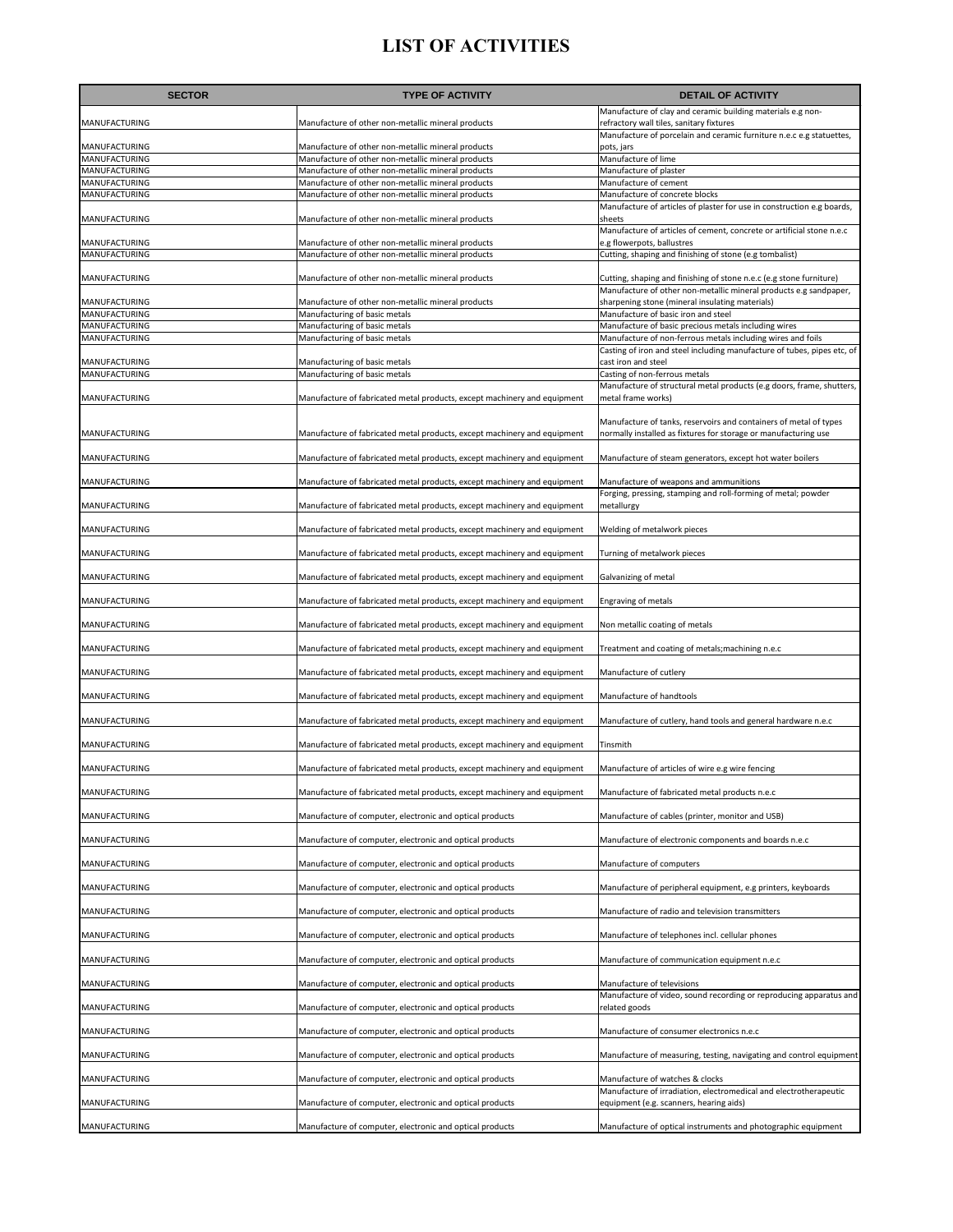| <b>SECTOR</b>                  | <b>TYPE OF ACTIVITY</b>                                                                                  | <b>DETAIL OF ACTIVITY</b>                                                                                                                |
|--------------------------------|----------------------------------------------------------------------------------------------------------|------------------------------------------------------------------------------------------------------------------------------------------|
| MANUFACTURING                  | Manufacture of other non-metallic mineral products                                                       | Manufacture of clay and ceramic building materials e.g non-<br>refractory wall tiles, sanitary fixtures                                  |
|                                |                                                                                                          | Manufacture of porcelain and ceramic furniture n.e.c e.g statuettes,                                                                     |
| MANUFACTURING<br>MANUFACTURING | Manufacture of other non-metallic mineral products<br>Manufacture of other non-metallic mineral products | pots, jars<br>Manufacture of lime                                                                                                        |
| MANUFACTURING                  | Manufacture of other non-metallic mineral products                                                       | Manufacture of plaster                                                                                                                   |
| MANUFACTURING<br>MANUFACTURING | Manufacture of other non-metallic mineral products                                                       | Manufacture of cement<br>Manufacture of concrete blocks                                                                                  |
|                                | Manufacture of other non-metallic mineral products                                                       | Manufacture of articles of plaster for use in construction e.g boards,                                                                   |
| MANUFACTURING                  | Manufacture of other non-metallic mineral products                                                       | sheets<br>Manufacture of articles of cement, concrete or artificial stone n.e.c                                                          |
| MANUFACTURING                  | Manufacture of other non-metallic mineral products                                                       | e.g flowerpots, ballustres                                                                                                               |
| MANUFACTURING                  | Manufacture of other non-metallic mineral products                                                       | Cutting, shaping and finishing of stone (e.g tombalist)                                                                                  |
| MANUFACTURING                  | Manufacture of other non-metallic mineral products                                                       | Cutting, shaping and finishing of stone n.e.c (e.g stone furniture)<br>Manufacture of other non-metallic mineral products e.g sandpaper, |
| MANUFACTURING                  | Manufacture of other non-metallic mineral products                                                       | sharpening stone (mineral insulating materials)                                                                                          |
| MANUFACTURING                  | Manufacturing of basic metals                                                                            | Manufacture of basic iron and steel                                                                                                      |
| MANUFACTURING<br>MANUFACTURING | Manufacturing of basic metals<br>Manufacturing of basic metals                                           | Manufacture of basic precious metals including wires<br>Manufacture of non-ferrous metals including wires and foils                      |
|                                |                                                                                                          | Casting of iron and steel including manufacture of tubes, pipes etc, of                                                                  |
| MANUFACTURING                  | Manufacturing of basic metals                                                                            | cast iron and steel                                                                                                                      |
| MANUFACTURING                  | Manufacturing of basic metals                                                                            | Casting of non-ferrous metals<br>Manufacture of structural metal products (e.g doors, frame, shutters,                                   |
| MANUFACTURING                  | Manufacture of fabricated metal products, except machinery and equipment                                 | metal frame works)                                                                                                                       |
| MANUFACTURING                  | Manufacture of fabricated metal products, except machinery and equipment                                 | Manufacture of tanks, reservoirs and containers of metal of types<br>normally installed as fixtures for storage or manufacturing use     |
| MANUFACTURING                  | Manufacture of fabricated metal products, except machinery and equipment                                 | Manufacture of steam generators, except hot water boilers                                                                                |
|                                |                                                                                                          |                                                                                                                                          |
| MANUFACTURING                  | Manufacture of fabricated metal products, except machinery and equipment                                 | Manufacture of weapons and ammunitions<br>Forging, pressing, stamping and roll-forming of metal; powder                                  |
| MANUFACTURING                  | Manufacture of fabricated metal products, except machinery and equipment                                 | metallurgy                                                                                                                               |
| MANUFACTURING                  | Manufacture of fabricated metal products, except machinery and equipment                                 | Welding of metalwork pieces                                                                                                              |
| MANUFACTURING                  | Manufacture of fabricated metal products, except machinery and equipment                                 | Turning of metalwork pieces                                                                                                              |
| MANUFACTURING                  | Manufacture of fabricated metal products, except machinery and equipment                                 | Galvanizing of metal                                                                                                                     |
| MANUFACTURING                  | Manufacture of fabricated metal products, except machinery and equipment                                 | Engraving of metals                                                                                                                      |
| MANUFACTURING                  | Manufacture of fabricated metal products, except machinery and equipment                                 | Non metallic coating of metals                                                                                                           |
| MANUFACTURING                  | Manufacture of fabricated metal products, except machinery and equipment                                 | Treatment and coating of metals; machining n.e.c                                                                                         |
| MANUFACTURING                  | Manufacture of fabricated metal products, except machinery and equipment                                 | Manufacture of cutlery                                                                                                                   |
| MANUFACTURING                  | Manufacture of fabricated metal products, except machinery and equipment                                 | Manufacture of handtools                                                                                                                 |
| MANUFACTURING                  | Manufacture of fabricated metal products, except machinery and equipment                                 | Manufacture of cutlery, hand tools and general hardware n.e.c                                                                            |
| MANUFACTURING                  | Manufacture of fabricated metal products, except machinery and equipment                                 | Tinsmith                                                                                                                                 |
| MANUFACTURING                  | Manufacture of fabricated metal products, except machinery and equipment                                 | Manufacture of articles of wire e.g wire fencing                                                                                         |
| MANUFACTURING                  | Manufacture of fabricated metal products, except machinery and equipment                                 | Manufacture of fabricated metal products n.e.c                                                                                           |
| MANUFACTURING                  | Manufacture of computer, electronic and optical products                                                 | Manufacture of cables (printer, monitor and USB)                                                                                         |
| MANUFACTURING                  | Manufacture of computer, electronic and optical products                                                 | Manufacture of electronic components and boards n.e.c                                                                                    |
| MANUFACTURING                  | Manufacture of computer, electronic and optical products                                                 | Manufacture of computers                                                                                                                 |
| MANUFACTURING                  | Manufacture of computer, electronic and optical products                                                 | Manufacture of peripheral equipment, e.g printers, keyboards                                                                             |
| MANUFACTURING                  | Manufacture of computer, electronic and optical products                                                 | Manufacture of radio and television transmitters                                                                                         |
| MANUFACTURING                  | Manufacture of computer, electronic and optical products                                                 | Manufacture of telephones incl. cellular phones                                                                                          |
| MANUFACTURING                  | Manufacture of computer, electronic and optical products                                                 | Manufacture of communication equipment n.e.c                                                                                             |
| MANUFACTURING                  | Manufacture of computer, electronic and optical products                                                 | Manufacture of televisions<br>Manufacture of video, sound recording or reproducing apparatus and                                         |
| MANUFACTURING                  | Manufacture of computer, electronic and optical products                                                 | related goods                                                                                                                            |
| MANUFACTURING                  | Manufacture of computer, electronic and optical products                                                 | Manufacture of consumer electronics n.e.c                                                                                                |
| MANUFACTURING                  | Manufacture of computer, electronic and optical products                                                 | Manufacture of measuring, testing, navigating and control equipment                                                                      |
| MANUFACTURING                  | Manufacture of computer, electronic and optical products                                                 | Manufacture of watches & clocks<br>Manufacture of irradiation, electromedical and electrotherapeutic                                     |
| MANUFACTURING                  | Manufacture of computer, electronic and optical products                                                 | equipment (e.g. scanners, hearing aids)                                                                                                  |
| MANUFACTURING                  | Manufacture of computer, electronic and optical products                                                 | Manufacture of optical instruments and photographic equipment                                                                            |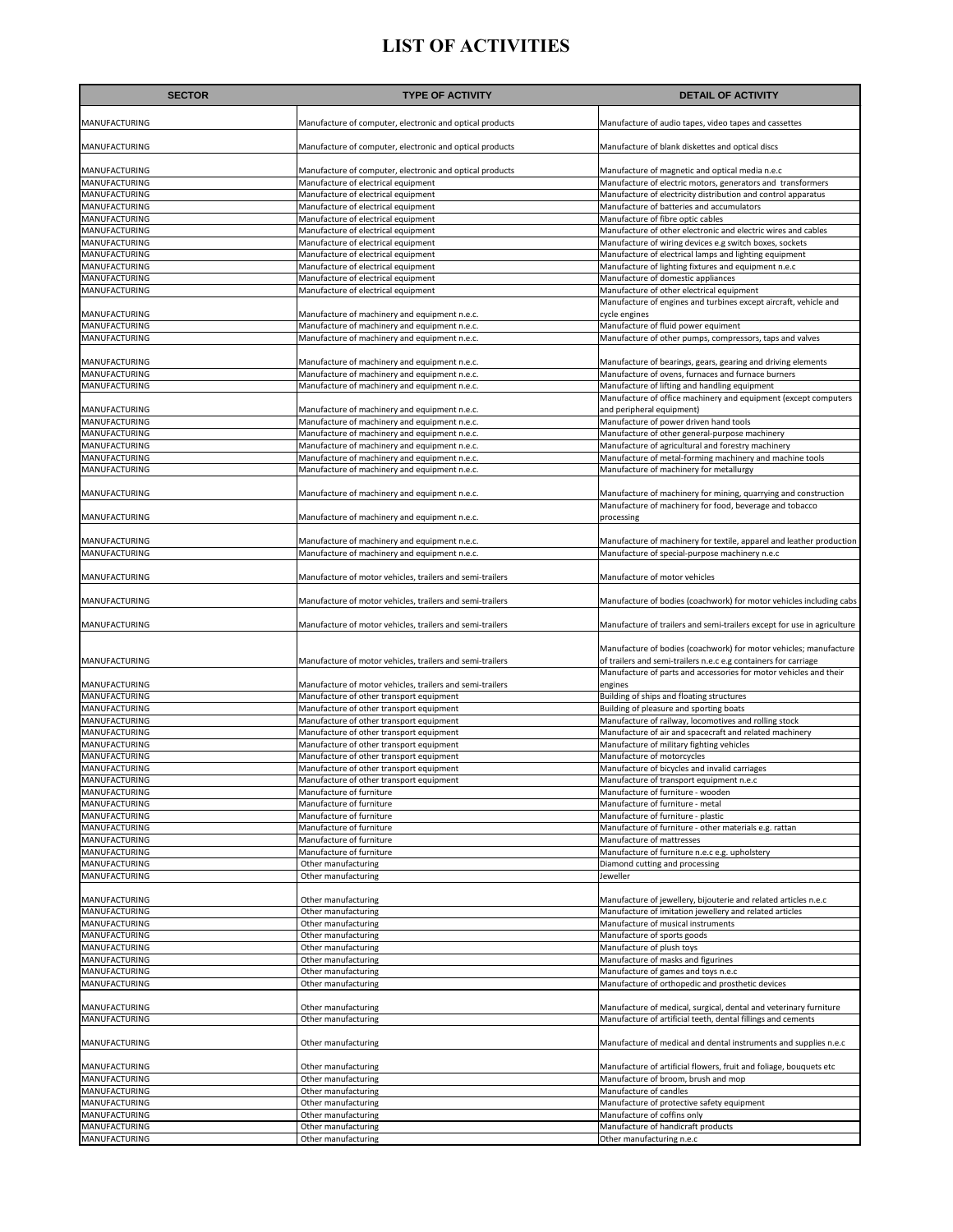| <b>SECTOR</b>                         | <b>TYPE OF ACTIVITY</b>                                                                        | <b>DETAIL OF ACTIVITY</b>                                                                                                            |
|---------------------------------------|------------------------------------------------------------------------------------------------|--------------------------------------------------------------------------------------------------------------------------------------|
| MANUFACTURING                         | Manufacture of computer, electronic and optical products                                       | Manufacture of audio tapes, video tapes and cassettes                                                                                |
| MANUFACTURING                         | Manufacture of computer, electronic and optical products                                       | Manufacture of blank diskettes and optical discs                                                                                     |
| MANUFACTURING                         | Manufacture of computer, electronic and optical products                                       | Manufacture of magnetic and optical media n.e.c                                                                                      |
| MANUFACTURING                         | Manufacture of electrical equipment                                                            | Manufacture of electric motors, generators and transformers                                                                          |
| MANUFACTURING                         | Manufacture of electrical equipment                                                            | Manufacture of electricity distribution and control apparatus                                                                        |
| MANUFACTURING                         | Manufacture of electrical equipment                                                            | Manufacture of batteries and accumulators                                                                                            |
| MANUFACTURING                         | Manufacture of electrical equipment                                                            | Manufacture of fibre optic cables                                                                                                    |
| MANUFACTURING                         | Manufacture of electrical equipment                                                            | Manufacture of other electronic and electric wires and cables                                                                        |
| MANUFACTURING                         | Manufacture of electrical equipment                                                            | Manufacture of wiring devices e.g switch boxes, sockets                                                                              |
| MANUFACTURING                         | Manufacture of electrical equipment                                                            | Manufacture of electrical lamps and lighting equipment                                                                               |
| MANUFACTURING                         | Manufacture of electrical equipment                                                            | Manufacture of lighting fixtures and equipment n.e.c                                                                                 |
| MANUFACTURING                         | Manufacture of electrical equipment                                                            | Manufacture of domestic appliances                                                                                                   |
| MANUFACTURING                         | Manufacture of electrical equipment                                                            | Manufacture of other electrical equipment                                                                                            |
|                                       |                                                                                                | Manufacture of engines and turbines except aircraft, vehicle and                                                                     |
| <b>MANUFACTURING</b><br>MANUFACTURING | Manufacture of machinery and equipment n.e.c.<br>Manufacture of machinery and equipment n.e.c. | cycle engines<br>Manufacture of fluid power equiment                                                                                 |
| MANUFACTURING                         | Manufacture of machinery and equipment n.e.c.                                                  | Manufacture of other pumps, compressors, taps and valves                                                                             |
|                                       |                                                                                                |                                                                                                                                      |
| MANUFACTURING                         | Manufacture of machinery and equipment n.e.c.                                                  | Manufacture of bearings, gears, gearing and driving elements                                                                         |
| MANUFACTURING                         | Manufacture of machinery and equipment n.e.c.                                                  | Manufacture of ovens, furnaces and furnace burners                                                                                   |
| MANUFACTURING                         | Manufacture of machinery and equipment n.e.c.                                                  | Manufacture of lifting and handling equipment<br>Manufacture of office machinery and equipment (except computers                     |
| MANUFACTURING                         | Manufacture of machinery and equipment n.e.c.                                                  | and peripheral equipment)                                                                                                            |
| MANUFACTURING                         | Manufacture of machinery and equipment n.e.c.                                                  | Manufacture of power driven hand tools                                                                                               |
| MANUFACTURING                         | Manufacture of machinery and equipment n.e.c.                                                  | Manufacture of other general-purpose machinery                                                                                       |
| MANUFACTURING                         | Manufacture of machinery and equipment n.e.c.                                                  | Manufacture of agricultural and forestry machinery                                                                                   |
| MANUFACTURING                         | Manufacture of machinery and equipment n.e.c.                                                  | Manufacture of metal-forming machinery and machine tools                                                                             |
| MANUFACTURING                         | Manufacture of machinery and equipment n.e.c.                                                  | Manufacture of machinery for metallurgy                                                                                              |
|                                       |                                                                                                |                                                                                                                                      |
| MANUFACTURING                         | Manufacture of machinery and equipment n.e.c.                                                  | Manufacture of machinery for mining, quarrying and construction                                                                      |
| <b>MANUFACTURING</b>                  | Manufacture of machinery and equipment n.e.c.                                                  | Manufacture of machinery for food, beverage and tobacco<br>processing                                                                |
|                                       |                                                                                                |                                                                                                                                      |
| MANUFACTURING<br>MANUFACTURING        | Manufacture of machinery and equipment n.e.c.                                                  | Manufacture of machinery for textile, apparel and leather production                                                                 |
|                                       | Manufacture of machinery and equipment n.e.c.                                                  | Manufacture of special-purpose machinery n.e.c                                                                                       |
| MANUFACTURING                         | Manufacture of motor vehicles, trailers and semi-trailers                                      | Manufacture of motor vehicles                                                                                                        |
| MANUFACTURING                         | Manufacture of motor vehicles, trailers and semi-trailers                                      | Manufacture of bodies (coachwork) for motor vehicles including cabs                                                                  |
| MANUFACTURING                         | Manufacture of motor vehicles, trailers and semi-trailers                                      | Manufacture of trailers and semi-trailers except for use in agriculture                                                              |
| MANUFACTURING                         | Manufacture of motor vehicles, trailers and semi-trailers                                      | Manufacture of bodies (coachwork) for motor vehicles; manufacture<br>of trailers and semi-trailers n.e.c e.g containers for carriage |
| MANUFACTURING                         | Manufacture of motor vehicles, trailers and semi-trailers                                      | Manufacture of parts and accessories for motor vehicles and their<br>engines                                                         |
| MANUFACTURING                         | Manufacture of other transport equipment                                                       | Building of ships and floating structures                                                                                            |
| MANUFACTURING                         | Manufacture of other transport equipment                                                       | Building of pleasure and sporting boats                                                                                              |
| <b>MANUFACTURING</b>                  | Manufacture of other transport equipment                                                       | Manufacture of railway, locomotives and rolling stock                                                                                |
| MANUFACTURING                         | Manufacture of other transport equipment                                                       | Manufacture of air and spacecraft and related machinery                                                                              |
| MANUFACTURING                         | Manufacture of other transport equipment                                                       | Manufacture of military fighting vehicles                                                                                            |
| <b>MANUFACTURING</b>                  | Manufacture of other transport equipment                                                       | Manufacture of motorcycles                                                                                                           |
| MANUFACTURING                         | Manufacture of other transport equipment                                                       | Manufacture of bicycles and invalid carriages                                                                                        |
| MANUFACTURING                         | Manufacture of other transport equipment                                                       | Manufacture of transport equipment n.e.c.                                                                                            |
| <b>MANUFACTURING</b>                  | Manufacture of furniture                                                                       | Manufacture of furniture - wooden                                                                                                    |
| MANUFACTURING                         | Manufacture of furniture                                                                       | Manufacture of furniture - metal                                                                                                     |
| MANUFACTURING                         | Manufacture of furniture                                                                       | Manufacture of furniture - plastic                                                                                                   |
| MANUFACTURING                         | Manufacture of furniture                                                                       | Manufacture of furniture - other materials e.g. rattan                                                                               |
| MANUFACTURING                         | Manufacture of furniture                                                                       | Manufacture of mattresses                                                                                                            |
| <b>MANUFACTURING</b>                  | Manufacture of furniture                                                                       | Manufacture of furniture n.e.c e.g. upholstery                                                                                       |
| MANUFACTURING                         | Other manufacturing                                                                            | Diamond cutting and processing                                                                                                       |
| MANUFACTURING                         | Other manufacturing                                                                            | Jeweller                                                                                                                             |
|                                       |                                                                                                |                                                                                                                                      |
| MANUFACTURING                         | Other manufacturing                                                                            | Manufacture of jewellery, bijouterie and related articles n.e.c                                                                      |
| MANUFACTURING                         | Other manufacturing                                                                            | Manufacture of imitation jewellery and related articles                                                                              |
| <b>MANUFACTURING</b>                  | Other manufacturing                                                                            | Manufacture of musical instruments                                                                                                   |
| <b>MANUFACTURING</b>                  | Other manufacturing                                                                            | Manufacture of sports goods                                                                                                          |
| MANUFACTURING                         | Other manufacturing                                                                            | Manufacture of plush toys                                                                                                            |
| MANUFACTURING                         | Other manufacturing                                                                            | Manufacture of masks and figurines                                                                                                   |
| MANUFACTURING<br>MANUFACTURING        | Other manufacturing<br>Other manufacturing                                                     | Manufacture of games and toys n.e.c<br>Manufacture of orthopedic and prosthetic devices                                              |
|                                       |                                                                                                |                                                                                                                                      |
| MANUFACTURING                         | Other manufacturing                                                                            | Manufacture of medical, surgical, dental and veterinary furniture                                                                    |
| MANUFACTURING                         | Other manufacturing                                                                            | Manufacture of artificial teeth, dental fillings and cements                                                                         |
| MANUFACTURING                         | Other manufacturing                                                                            | Manufacture of medical and dental instruments and supplies n.e.c                                                                     |
| MANUFACTURING                         | Other manufacturing                                                                            | Manufacture of artificial flowers, fruit and foliage, bouquets etc                                                                   |
| MANUFACTURING                         | Other manufacturing                                                                            | Manufacture of broom, brush and mop                                                                                                  |
| MANUFACTURING                         | Other manufacturing                                                                            | Manufacture of candles                                                                                                               |
| MANUFACTURING                         | Other manufacturing                                                                            | Manufacture of protective safety equipment                                                                                           |
| MANUFACTURING                         | Other manufacturing                                                                            | Manufacture of coffins only                                                                                                          |
| MANUFACTURING                         | Other manufacturing                                                                            | Manufacture of handicraft products                                                                                                   |
| MANUFACTURING                         | Other manufacturing                                                                            | Other manufacturing n.e.c                                                                                                            |
|                                       |                                                                                                |                                                                                                                                      |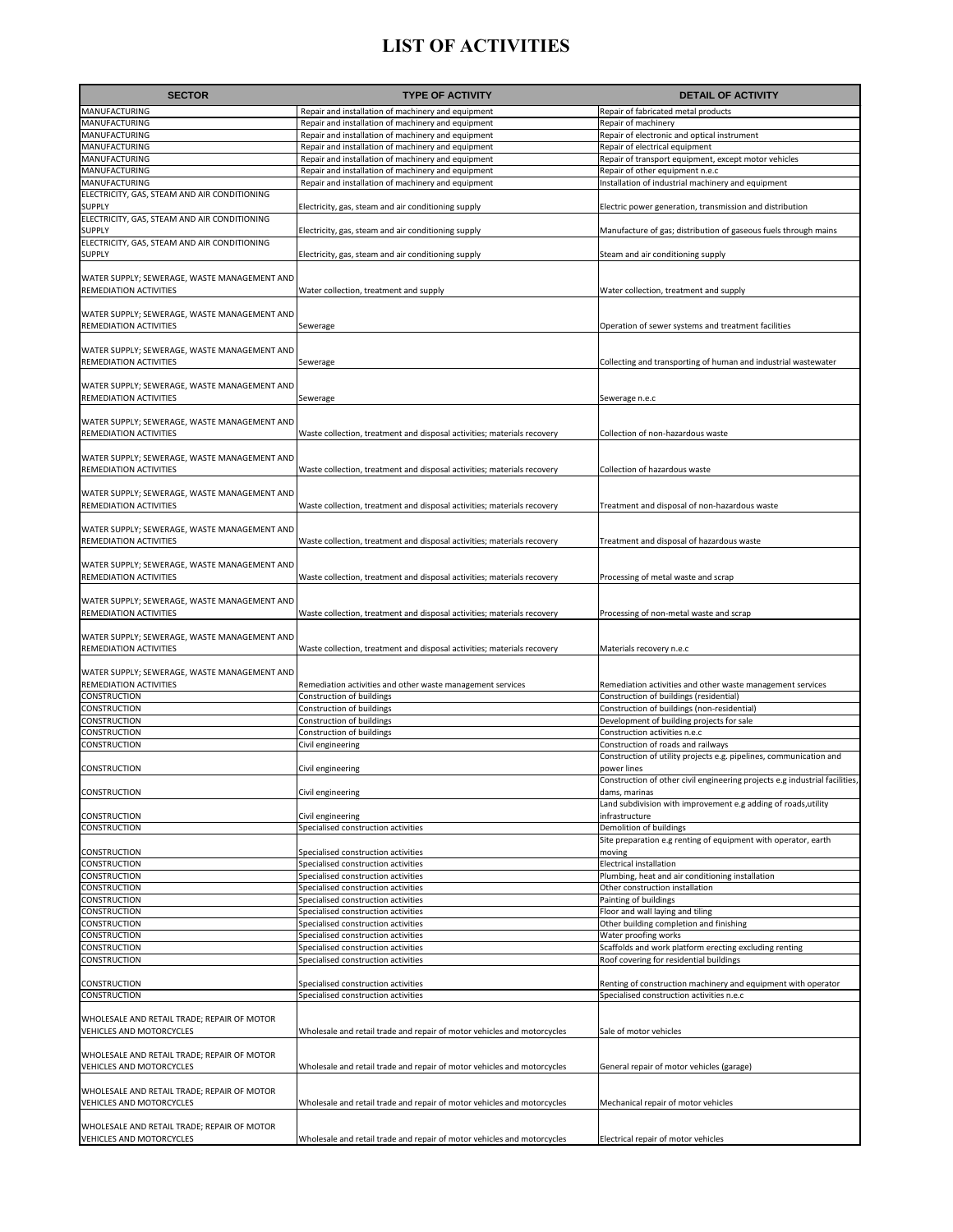| <b>SECTOR</b>                                                          | <b>TYPE OF ACTIVITY</b>                                                                                  | <b>DETAIL OF ACTIVITY</b>                                                                                  |
|------------------------------------------------------------------------|----------------------------------------------------------------------------------------------------------|------------------------------------------------------------------------------------------------------------|
| MANUFACTURING                                                          | Repair and installation of machinery and equipment                                                       | Repair of fabricated metal products                                                                        |
| MANUFACTURING                                                          | Repair and installation of machinery and equipment                                                       | Repair of machinery                                                                                        |
| MANUFACTURING                                                          | Repair and installation of machinery and equipment                                                       | Repair of electronic and optical instrument                                                                |
| MANUFACTURING                                                          | Repair and installation of machinery and equipment                                                       | Repair of electrical equipment                                                                             |
| MANUFACTURING<br>MANUFACTURING                                         | Repair and installation of machinery and equipment<br>Repair and installation of machinery and equipment | Repair of transport equipment, except motor vehicles<br>Repair of other equipment n.e.c                    |
| MANUFACTURING                                                          | Repair and installation of machinery and equipment                                                       | Installation of industrial machinery and equipment                                                         |
| ELECTRICITY, GAS, STEAM AND AIR CONDITIONING                           |                                                                                                          |                                                                                                            |
| SUPPLY                                                                 | Electricity, gas, steam and air conditioning supply                                                      | Electric power generation, transmission and distribution                                                   |
| ELECTRICITY, GAS, STEAM AND AIR CONDITIONING<br>SUPPLY                 | Electricity, gas, steam and air conditioning supply                                                      | Manufacture of gas; distribution of gaseous fuels through mains                                            |
| ELECTRICITY, GAS, STEAM AND AIR CONDITIONING                           |                                                                                                          |                                                                                                            |
| <b>SUPPLY</b>                                                          | Electricity, gas, steam and air conditioning supply                                                      | Steam and air conditioning supply                                                                          |
| WATER SUPPLY; SEWERAGE, WASTE MANAGEMENT AND                           |                                                                                                          |                                                                                                            |
| <b>REMEDIATION ACTIVITIES</b>                                          | Water collection, treatment and supply                                                                   | Water collection, treatment and supply                                                                     |
|                                                                        |                                                                                                          |                                                                                                            |
| WATER SUPPLY; SEWERAGE, WASTE MANAGEMENT AND                           |                                                                                                          |                                                                                                            |
| REMEDIATION ACTIVITIES                                                 | Sewerage                                                                                                 | Operation of sewer systems and treatment facilities                                                        |
| WATER SUPPLY; SEWERAGE, WASTE MANAGEMENT AND                           |                                                                                                          |                                                                                                            |
| REMEDIATION ACTIVITIES                                                 | Sewerage                                                                                                 | Collecting and transporting of human and industrial wastewater                                             |
|                                                                        |                                                                                                          |                                                                                                            |
| WATER SUPPLY; SEWERAGE, WASTE MANAGEMENT AND                           |                                                                                                          |                                                                                                            |
| REMEDIATION ACTIVITIES                                                 | Sewerage                                                                                                 | Sewerage n.e.c                                                                                             |
| WATER SUPPLY; SEWERAGE, WASTE MANAGEMENT AND                           |                                                                                                          |                                                                                                            |
| REMEDIATION ACTIVITIES                                                 | Waste collection, treatment and disposal activities; materials recovery                                  | Collection of non-hazardous waste                                                                          |
|                                                                        |                                                                                                          |                                                                                                            |
| WATER SUPPLY; SEWERAGE, WASTE MANAGEMENT AND<br>REMEDIATION ACTIVITIES | Waste collection, treatment and disposal activities; materials recovery                                  | Collection of hazardous waste                                                                              |
|                                                                        |                                                                                                          |                                                                                                            |
| WATER SUPPLY; SEWERAGE, WASTE MANAGEMENT AND                           |                                                                                                          |                                                                                                            |
| REMEDIATION ACTIVITIES                                                 | Waste collection, treatment and disposal activities; materials recovery                                  | Treatment and disposal of non-hazardous waste                                                              |
| WATER SUPPLY; SEWERAGE, WASTE MANAGEMENT AND                           |                                                                                                          |                                                                                                            |
| REMEDIATION ACTIVITIES                                                 | Waste collection, treatment and disposal activities; materials recovery                                  | Treatment and disposal of hazardous waste                                                                  |
|                                                                        |                                                                                                          |                                                                                                            |
| WATER SUPPLY; SEWERAGE, WASTE MANAGEMENT AND                           |                                                                                                          |                                                                                                            |
| REMEDIATION ACTIVITIES                                                 | Waste collection, treatment and disposal activities; materials recovery                                  | Processing of metal waste and scrap                                                                        |
| WATER SUPPLY; SEWERAGE, WASTE MANAGEMENT AND                           |                                                                                                          |                                                                                                            |
| REMEDIATION ACTIVITIES                                                 | Waste collection, treatment and disposal activities; materials recovery                                  | Processing of non-metal waste and scrap                                                                    |
| WATER SUPPLY; SEWERAGE, WASTE MANAGEMENT AND                           |                                                                                                          |                                                                                                            |
| REMEDIATION ACTIVITIES                                                 | Waste collection, treatment and disposal activities; materials recovery                                  | Materials recovery n.e.c                                                                                   |
|                                                                        |                                                                                                          |                                                                                                            |
| WATER SUPPLY; SEWERAGE, WASTE MANAGEMENT AND                           |                                                                                                          |                                                                                                            |
| REMEDIATION ACTIVITIES<br>CONSTRUCTION                                 | Remediation activities and other waste management services<br>Construction of buildings                  | Remediation activities and other waste management services<br>Construction of buildings (residential)      |
| <b>CONSTRUCTION</b>                                                    | Construction of buildings                                                                                | Construction of buildings (non-residential)                                                                |
| CONSTRUCTION                                                           | Construction of buildings                                                                                | Development of building projects for sale                                                                  |
| CONSTRUCTION                                                           | Construction of buildings                                                                                | Construction activities n.e.c                                                                              |
| CONSTRUCTION                                                           | Civil engineering                                                                                        | Construction of roads and railways<br>Construction of utility projects e.g. pipelines, communication and   |
| CONSTRUCTION                                                           | Civil engineering                                                                                        | power lines                                                                                                |
|                                                                        |                                                                                                          | Construction of other civil engineering projects e.g industrial facilities,                                |
| CONSTRUCTION                                                           | Civil engineering                                                                                        | dams, marinas                                                                                              |
| CONSTRUCTION                                                           | Civil engineering                                                                                        | Land subdivision with improvement e.g adding of roads, utility<br>infrastructure                           |
| CONSTRUCTION                                                           | Specialised construction activities                                                                      | Demolition of buildings                                                                                    |
|                                                                        |                                                                                                          | Site preparation e.g renting of equipment with operator, earth                                             |
| CONSTRUCTION                                                           | Specialised construction activities                                                                      | moving                                                                                                     |
| CONSTRUCTION<br>CONSTRUCTION                                           | Specialised construction activities<br>Specialised construction activities                               | <b>Electrical installation</b><br>Plumbing, heat and air conditioning installation                         |
| CONSTRUCTION                                                           | Specialised construction activities                                                                      | Other construction installation                                                                            |
| CONSTRUCTION                                                           | Specialised construction activities                                                                      | Painting of buildings                                                                                      |
| CONSTRUCTION                                                           | Specialised construction activities                                                                      | Floor and wall laying and tiling                                                                           |
| CONSTRUCTION<br>CONSTRUCTION                                           | Specialised construction activities<br>Specialised construction activities                               | Other building completion and finishing<br>Water proofing works                                            |
| CONSTRUCTION                                                           | Specialised construction activities                                                                      | Scaffolds and work platform erecting excluding renting                                                     |
| CONSTRUCTION                                                           | Specialised construction activities                                                                      | Roof covering for residential buildings                                                                    |
|                                                                        |                                                                                                          |                                                                                                            |
| CONSTRUCTION<br>CONSTRUCTION                                           | Specialised construction activities<br>Specialised construction activities                               | Renting of construction machinery and equipment with operator<br>Specialised construction activities n.e.c |
|                                                                        |                                                                                                          |                                                                                                            |
| WHOLESALE AND RETAIL TRADE; REPAIR OF MOTOR                            |                                                                                                          |                                                                                                            |
| VEHICLES AND MOTORCYCLES                                               | Wholesale and retail trade and repair of motor vehicles and motorcycles                                  | Sale of motor vehicles                                                                                     |
| WHOLESALE AND RETAIL TRADE; REPAIR OF MOTOR                            |                                                                                                          |                                                                                                            |
| VEHICLES AND MOTORCYCLES                                               | Wholesale and retail trade and repair of motor vehicles and motorcycles                                  | General repair of motor vehicles (garage)                                                                  |
|                                                                        |                                                                                                          |                                                                                                            |
| WHOLESALE AND RETAIL TRADE; REPAIR OF MOTOR                            |                                                                                                          |                                                                                                            |
| VEHICLES AND MOTORCYCLES                                               | Wholesale and retail trade and repair of motor vehicles and motorcycles                                  | Mechanical repair of motor vehicles                                                                        |
| WHOLESALE AND RETAIL TRADE; REPAIR OF MOTOR                            |                                                                                                          |                                                                                                            |
| VEHICLES AND MOTORCYCLES                                               | Wholesale and retail trade and repair of motor vehicles and motorcycles                                  | Electrical repair of motor vehicles                                                                        |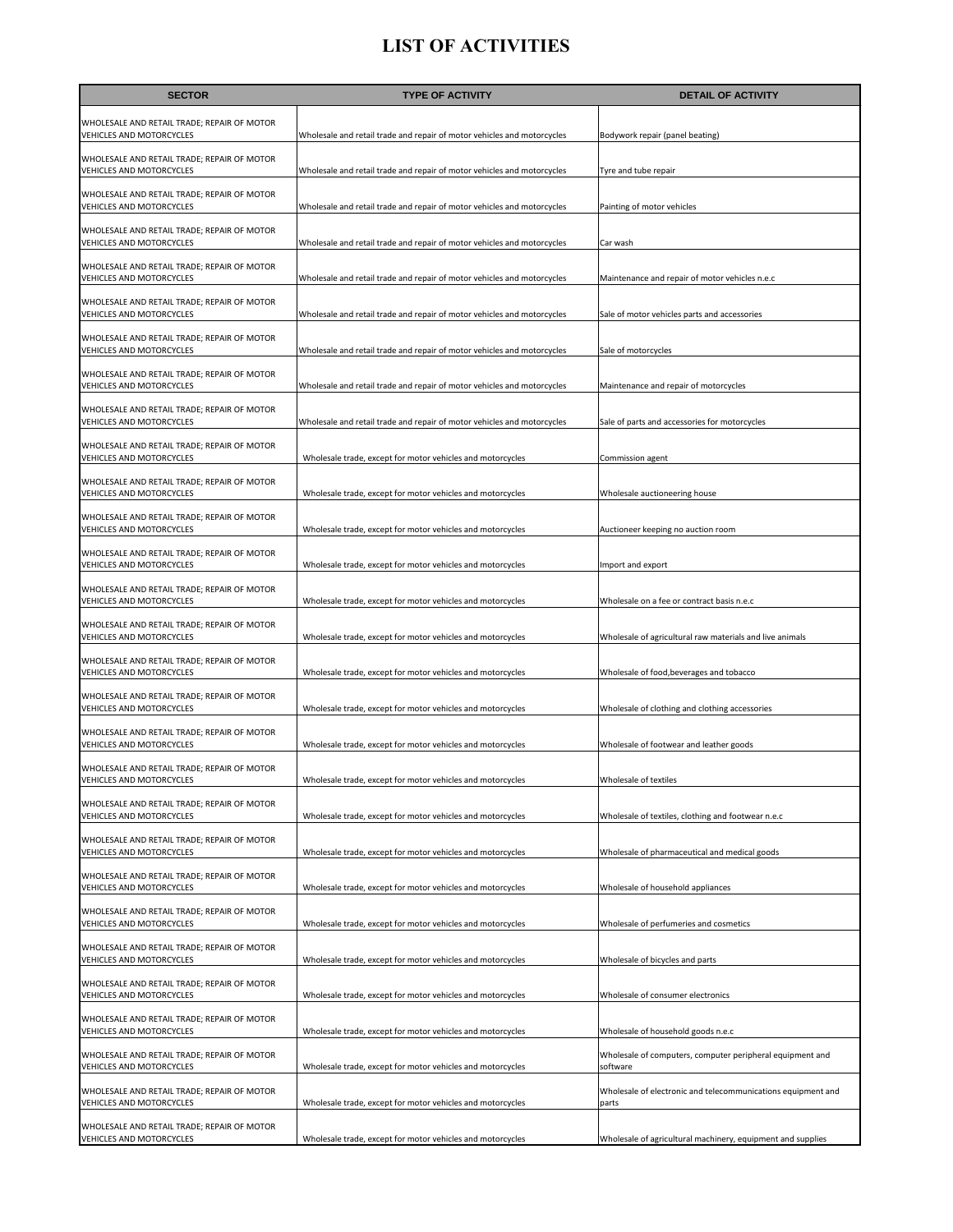| <b>SECTOR</b>                                                           | <b>TYPE OF ACTIVITY</b>                                                 | <b>DETAIL OF ACTIVITY</b>                                             |
|-------------------------------------------------------------------------|-------------------------------------------------------------------------|-----------------------------------------------------------------------|
| WHOLESALE AND RETAIL TRADE; REPAIR OF MOTOR<br>VEHICLES AND MOTORCYCLES | Wholesale and retail trade and repair of motor vehicles and motorcycles | Bodywork repair (panel beating)                                       |
| WHOLESALE AND RETAIL TRADE; REPAIR OF MOTOR<br>VEHICLES AND MOTORCYCLES | Wholesale and retail trade and repair of motor vehicles and motorcycles | Tyre and tube repair                                                  |
| WHOLESALE AND RETAIL TRADE; REPAIR OF MOTOR<br>VEHICLES AND MOTORCYCLES | Wholesale and retail trade and repair of motor vehicles and motorcycles | Painting of motor vehicles                                            |
| WHOLESALE AND RETAIL TRADE; REPAIR OF MOTOR<br>VEHICLES AND MOTORCYCLES | Wholesale and retail trade and repair of motor vehicles and motorcycles | Car wash                                                              |
| WHOLESALE AND RETAIL TRADE; REPAIR OF MOTOR<br>VEHICLES AND MOTORCYCLES | Wholesale and retail trade and repair of motor vehicles and motorcycles | Maintenance and repair of motor vehicles n.e.c                        |
| WHOLESALE AND RETAIL TRADE; REPAIR OF MOTOR<br>VEHICLES AND MOTORCYCLES | Wholesale and retail trade and repair of motor vehicles and motorcycles | Sale of motor vehicles parts and accessories                          |
| WHOLESALE AND RETAIL TRADE; REPAIR OF MOTOR<br>VEHICLES AND MOTORCYCLES | Wholesale and retail trade and repair of motor vehicles and motorcycles | Sale of motorcycles                                                   |
| WHOLESALE AND RETAIL TRADE; REPAIR OF MOTOR<br>VEHICLES AND MOTORCYCLES | Wholesale and retail trade and repair of motor vehicles and motorcycles | Maintenance and repair of motorcycles                                 |
| WHOLESALE AND RETAIL TRADE; REPAIR OF MOTOR<br>VEHICLES AND MOTORCYCLES | Wholesale and retail trade and repair of motor vehicles and motorcycles | Sale of parts and accessories for motorcycles                         |
| WHOLESALE AND RETAIL TRADE; REPAIR OF MOTOR<br>VEHICLES AND MOTORCYCLES | Wholesale trade, except for motor vehicles and motorcycles              | Commission agent                                                      |
| WHOLESALE AND RETAIL TRADE; REPAIR OF MOTOR<br>VEHICLES AND MOTORCYCLES | Wholesale trade, except for motor vehicles and motorcycles              | Wholesale auctioneering house                                         |
| WHOLESALE AND RETAIL TRADE; REPAIR OF MOTOR<br>VEHICLES AND MOTORCYCLES | Wholesale trade, except for motor vehicles and motorcycles              | Auctioneer keeping no auction room                                    |
| WHOLESALE AND RETAIL TRADE; REPAIR OF MOTOR<br>VEHICLES AND MOTORCYCLES | Wholesale trade, except for motor vehicles and motorcycles              | Import and export                                                     |
| WHOLESALE AND RETAIL TRADE; REPAIR OF MOTOR<br>VEHICLES AND MOTORCYCLES | Wholesale trade, except for motor vehicles and motorcycles              | Wholesale on a fee or contract basis n.e.c                            |
| WHOLESALE AND RETAIL TRADE; REPAIR OF MOTOR<br>VEHICLES AND MOTORCYCLES | Wholesale trade, except for motor vehicles and motorcycles              | Wholesale of agricultural raw materials and live animals              |
| WHOLESALE AND RETAIL TRADE; REPAIR OF MOTOR<br>VEHICLES AND MOTORCYCLES | Wholesale trade, except for motor vehicles and motorcycles              | Wholesale of food, beverages and tobacco                              |
| WHOLESALE AND RETAIL TRADE; REPAIR OF MOTOR<br>VEHICLES AND MOTORCYCLES | Wholesale trade, except for motor vehicles and motorcycles              | Wholesale of clothing and clothing accessories                        |
| WHOLESALE AND RETAIL TRADE; REPAIR OF MOTOR<br>VEHICLES AND MOTORCYCLES | Wholesale trade, except for motor vehicles and motorcycles              | Wholesale of footwear and leather goods                               |
| WHOLESALE AND RETAIL TRADE; REPAIR OF MOTOR<br>VEHICLES AND MOTORCYCLES | Wholesale trade, except for motor vehicles and motorcycles              | Wholesale of textiles                                                 |
| WHOLESALE AND RETAIL TRADE; REPAIR OF MOTOR<br>VEHICLES AND MOTORCYCLES | Wholesale trade, except for motor vehicles and motorcycles              | Wholesale of textiles, clothing and footwear n.e.c                    |
| WHOLESALE AND RETAIL TRADE; REPAIR OF MOTOR<br>VEHICLES AND MOTORCYCLES | Wholesale trade, except for motor vehicles and motorcycles              | Wholesale of pharmaceutical and medical goods                         |
| WHOLESALE AND RETAIL TRADE; REPAIR OF MOTOR<br>VEHICLES AND MOTORCYCLES | Wholesale trade, except for motor vehicles and motorcycles              | Wholesale of household appliances                                     |
| WHOLESALE AND RETAIL TRADE; REPAIR OF MOTOR<br>VEHICLES AND MOTORCYCLES | Wholesale trade, except for motor vehicles and motorcycles              | Wholesale of perfumeries and cosmetics                                |
| WHOLESALE AND RETAIL TRADE; REPAIR OF MOTOR<br>VEHICLES AND MOTORCYCLES | Wholesale trade, except for motor vehicles and motorcycles              | Wholesale of bicycles and parts                                       |
| WHOLESALE AND RETAIL TRADE; REPAIR OF MOTOR<br>VEHICLES AND MOTORCYCLES | Wholesale trade, except for motor vehicles and motorcycles              | Wholesale of consumer electronics                                     |
| WHOLESALE AND RETAIL TRADE; REPAIR OF MOTOR<br>VEHICLES AND MOTORCYCLES | Wholesale trade, except for motor vehicles and motorcycles              | Wholesale of household goods n.e.c                                    |
| WHOLESALE AND RETAIL TRADE; REPAIR OF MOTOR<br>VEHICLES AND MOTORCYCLES | Wholesale trade, except for motor vehicles and motorcycles              | Wholesale of computers, computer peripheral equipment and<br>software |
| WHOLESALE AND RETAIL TRADE; REPAIR OF MOTOR<br>VEHICLES AND MOTORCYCLES | Wholesale trade, except for motor vehicles and motorcycles              | Wholesale of electronic and telecommunications equipment and<br>parts |
| WHOLESALE AND RETAIL TRADE; REPAIR OF MOTOR<br>VEHICLES AND MOTORCYCLES | Wholesale trade, except for motor vehicles and motorcycles              | Wholesale of agricultural machinery, equipment and supplies           |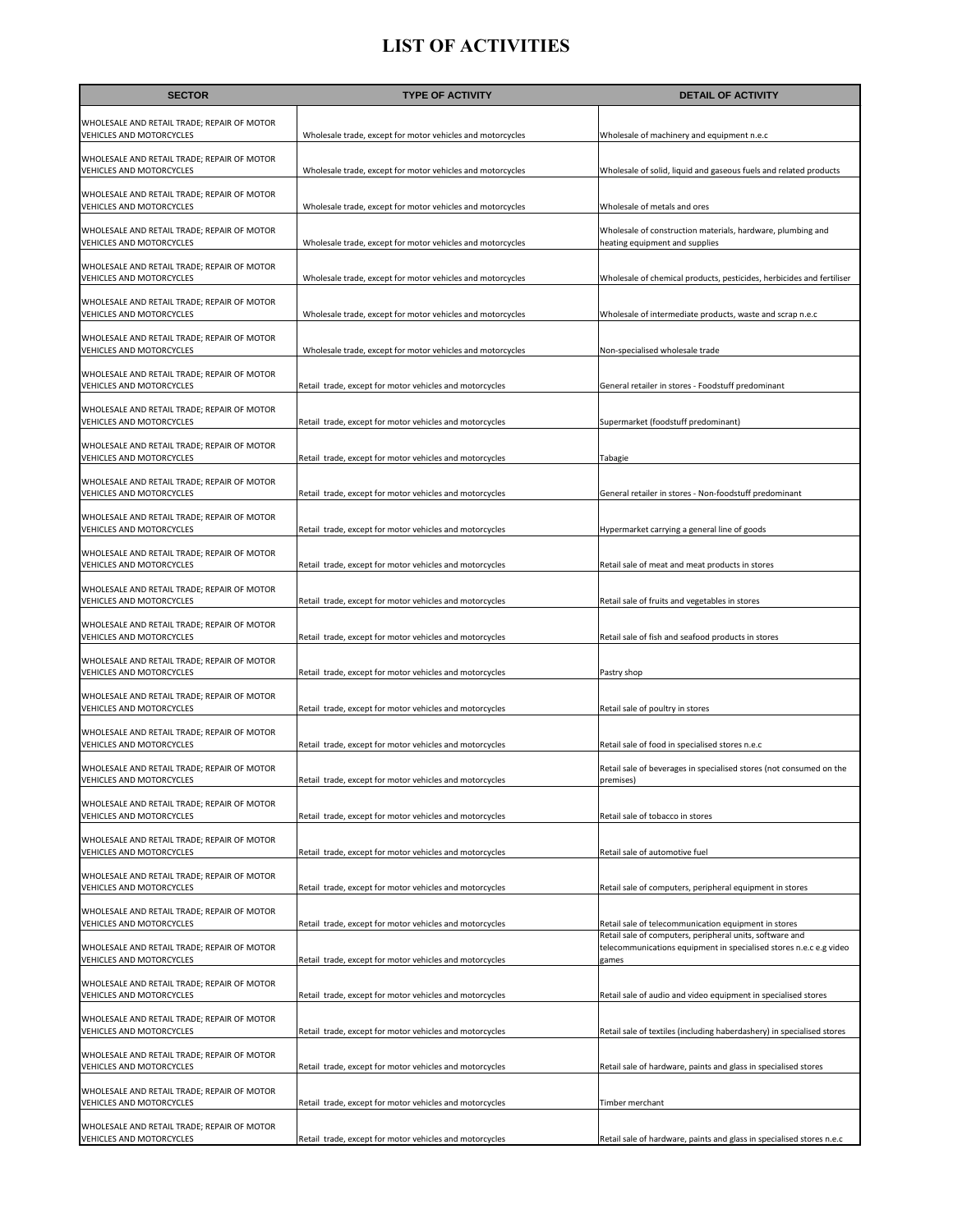| <b>SECTOR</b>                                                                  | <b>TYPE OF ACTIVITY</b>                                    | <b>DETAIL OF ACTIVITY</b>                                                                                                               |
|--------------------------------------------------------------------------------|------------------------------------------------------------|-----------------------------------------------------------------------------------------------------------------------------------------|
| WHOLESALE AND RETAIL TRADE; REPAIR OF MOTOR<br>VEHICLES AND MOTORCYCLES        | Wholesale trade, except for motor vehicles and motorcycles | Wholesale of machinery and equipment n.e.c                                                                                              |
| WHOLESALE AND RETAIL TRADE; REPAIR OF MOTOR<br>VEHICLES AND MOTORCYCLES        | Wholesale trade, except for motor vehicles and motorcycles | Wholesale of solid, liquid and gaseous fuels and related products                                                                       |
| WHOLESALE AND RETAIL TRADE; REPAIR OF MOTOR<br>VEHICLES AND MOTORCYCLES        | Wholesale trade, except for motor vehicles and motorcycles | Wholesale of metals and ores                                                                                                            |
| WHOLESALE AND RETAIL TRADE; REPAIR OF MOTOR<br>VEHICLES AND MOTORCYCLES        | Wholesale trade, except for motor vehicles and motorcycles | Wholesale of construction materials, hardware, plumbing and<br>heating equipment and supplies                                           |
| WHOLESALE AND RETAIL TRADE; REPAIR OF MOTOR<br>VEHICLES AND MOTORCYCLES        | Wholesale trade, except for motor vehicles and motorcycles | Wholesale of chemical products, pesticides, herbicides and fertiliser                                                                   |
| WHOLESALE AND RETAIL TRADE; REPAIR OF MOTOR<br>VEHICLES AND MOTORCYCLES        | Wholesale trade, except for motor vehicles and motorcycles | Wholesale of intermediate products, waste and scrap n.e.c                                                                               |
| WHOLESALE AND RETAIL TRADE; REPAIR OF MOTOR<br>VEHICLES AND MOTORCYCLES        | Wholesale trade, except for motor vehicles and motorcycles | Non-specialised wholesale trade                                                                                                         |
| WHOLESALE AND RETAIL TRADE; REPAIR OF MOTOR<br>VEHICLES AND MOTORCYCLES        | Retail trade, except for motor vehicles and motorcycles    | General retailer in stores - Foodstuff predominant                                                                                      |
| WHOLESALE AND RETAIL TRADE; REPAIR OF MOTOR<br>VEHICLES AND MOTORCYCLES        | Retail trade, except for motor vehicles and motorcycles    | Supermarket (foodstuff predominant)                                                                                                     |
| WHOLESALE AND RETAIL TRADE; REPAIR OF MOTOR<br>VEHICLES AND MOTORCYCLES        | Retail trade, except for motor vehicles and motorcycles    | Tabagie                                                                                                                                 |
| WHOLESALE AND RETAIL TRADE; REPAIR OF MOTOR<br>VEHICLES AND MOTORCYCLES        | Retail trade, except for motor vehicles and motorcycles    | General retailer in stores - Non-foodstuff predominant                                                                                  |
| WHOLESALE AND RETAIL TRADE; REPAIR OF MOTOR<br>VEHICLES AND MOTORCYCLES        | Retail trade, except for motor vehicles and motorcycles    | Hypermarket carrying a general line of goods                                                                                            |
| WHOLESALE AND RETAIL TRADE; REPAIR OF MOTOR<br>VEHICLES AND MOTORCYCLES        | Retail trade, except for motor vehicles and motorcycles    | Retail sale of meat and meat products in stores                                                                                         |
| WHOLESALE AND RETAIL TRADE; REPAIR OF MOTOR<br>VEHICLES AND MOTORCYCLES        | Retail trade, except for motor vehicles and motorcycles    | Retail sale of fruits and vegetables in stores                                                                                          |
| WHOLESALE AND RETAIL TRADE; REPAIR OF MOTOR<br>VEHICLES AND MOTORCYCLES        | Retail trade, except for motor vehicles and motorcycles    | Retail sale of fish and seafood products in stores                                                                                      |
| WHOLESALE AND RETAIL TRADE; REPAIR OF MOTOR<br>VEHICLES AND MOTORCYCLES        | Retail trade, except for motor vehicles and motorcycles    | Pastry shop                                                                                                                             |
| WHOLESALE AND RETAIL TRADE; REPAIR OF MOTOR<br>VEHICLES AND MOTORCYCLES        | Retail trade, except for motor vehicles and motorcycles    | Retail sale of poultry in stores                                                                                                        |
| WHOLESALE AND RETAIL TRADE; REPAIR OF MOTOR<br><b>VEHICLES AND MOTORCYCLES</b> | Retail trade, except for motor vehicles and motorcycles    | Retail sale of food in specialised stores n.e.c                                                                                         |
| WHOLESALE AND RETAIL TRADE; REPAIR OF MOTOR<br><b>VEHICLES AND MOTORCYCLES</b> | Retail trade, except for motor vehicles and motorcycles    | Retail sale of beverages in specialised stores (not consumed on the<br>premises                                                         |
| WHOLESALE AND RETAIL TRADE; REPAIR OF MOTOR<br>VEHICLES AND MOTORCYCLES        | Retail trade, except for motor vehicles and motorcycles    | Retail sale of tobacco in stores                                                                                                        |
| WHOLESALE AND RETAIL TRADE; REPAIR OF MOTOR<br>VEHICLES AND MOTORCYCLES        | Retail trade, except for motor vehicles and motorcycles    | Retail sale of automotive fuel                                                                                                          |
| WHOLESALE AND RETAIL TRADE; REPAIR OF MOTOR<br>VEHICLES AND MOTORCYCLES        | Retail trade, except for motor vehicles and motorcycles    | Retail sale of computers, peripheral equipment in stores                                                                                |
| WHOLESALE AND RETAIL TRADE; REPAIR OF MOTOR<br>VEHICLES AND MOTORCYCLES        | Retail trade, except for motor vehicles and motorcycles    | Retail sale of telecommunication equipment in stores                                                                                    |
| WHOLESALE AND RETAIL TRADE; REPAIR OF MOTOR<br>VEHICLES AND MOTORCYCLES        | Retail trade, except for motor vehicles and motorcycles    | Retail sale of computers, peripheral units, software and<br>telecommunications equipment in specialised stores n.e.c e.g video<br>games |
| WHOLESALE AND RETAIL TRADE; REPAIR OF MOTOR<br>VEHICLES AND MOTORCYCLES        | Retail trade, except for motor vehicles and motorcycles    | Retail sale of audio and video equipment in specialised stores                                                                          |
| WHOLESALE AND RETAIL TRADE; REPAIR OF MOTOR<br>VEHICLES AND MOTORCYCLES        | Retail trade, except for motor vehicles and motorcycles    | Retail sale of textiles (including haberdashery) in specialised stores                                                                  |
| WHOLESALE AND RETAIL TRADE; REPAIR OF MOTOR<br>VEHICLES AND MOTORCYCLES        | Retail trade, except for motor vehicles and motorcycles    | Retail sale of hardware, paints and glass in specialised stores                                                                         |
| WHOLESALE AND RETAIL TRADE; REPAIR OF MOTOR<br>VEHICLES AND MOTORCYCLES        | Retail trade, except for motor vehicles and motorcycles    | Timber merchant                                                                                                                         |
| WHOLESALE AND RETAIL TRADE; REPAIR OF MOTOR<br>VEHICLES AND MOTORCYCLES        | Retail trade, except for motor vehicles and motorcycles    | Retail sale of hardware, paints and glass in specialised stores n.e.c                                                                   |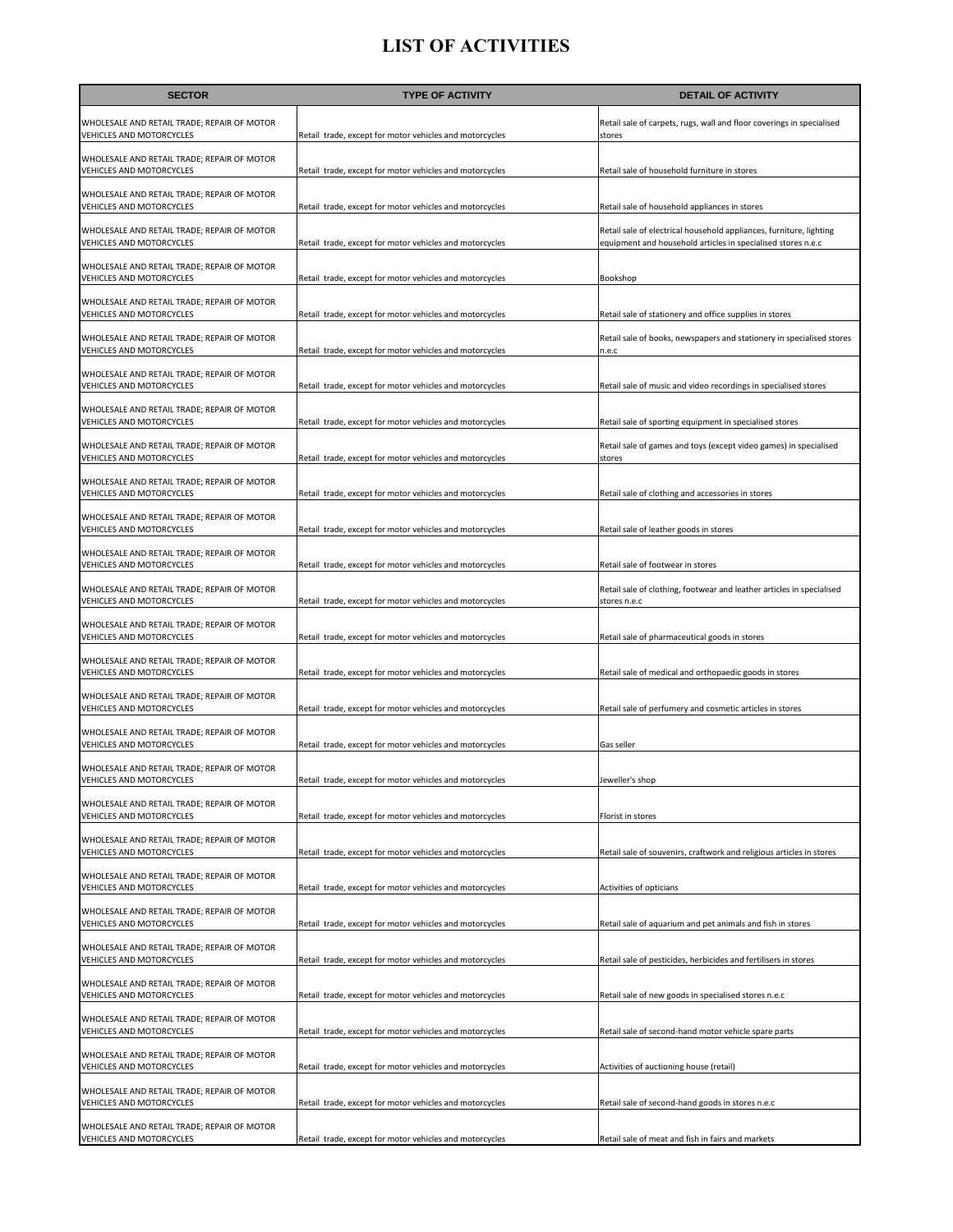| <b>SECTOR</b>                                                           | <b>TYPE OF ACTIVITY</b>                                 | <b>DETAIL OF ACTIVITY</b>                                                                                                           |
|-------------------------------------------------------------------------|---------------------------------------------------------|-------------------------------------------------------------------------------------------------------------------------------------|
| WHOLESALE AND RETAIL TRADE; REPAIR OF MOTOR<br>VEHICLES AND MOTORCYCLES | Retail trade, except for motor vehicles and motorcycles | Retail sale of carpets, rugs, wall and floor coverings in specialised<br>stores                                                     |
| WHOLESALE AND RETAIL TRADE; REPAIR OF MOTOR<br>VEHICLES AND MOTORCYCLES | Retail trade, except for motor vehicles and motorcycles | Retail sale of household furniture in stores                                                                                        |
| WHOLESALE AND RETAIL TRADE; REPAIR OF MOTOR<br>VEHICLES AND MOTORCYCLES | Retail trade, except for motor vehicles and motorcycles | Retail sale of household appliances in stores                                                                                       |
| WHOLESALE AND RETAIL TRADE; REPAIR OF MOTOR<br>VEHICLES AND MOTORCYCLES | Retail trade, except for motor vehicles and motorcycles | Retail sale of electrical household appliances, furniture, lighting<br>equipment and household articles in specialised stores n.e.c |
| WHOLESALE AND RETAIL TRADE; REPAIR OF MOTOR<br>VEHICLES AND MOTORCYCLES | Retail trade, except for motor vehicles and motorcycles | Bookshop                                                                                                                            |
| WHOLESALE AND RETAIL TRADE; REPAIR OF MOTOR<br>VEHICLES AND MOTORCYCLES | Retail trade, except for motor vehicles and motorcycles | Retail sale of stationery and office supplies in stores                                                                             |
| WHOLESALE AND RETAIL TRADE; REPAIR OF MOTOR<br>VEHICLES AND MOTORCYCLES | Retail trade, except for motor vehicles and motorcycles | Retail sale of books, newspapers and stationery in specialised stores<br>n.e.c                                                      |
| WHOLESALE AND RETAIL TRADE; REPAIR OF MOTOR<br>VEHICLES AND MOTORCYCLES | Retail trade, except for motor vehicles and motorcycles | Retail sale of music and video recordings in specialised stores                                                                     |
| WHOLESALE AND RETAIL TRADE; REPAIR OF MOTOR<br>VEHICLES AND MOTORCYCLES | Retail trade, except for motor vehicles and motorcycles | Retail sale of sporting equipment in specialised stores                                                                             |
| WHOLESALE AND RETAIL TRADE; REPAIR OF MOTOR<br>VEHICLES AND MOTORCYCLES | Retail trade, except for motor vehicles and motorcycles | Retail sale of games and toys (except video games) in specialised<br>stores                                                         |
| WHOLESALE AND RETAIL TRADE; REPAIR OF MOTOR<br>VEHICLES AND MOTORCYCLES | Retail trade, except for motor vehicles and motorcycles | Retail sale of clothing and accessories in stores                                                                                   |
| WHOLESALE AND RETAIL TRADE; REPAIR OF MOTOR<br>VEHICLES AND MOTORCYCLES | Retail trade, except for motor vehicles and motorcycles | Retail sale of leather goods in stores                                                                                              |
| WHOLESALE AND RETAIL TRADE; REPAIR OF MOTOR<br>VEHICLES AND MOTORCYCLES | Retail trade, except for motor vehicles and motorcycles | Retail sale of footwear in stores                                                                                                   |
| WHOLESALE AND RETAIL TRADE; REPAIR OF MOTOR<br>VEHICLES AND MOTORCYCLES | Retail trade, except for motor vehicles and motorcycles | Retail sale of clothing, footwear and leather articles in specialised<br>stores n.e.c                                               |
| WHOLESALE AND RETAIL TRADE; REPAIR OF MOTOR<br>VEHICLES AND MOTORCYCLES | Retail trade, except for motor vehicles and motorcycles | Retail sale of pharmaceutical goods in stores                                                                                       |
| WHOLESALE AND RETAIL TRADE; REPAIR OF MOTOR<br>VEHICLES AND MOTORCYCLES | Retail trade, except for motor vehicles and motorcycles | Retail sale of medical and orthopaedic goods in stores                                                                              |
| WHOLESALE AND RETAIL TRADE; REPAIR OF MOTOR<br>VEHICLES AND MOTORCYCLES | Retail trade, except for motor vehicles and motorcycles | Retail sale of perfumery and cosmetic articles in stores                                                                            |
| WHOLESALE AND RETAIL TRADE; REPAIR OF MOTOR<br>VEHICLES AND MOTORCYCLES | Retail trade, except for motor vehicles and motorcycles | Gas seller                                                                                                                          |
| WHOLESALE AND RETAIL TRADE; REPAIR OF MOTOR<br>VEHICLES AND MOTORCYCLES | Retail trade, except for motor vehicles and motorcycles | Jeweller's shop                                                                                                                     |
| WHOLESALE AND RETAIL TRADE; REPAIR OF MOTOR<br>VEHICLES AND MOTORCYCLES | Retail trade, except for motor vehicles and motorcycles | Florist in stores                                                                                                                   |
| WHOLESALE AND RETAIL TRADE; REPAIR OF MOTOR<br>VEHICLES AND MOTORCYCLES | Retail trade, except for motor vehicles and motorcycles | Retail sale of souvenirs, craftwork and religious articles in stores                                                                |
| WHOLESALE AND RETAIL TRADE; REPAIR OF MOTOR<br>VEHICLES AND MOTORCYCLES | Retail trade, except for motor vehicles and motorcycles | Activities of opticians                                                                                                             |
| WHOLESALE AND RETAIL TRADE; REPAIR OF MOTOR<br>VEHICLES AND MOTORCYCLES | Retail trade, except for motor vehicles and motorcycles | Retail sale of aquarium and pet animals and fish in stores                                                                          |
| WHOLESALE AND RETAIL TRADE; REPAIR OF MOTOR<br>VEHICLES AND MOTORCYCLES | Retail trade, except for motor vehicles and motorcycles | Retail sale of pesticides, herbicides and fertilisers in stores                                                                     |
| WHOLESALE AND RETAIL TRADE; REPAIR OF MOTOR<br>VEHICLES AND MOTORCYCLES | Retail trade, except for motor vehicles and motorcycles | Retail sale of new goods in specialised stores n.e.c                                                                                |
| WHOLESALE AND RETAIL TRADE; REPAIR OF MOTOR<br>VEHICLES AND MOTORCYCLES | Retail trade, except for motor vehicles and motorcycles | Retail sale of second-hand motor vehicle spare parts                                                                                |
| WHOLESALE AND RETAIL TRADE; REPAIR OF MOTOR<br>VEHICLES AND MOTORCYCLES | Retail trade, except for motor vehicles and motorcycles | Activities of auctioning house (retail)                                                                                             |
| WHOLESALE AND RETAIL TRADE; REPAIR OF MOTOR<br>VEHICLES AND MOTORCYCLES | Retail trade, except for motor vehicles and motorcycles | Retail sale of second-hand goods in stores n.e.c                                                                                    |
| WHOLESALE AND RETAIL TRADE; REPAIR OF MOTOR<br>VEHICLES AND MOTORCYCLES | Retail trade, except for motor vehicles and motorcycles | Retail sale of meat and fish in fairs and markets                                                                                   |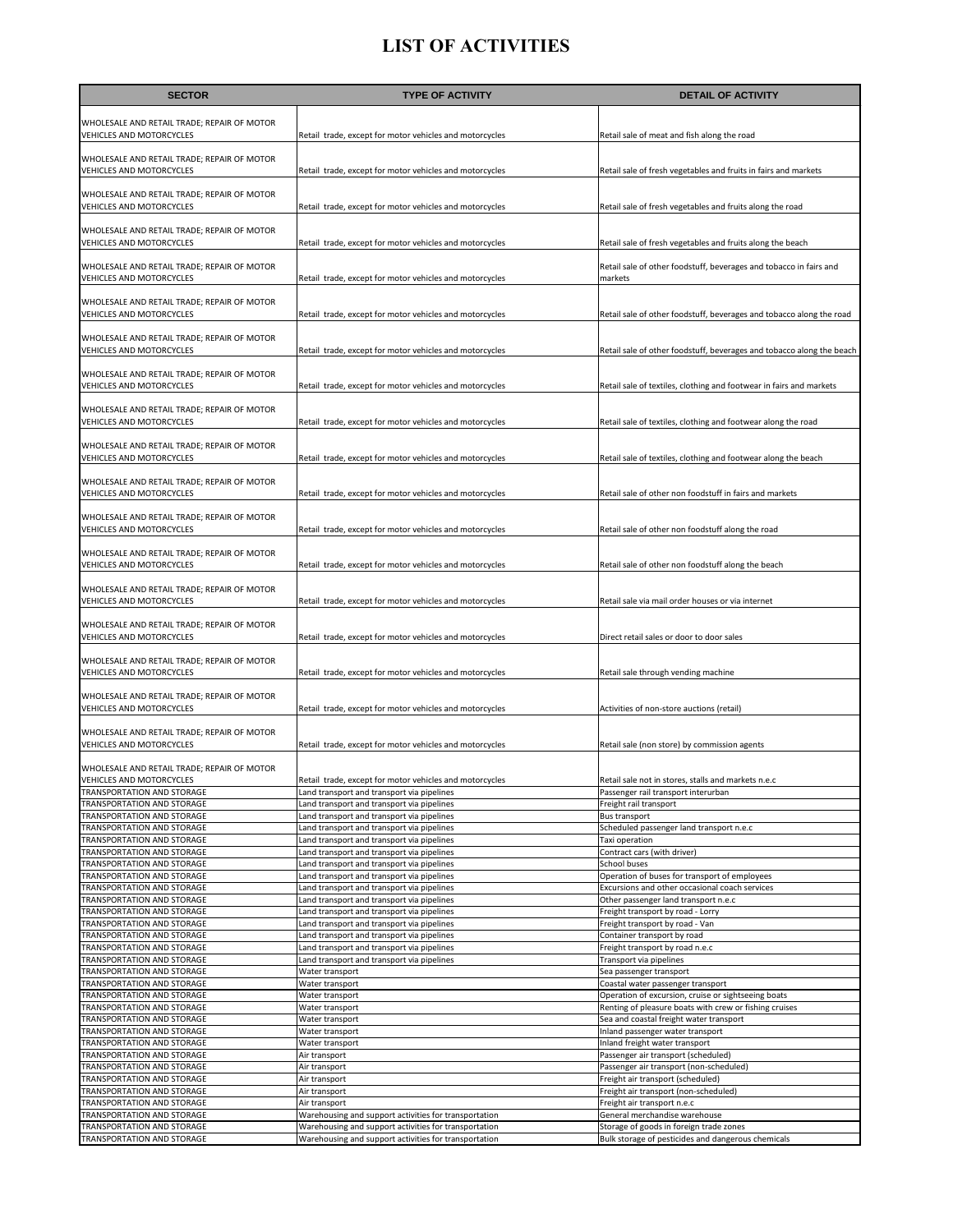| <b>SECTOR</b>                                                           | <b>TYPE OF ACTIVITY</b>                                                                  | <b>DETAIL OF ACTIVITY</b>                                                                                     |
|-------------------------------------------------------------------------|------------------------------------------------------------------------------------------|---------------------------------------------------------------------------------------------------------------|
|                                                                         |                                                                                          |                                                                                                               |
| WHOLESALE AND RETAIL TRADE; REPAIR OF MOTOR<br>VEHICLES AND MOTORCYCLES | Retail trade, except for motor vehicles and motorcycles                                  | Retail sale of meat and fish along the road                                                                   |
|                                                                         |                                                                                          |                                                                                                               |
| WHOLESALE AND RETAIL TRADE; REPAIR OF MOTOR<br>VEHICLES AND MOTORCYCLES | Retail trade, except for motor vehicles and motorcycles                                  | Retail sale of fresh vegetables and fruits in fairs and markets                                               |
|                                                                         |                                                                                          |                                                                                                               |
| WHOLESALE AND RETAIL TRADE; REPAIR OF MOTOR<br>VEHICLES AND MOTORCYCLES | Retail trade, except for motor vehicles and motorcycles                                  | Retail sale of fresh vegetables and fruits along the road                                                     |
|                                                                         |                                                                                          |                                                                                                               |
| WHOLESALE AND RETAIL TRADE; REPAIR OF MOTOR<br>VEHICLES AND MOTORCYCLES | Retail trade, except for motor vehicles and motorcycles                                  | Retail sale of fresh vegetables and fruits along the beach                                                    |
|                                                                         |                                                                                          |                                                                                                               |
| WHOLESALE AND RETAIL TRADE; REPAIR OF MOTOR<br>VEHICLES AND MOTORCYCLES | Retail trade, except for motor vehicles and motorcycles                                  | Retail sale of other foodstuff, beverages and tobacco in fairs and<br>markets                                 |
|                                                                         |                                                                                          |                                                                                                               |
| WHOLESALE AND RETAIL TRADE; REPAIR OF MOTOR<br>VEHICLES AND MOTORCYCLES | Retail trade, except for motor vehicles and motorcycles                                  | Retail sale of other foodstuff, beverages and tobacco along the road                                          |
| WHOLESALE AND RETAIL TRADE; REPAIR OF MOTOR                             |                                                                                          |                                                                                                               |
| VEHICLES AND MOTORCYCLES                                                | Retail trade, except for motor vehicles and motorcycles                                  | Retail sale of other foodstuff, beverages and tobacco along the beach                                         |
| WHOLESALE AND RETAIL TRADE; REPAIR OF MOTOR                             |                                                                                          |                                                                                                               |
| VEHICLES AND MOTORCYCLES                                                | Retail trade, except for motor vehicles and motorcycles                                  | Retail sale of textiles, clothing and footwear in fairs and markets                                           |
| WHOLESALE AND RETAIL TRADE; REPAIR OF MOTOR                             |                                                                                          |                                                                                                               |
| VEHICLES AND MOTORCYCLES                                                | Retail trade, except for motor vehicles and motorcycles                                  | Retail sale of textiles, clothing and footwear along the road                                                 |
| WHOLESALE AND RETAIL TRADE; REPAIR OF MOTOR                             |                                                                                          |                                                                                                               |
| VEHICLES AND MOTORCYCLES                                                | Retail trade, except for motor vehicles and motorcycles                                  | Retail sale of textiles, clothing and footwear along the beach                                                |
|                                                                         |                                                                                          |                                                                                                               |
| WHOLESALE AND RETAIL TRADE; REPAIR OF MOTOR<br>VEHICLES AND MOTORCYCLES | Retail trade, except for motor vehicles and motorcycles                                  | Retail sale of other non foodstuff in fairs and markets                                                       |
|                                                                         |                                                                                          |                                                                                                               |
| WHOLESALE AND RETAIL TRADE; REPAIR OF MOTOR<br>VEHICLES AND MOTORCYCLES | Retail trade, except for motor vehicles and motorcycles                                  | Retail sale of other non foodstuff along the road                                                             |
|                                                                         |                                                                                          |                                                                                                               |
| WHOLESALE AND RETAIL TRADE; REPAIR OF MOTOR<br>VEHICLES AND MOTORCYCLES | Retail trade, except for motor vehicles and motorcycles                                  | Retail sale of other non foodstuff along the beach                                                            |
|                                                                         |                                                                                          |                                                                                                               |
| WHOLESALE AND RETAIL TRADE; REPAIR OF MOTOR<br>VEHICLES AND MOTORCYCLES | Retail trade, except for motor vehicles and motorcycles                                  | Retail sale via mail order houses or via internet                                                             |
|                                                                         |                                                                                          |                                                                                                               |
| WHOLESALE AND RETAIL TRADE; REPAIR OF MOTOR<br>VEHICLES AND MOTORCYCLES | Retail trade, except for motor vehicles and motorcycles                                  | Direct retail sales or door to door sales                                                                     |
|                                                                         |                                                                                          |                                                                                                               |
| WHOLESALE AND RETAIL TRADE; REPAIR OF MOTOR<br>VEHICLES AND MOTORCYCLES | Retail trade, except for motor vehicles and motorcycles                                  | Retail sale through vending machine                                                                           |
|                                                                         |                                                                                          |                                                                                                               |
| WHOLESALE AND RETAIL TRADE; REPAIR OF MOTOR<br>VEHICLES AND MOTORCYCLES | Retail trade, except for motor vehicles and motorcycles                                  | Activities of non-store auctions (retail)                                                                     |
|                                                                         |                                                                                          |                                                                                                               |
| WHOLESALE AND RETAIL TRADE; REPAIR OF MOTOR<br>VEHICLES AND MOTORCYCLES | Retail trade, except for motor vehicles and motorcycles                                  | Retail sale (non store) by commission agents                                                                  |
|                                                                         |                                                                                          |                                                                                                               |
| WHOLESALE AND RETAIL TRADE; REPAIR OF MOTOR<br>VEHICLES AND MOTORCYCLES | Retail trade, except for motor vehicles and motorcycles                                  | Retail sale not in stores, stalls and markets n.e.c                                                           |
| TRANSPORTATION AND STORAGE                                              | Land transport and transport via pipelines                                               | Passenger rail transport interurban                                                                           |
| TRANSPORTATION AND STORAGE<br>TRANSPORTATION AND STORAGE                | Land transport and transport via pipelines<br>Land transport and transport via pipelines | Freight rail transport<br><b>Bus transport</b>                                                                |
| TRANSPORTATION AND STORAGE                                              | Land transport and transport via pipelines                                               | Scheduled passenger land transport n.e.c                                                                      |
| TRANSPORTATION AND STORAGE                                              | Land transport and transport via pipelines                                               | Taxi operation                                                                                                |
| TRANSPORTATION AND STORAGE<br>TRANSPORTATION AND STORAGE                | Land transport and transport via pipelines<br>Land transport and transport via pipelines | Contract cars (with driver)<br>School buses                                                                   |
| TRANSPORTATION AND STORAGE                                              | Land transport and transport via pipelines                                               | Operation of buses for transport of employees                                                                 |
| TRANSPORTATION AND STORAGE                                              | Land transport and transport via pipelines                                               | Excursions and other occasional coach services                                                                |
| TRANSPORTATION AND STORAGE                                              | Land transport and transport via pipelines                                               | Other passenger land transport n.e.c                                                                          |
| TRANSPORTATION AND STORAGE                                              | Land transport and transport via pipelines                                               | Freight transport by road - Lorry                                                                             |
| TRANSPORTATION AND STORAGE<br>TRANSPORTATION AND STORAGE                | Land transport and transport via pipelines<br>Land transport and transport via pipelines | Freight transport by road - Van<br>Container transport by road                                                |
| TRANSPORTATION AND STORAGE                                              | Land transport and transport via pipelines                                               | Freight transport by road n.e.c                                                                               |
| TRANSPORTATION AND STORAGE                                              | Land transport and transport via pipelines                                               | Transport via pipelines                                                                                       |
| TRANSPORTATION AND STORAGE                                              | Water transport                                                                          | Sea passenger transport                                                                                       |
| TRANSPORTATION AND STORAGE                                              | Water transport                                                                          | Coastal water passenger transport                                                                             |
| TRANSPORTATION AND STORAGE<br>TRANSPORTATION AND STORAGE                | Water transport<br>Water transport                                                       | Operation of excursion, cruise or sightseeing boats<br>Renting of pleasure boats with crew or fishing cruises |
| TRANSPORTATION AND STORAGE                                              | Water transport                                                                          | Sea and coastal freight water transport                                                                       |
| TRANSPORTATION AND STORAGE                                              | Water transport                                                                          | Inland passenger water transport                                                                              |
| TRANSPORTATION AND STORAGE                                              | Water transport                                                                          | Inland freight water transport                                                                                |
| TRANSPORTATION AND STORAGE                                              | Air transport                                                                            | Passenger air transport (scheduled)                                                                           |
| TRANSPORTATION AND STORAGE                                              | Air transport                                                                            | Passenger air transport (non-scheduled)                                                                       |
| TRANSPORTATION AND STORAGE<br>TRANSPORTATION AND STORAGE                | Air transport<br>Air transport                                                           | Freight air transport (scheduled)<br>Freight air transport (non-scheduled)                                    |
| TRANSPORTATION AND STORAGE                                              | Air transport                                                                            | Freight air transport n.e.c                                                                                   |
| TRANSPORTATION AND STORAGE                                              | Warehousing and support activities for transportation                                    | General merchandise warehouse                                                                                 |
| TRANSPORTATION AND STORAGE                                              | Warehousing and support activities for transportation                                    | Storage of goods in foreign trade zones                                                                       |
| TRANSPORTATION AND STORAGE                                              | Warehousing and support activities for transportation                                    | Bulk storage of pesticides and dangerous chemicals                                                            |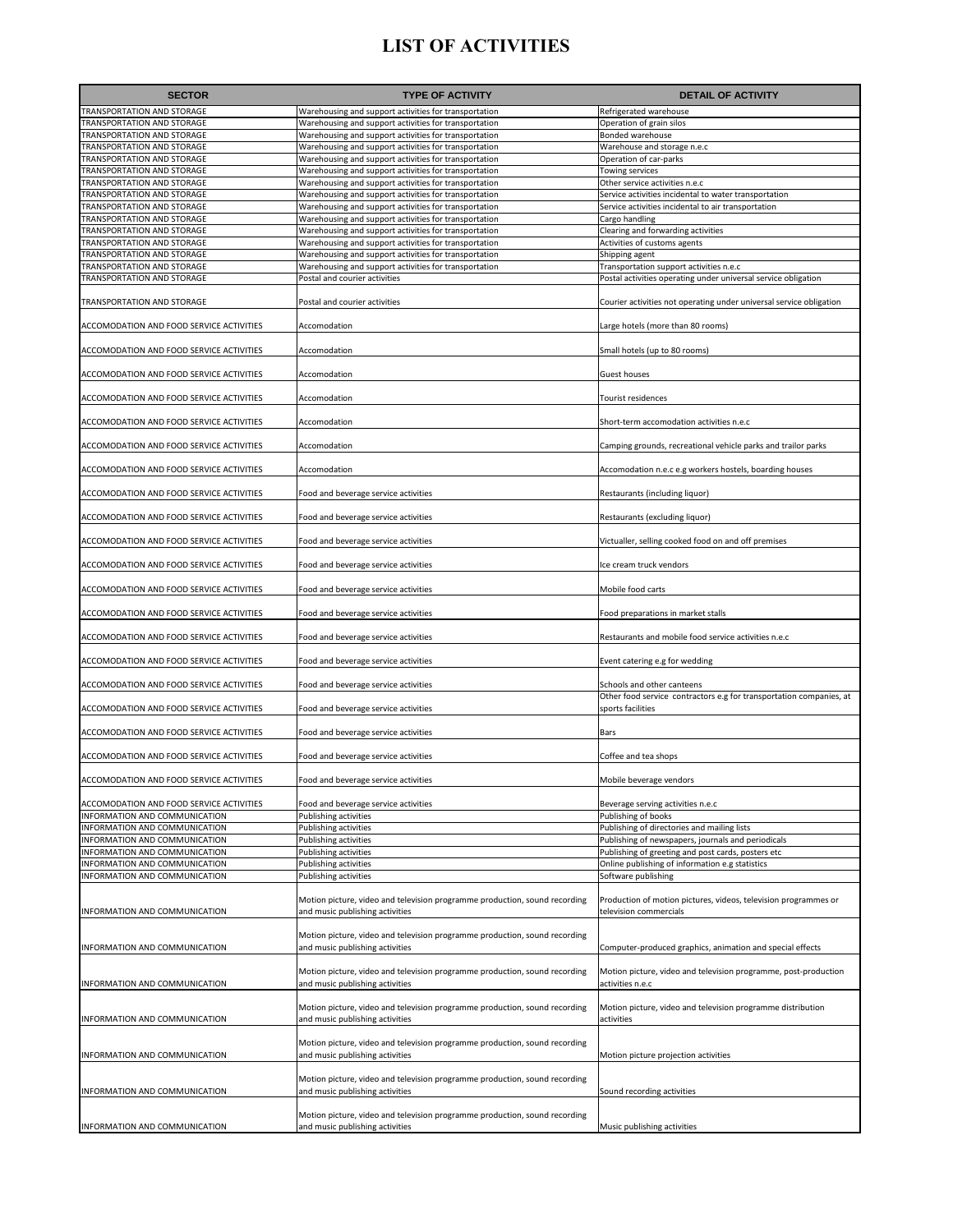| <b>SECTOR</b>                                                  | <b>TYPE OF ACTIVITY</b>                                                                                                                          | <b>DETAIL OF ACTIVITY</b>                                                                                 |
|----------------------------------------------------------------|--------------------------------------------------------------------------------------------------------------------------------------------------|-----------------------------------------------------------------------------------------------------------|
| TRANSPORTATION AND STORAGE                                     | Warehousing and support activities for transportation                                                                                            | Refrigerated warehouse                                                                                    |
| <b>TRANSPORTATION AND STORAGE</b>                              | Warehousing and support activities for transportation                                                                                            | Operation of grain silos                                                                                  |
| TRANSPORTATION AND STORAGE                                     | Warehousing and support activities for transportation                                                                                            | Bonded warehouse                                                                                          |
| <b>TRANSPORTATION AND STORAGE</b>                              | Warehousing and support activities for transportation                                                                                            | Warehouse and storage n.e.c                                                                               |
| TRANSPORTATION AND STORAGE                                     | Warehousing and support activities for transportation                                                                                            | Operation of car-parks                                                                                    |
| TRANSPORTATION AND STORAGE                                     | Warehousing and support activities for transportation                                                                                            | Towing services                                                                                           |
| TRANSPORTATION AND STORAGE<br>TRANSPORTATION AND STORAGE       | Warehousing and support activities for transportation<br>Warehousing and support activities for transportation                                   | Other service activities n.e.c<br>Service activities incidental to water transportation                   |
| <b>TRANSPORTATION AND STORAGE</b>                              | Warehousing and support activities for transportation                                                                                            | Service activities incidental to air transportation                                                       |
| TRANSPORTATION AND STORAGE                                     | Warehousing and support activities for transportation                                                                                            | Cargo handling                                                                                            |
| <b>TRANSPORTATION AND STORAGE</b>                              | Warehousing and support activities for transportation                                                                                            | Clearing and forwarding activities                                                                        |
| TRANSPORTATION AND STORAGE                                     | Warehousing and support activities for transportation                                                                                            | Activities of customs agents                                                                              |
| TRANSPORTATION AND STORAGE                                     | Warehousing and support activities for transportation                                                                                            | Shipping agent                                                                                            |
| TRANSPORTATION AND STORAGE<br>TRANSPORTATION AND STORAGE       | Warehousing and support activities for transportation<br>Postal and courier activities                                                           | Transportation support activities n.e.c<br>Postal activities operating under universal service obligation |
| TRANSPORTATION AND STORAGE                                     | Postal and courier activities                                                                                                                    | Courier activities not operating under universal service obligation                                       |
| ACCOMODATION AND FOOD SERVICE ACTIVITIES                       | Accomodation                                                                                                                                     | Large hotels (more than 80 rooms)                                                                         |
| ACCOMODATION AND FOOD SERVICE ACTIVITIES                       | Accomodation                                                                                                                                     | Small hotels (up to 80 rooms)                                                                             |
| ACCOMODATION AND FOOD SERVICE ACTIVITIES                       | Accomodation                                                                                                                                     | Guest houses                                                                                              |
| ACCOMODATION AND FOOD SERVICE ACTIVITIES                       | Accomodation                                                                                                                                     | Tourist residences                                                                                        |
| ACCOMODATION AND FOOD SERVICE ACTIVITIES                       | Accomodation                                                                                                                                     | Short-term accomodation activities n.e.c                                                                  |
| ACCOMODATION AND FOOD SERVICE ACTIVITIES                       | Accomodation                                                                                                                                     | Camping grounds, recreational vehicle parks and trailor parks                                             |
| ACCOMODATION AND FOOD SERVICE ACTIVITIES                       | Accomodation                                                                                                                                     | Accomodation n.e.c e.g workers hostels, boarding houses                                                   |
|                                                                |                                                                                                                                                  |                                                                                                           |
| ACCOMODATION AND FOOD SERVICE ACTIVITIES                       | Food and beverage service activities                                                                                                             | Restaurants (including liquor)                                                                            |
| ACCOMODATION AND FOOD SERVICE ACTIVITIES                       | Food and beverage service activities                                                                                                             | Restaurants (excluding liquor)                                                                            |
| ACCOMODATION AND FOOD SERVICE ACTIVITIES                       | Food and beverage service activities                                                                                                             | Victualler, selling cooked food on and off premises                                                       |
| ACCOMODATION AND FOOD SERVICE ACTIVITIES                       | Food and beverage service activities                                                                                                             | Ice cream truck vendors                                                                                   |
| ACCOMODATION AND FOOD SERVICE ACTIVITIES                       | Food and beverage service activities                                                                                                             | Mobile food carts                                                                                         |
| ACCOMODATION AND FOOD SERVICE ACTIVITIES                       | Food and beverage service activities                                                                                                             | Food preparations in market stalls                                                                        |
| ACCOMODATION AND FOOD SERVICE ACTIVITIES                       | Food and beverage service activities                                                                                                             | Restaurants and mobile food service activities n.e.c                                                      |
| ACCOMODATION AND FOOD SERVICE ACTIVITIES                       | Food and beverage service activities                                                                                                             | Event catering e.g for wedding                                                                            |
| ACCOMODATION AND FOOD SERVICE ACTIVITIES                       | Food and beverage service activities                                                                                                             | Schools and other canteens<br>Other food service contractors e.g for transportation companies, at         |
| ACCOMODATION AND FOOD SERVICE ACTIVITIES                       | Food and beverage service activities                                                                                                             | sports facilities                                                                                         |
| ACCOMODATION AND FOOD SERVICE ACTIVITIES                       | Food and beverage service activities                                                                                                             | Bars                                                                                                      |
| ACCOMODATION AND FOOD SERVICE ACTIVITIES                       | Food and beverage service activities                                                                                                             | Coffee and tea shops                                                                                      |
| <b>ACCOMODATION AND FOOD SERVICE ACTIVITIES</b>                | Food and beverage service activities                                                                                                             | Mobile beverage vendors                                                                                   |
| ACCOMODATION AND FOOD SERVICE ACTIVITIES                       | Food and beverage service activities                                                                                                             | Beverage serving activities n.e.c                                                                         |
| INFORMATION AND COMMUNICATION                                  | Publishing activities                                                                                                                            | Publishing of books                                                                                       |
| INFORMATION AND COMMUNICATION                                  | Publishing activities                                                                                                                            | Publishing of directories and mailing lists                                                               |
| INFORMATION AND COMMUNICATION<br>NFORMATION AND COMMUNICATION  | Publishing activities<br>Publishing activities                                                                                                   | Publishing of newspapers, journals and periodicals<br>Publishing of greeting and post cards, posters etc  |
| INFORMATION AND COMMUNICATION                                  | Publishing activities                                                                                                                            | Online publishing of information e.g statistics                                                           |
| INFORMATION AND COMMUNICATION                                  | Publishing activities                                                                                                                            | Software publishing                                                                                       |
| INFORMATION AND COMMUNICATION                                  | Motion picture, video and television programme production, sound recording<br>and music publishing activities                                    | Production of motion pictures, videos, television programmes or<br>television commercials                 |
| INFORMATION AND COMMUNICATION                                  | Motion picture, video and television programme production, sound recording<br>and music publishing activities                                    | Computer-produced graphics, animation and special effects                                                 |
|                                                                | Motion picture, video and television programme production, sound recording                                                                       | Motion picture, video and television programme, post-production                                           |
| INFORMATION AND COMMUNICATION<br>INFORMATION AND COMMUNICATION | and music publishing activities<br>Motion picture, video and television programme production, sound recording<br>and music publishing activities | activities n.e.c<br>Motion picture, video and television programme distribution<br>activities             |
| INFORMATION AND COMMUNICATION                                  | Motion picture, video and television programme production, sound recording<br>and music publishing activities                                    | Motion picture projection activities                                                                      |
| INFORMATION AND COMMUNICATION                                  | Motion picture, video and television programme production, sound recording<br>and music publishing activities                                    | Sound recording activities                                                                                |
|                                                                | Motion picture, video and television programme production, sound recording                                                                       |                                                                                                           |
| INFORMATION AND COMMUNICATION                                  | and music publishing activities                                                                                                                  | Music publishing activities                                                                               |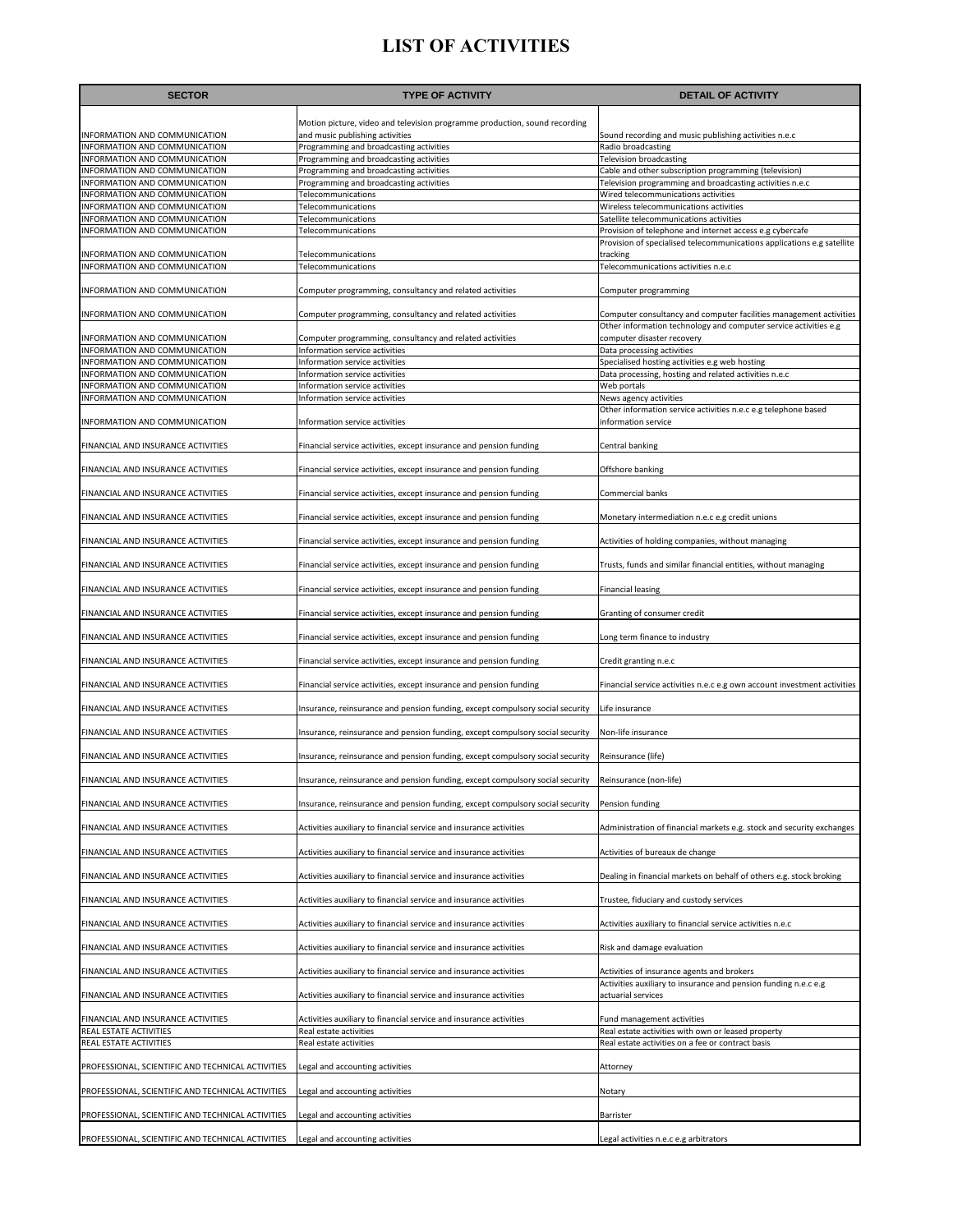| <b>SECTOR</b>                                                  | <b>TYPE OF ACTIVITY</b>                                                       | <b>DETAIL OF ACTIVITY</b>                                                                                                          |
|----------------------------------------------------------------|-------------------------------------------------------------------------------|------------------------------------------------------------------------------------------------------------------------------------|
|                                                                | Motion picture, video and television programme production, sound recording    |                                                                                                                                    |
| INFORMATION AND COMMUNICATION                                  | and music publishing activities                                               | Sound recording and music publishing activities n.e.c                                                                              |
| INFORMATION AND COMMUNICATION                                  | Programming and broadcasting activities                                       | Radio broadcasting                                                                                                                 |
| INFORMATION AND COMMUNICATION                                  | Programming and broadcasting activities                                       | <b>Television broadcasting</b>                                                                                                     |
| INFORMATION AND COMMUNICATION                                  | Programming and broadcasting activities                                       | Cable and other subscription programming (television)                                                                              |
| INFORMATION AND COMMUNICATION                                  | Programming and broadcasting activities                                       | Television programming and broadcasting activities n.e.c                                                                           |
| INFORMATION AND COMMUNICATION                                  | Telecommunications                                                            | Wired telecommunications activities                                                                                                |
| INFORMATION AND COMMUNICATION                                  | Telecommunications                                                            | Wireless telecommunications activities                                                                                             |
| INFORMATION AND COMMUNICATION                                  | Telecommunications                                                            | Satellite telecommunications activities                                                                                            |
| INFORMATION AND COMMUNICATION                                  | Telecommunications                                                            | Provision of telephone and internet access e.g cybercafe<br>Provision of specialised telecommunications applications e.g satellite |
| INFORMATION AND COMMUNICATION                                  | Telecommunications                                                            | tracking                                                                                                                           |
| INFORMATION AND COMMUNICATION                                  | Telecommunications                                                            | Telecommunications activities n.e.c                                                                                                |
|                                                                |                                                                               |                                                                                                                                    |
| INFORMATION AND COMMUNICATION                                  | Computer programming, consultancy and related activities                      | Computer programming                                                                                                               |
|                                                                |                                                                               |                                                                                                                                    |
| INFORMATION AND COMMUNICATION                                  | Computer programming, consultancy and related activities                      | Computer consultancy and computer facilities management activities                                                                 |
|                                                                |                                                                               | Other information technology and computer service activities e.g                                                                   |
| INFORMATION AND COMMUNICATION                                  | Computer programming, consultancy and related activities                      | computer disaster recovery                                                                                                         |
| INFORMATION AND COMMUNICATION                                  | Information service activities                                                | Data processing activities                                                                                                         |
| INFORMATION AND COMMUNICATION                                  | Information service activities                                                | Specialised hosting activities e.g web hosting                                                                                     |
| INFORMATION AND COMMUNICATION<br>INFORMATION AND COMMUNICATION | Information service activities                                                | Data processing, hosting and related activities n.e.c<br>Web portals                                                               |
| <b>INFORMATION AND COMMUNICATION</b>                           | Information service activities<br>Information service activities              | News agency activities                                                                                                             |
|                                                                |                                                                               | Other information service activities n.e.c e.g telephone based                                                                     |
| INFORMATION AND COMMUNICATION                                  | Information service activities                                                | information service                                                                                                                |
|                                                                |                                                                               |                                                                                                                                    |
| FINANCIAL AND INSURANCE ACTIVITIES                             | Financial service activities, except insurance and pension funding            | Central banking                                                                                                                    |
| FINANCIAL AND INSURANCE ACTIVITIES                             | Financial service activities, except insurance and pension funding            | Offshore banking                                                                                                                   |
|                                                                |                                                                               |                                                                                                                                    |
| FINANCIAL AND INSURANCE ACTIVITIES                             | Financial service activities, except insurance and pension funding            | Commercial banks                                                                                                                   |
| FINANCIAL AND INSURANCE ACTIVITIES                             | Financial service activities, except insurance and pension funding            | Monetary intermediation n.e.c e.g credit unions                                                                                    |
| FINANCIAL AND INSURANCE ACTIVITIES                             | Financial service activities, except insurance and pension funding            | Activities of holding companies, without managing                                                                                  |
| FINANCIAL AND INSURANCE ACTIVITIES                             | Financial service activities, except insurance and pension funding            | Trusts, funds and similar financial entities, without managing                                                                     |
| FINANCIAL AND INSURANCE ACTIVITIES                             | Financial service activities, except insurance and pension funding            | <b>Financial leasing</b>                                                                                                           |
| FINANCIAL AND INSURANCE ACTIVITIES                             | Financial service activities, except insurance and pension funding            | Granting of consumer credit                                                                                                        |
| FINANCIAL AND INSURANCE ACTIVITIES                             | Financial service activities, except insurance and pension funding            | Long term finance to industry                                                                                                      |
| FINANCIAL AND INSURANCE ACTIVITIES                             | Financial service activities, except insurance and pension funding            | Credit granting n.e.c                                                                                                              |
| FINANCIAL AND INSURANCE ACTIVITIES                             | Financial service activities, except insurance and pension funding            |                                                                                                                                    |
| FINANCIAL AND INSURANCE ACTIVITIES                             |                                                                               | Financial service activities n.e.c e.g own account investment activities                                                           |
|                                                                | Insurance, reinsurance and pension funding, except compulsory social security | Life insurance                                                                                                                     |
| FINANCIAL AND INSURANCE ACTIVITIES                             | Insurance, reinsurance and pension funding, except compulsory social security | Non-life insurance                                                                                                                 |
| FINANCIAL AND INSURANCE ACTIVITIES                             | Insurance, reinsurance and pension funding, except compulsory social security | Reinsurance (life)                                                                                                                 |
| FINANCIAL AND INSURANCE ACTIVITIES                             | Insurance, reinsurance and pension funding, except compulsory social security | Reinsurance (non-life)                                                                                                             |
| FINANCIAL AND INSURANCE ACTIVITIES                             | Insurance, reinsurance and pension funding, except compulsory social security | Pension funding                                                                                                                    |
| FINANCIAL AND INSURANCE ACTIVITIES                             | Activities auxiliary to financial service and insurance activities            | Administration of financial markets e.g. stock and security exchanges                                                              |
| FINANCIAL AND INSURANCE ACTIVITIES                             | Activities auxiliary to financial service and insurance activities            | Activities of bureaux de change                                                                                                    |
| FINANCIAL AND INSURANCE ACTIVITIES                             | Activities auxiliary to financial service and insurance activities            | Dealing in financial markets on behalf of others e.g. stock broking                                                                |
| FINANCIAL AND INSURANCE ACTIVITIES                             | Activities auxiliary to financial service and insurance activities            | Trustee, fiduciary and custody services                                                                                            |
| FINANCIAL AND INSURANCE ACTIVITIES                             | Activities auxiliary to financial service and insurance activities            | Activities auxiliary to financial service activities n.e.c                                                                         |
| FINANCIAL AND INSURANCE ACTIVITIES                             | Activities auxiliary to financial service and insurance activities            | Risk and damage evaluation                                                                                                         |
| FINANCIAL AND INSURANCE ACTIVITIES                             | Activities auxiliary to financial service and insurance activities            | Activities of insurance agents and brokers                                                                                         |
| FINANCIAL AND INSURANCE ACTIVITIES                             | Activities auxiliary to financial service and insurance activities            | Activities auxiliary to insurance and pension funding n.e.c e.g<br>actuarial services                                              |
| FINANCIAL AND INSURANCE ACTIVITIES                             | Activities auxiliary to financial service and insurance activities            | Fund management activities                                                                                                         |
| REAL ESTATE ACTIVITIES                                         | Real estate activities                                                        | Real estate activities with own or leased property                                                                                 |
| REAL ESTATE ACTIVITIES                                         | Real estate activities                                                        | Real estate activities on a fee or contract basis                                                                                  |
|                                                                |                                                                               |                                                                                                                                    |
| PROFESSIONAL, SCIENTIFIC AND TECHNICAL ACTIVITIES              | Legal and accounting activities                                               | Attorney                                                                                                                           |
| PROFESSIONAL, SCIENTIFIC AND TECHNICAL ACTIVITIES              | Legal and accounting activities                                               | Notary                                                                                                                             |
| PROFESSIONAL, SCIENTIFIC AND TECHNICAL ACTIVITIES              | Legal and accounting activities                                               | Barrister                                                                                                                          |
| PROFESSIONAL, SCIENTIFIC AND TECHNICAL ACTIVITIES              | Legal and accounting activities                                               | Legal activities n.e.c e.g arbitrators                                                                                             |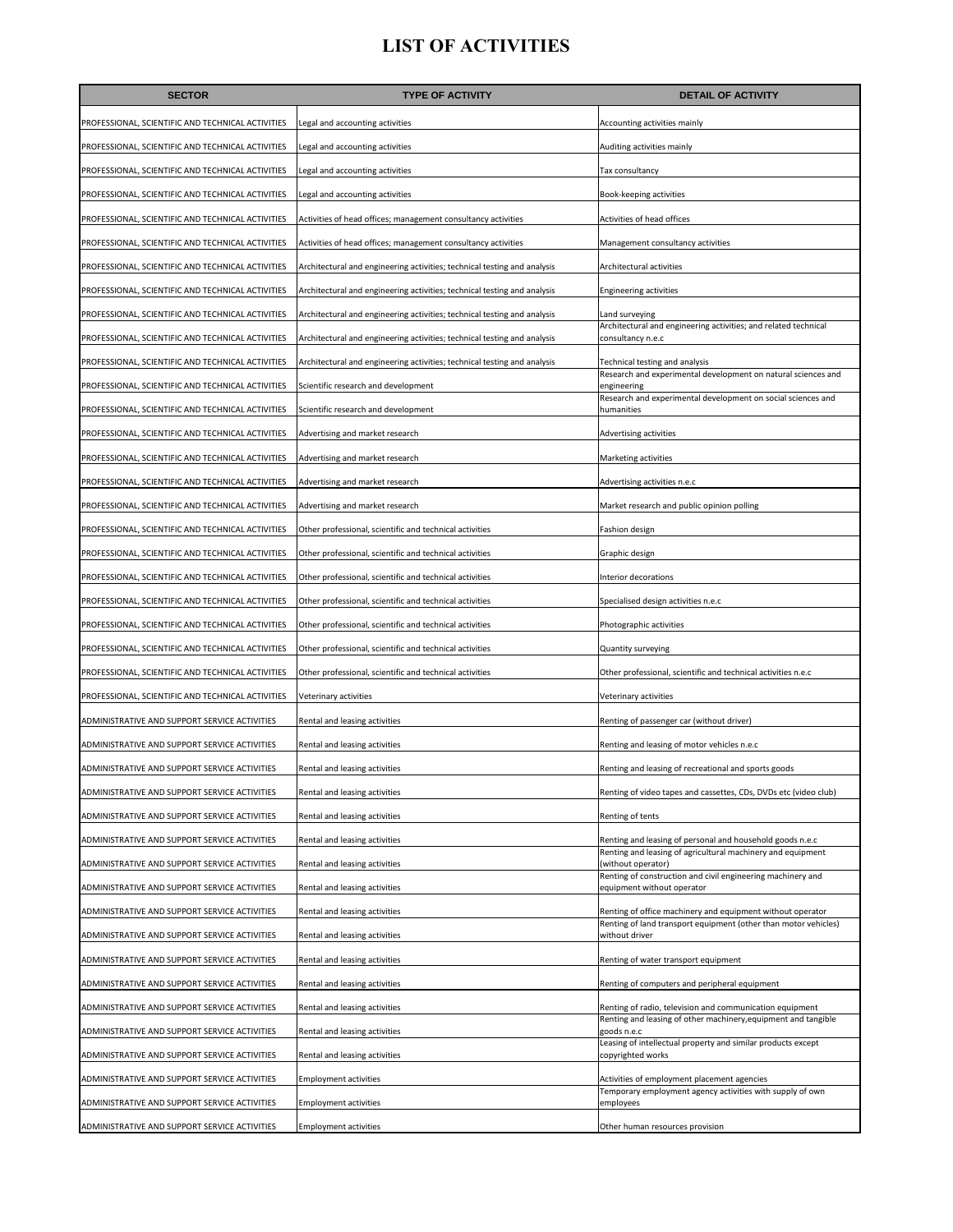| <b>SECTOR</b>                                     | <b>TYPE OF ACTIVITY</b>                                                  | <b>DETAIL OF ACTIVITY</b>                                                                                                                    |
|---------------------------------------------------|--------------------------------------------------------------------------|----------------------------------------------------------------------------------------------------------------------------------------------|
| PROFESSIONAL, SCIENTIFIC AND TECHNICAL ACTIVITIES | Legal and accounting activities                                          | Accounting activities mainly                                                                                                                 |
| PROFESSIONAL, SCIENTIFIC AND TECHNICAL ACTIVITIES | Legal and accounting activities                                          | Auditing activities mainly                                                                                                                   |
| PROFESSIONAL, SCIENTIFIC AND TECHNICAL ACTIVITIES | Legal and accounting activities                                          | Tax consultancy                                                                                                                              |
| PROFESSIONAL, SCIENTIFIC AND TECHNICAL ACTIVITIES | Legal and accounting activities                                          | Book-keeping activities                                                                                                                      |
| PROFESSIONAL, SCIENTIFIC AND TECHNICAL ACTIVITIES | Activities of head offices; management consultancy activities            | Activities of head offices                                                                                                                   |
| PROFESSIONAL, SCIENTIFIC AND TECHNICAL ACTIVITIES | Activities of head offices; management consultancy activities            | Management consultancy activities                                                                                                            |
| PROFESSIONAL, SCIENTIFIC AND TECHNICAL ACTIVITIES | Architectural and engineering activities; technical testing and analysis | Architectural activities                                                                                                                     |
| PROFESSIONAL, SCIENTIFIC AND TECHNICAL ACTIVITIES | Architectural and engineering activities; technical testing and analysis | <b>Engineering activities</b>                                                                                                                |
| PROFESSIONAL, SCIENTIFIC AND TECHNICAL ACTIVITIES | Architectural and engineering activities; technical testing and analysis | Land surveying                                                                                                                               |
| PROFESSIONAL, SCIENTIFIC AND TECHNICAL ACTIVITIES | Architectural and engineering activities; technical testing and analysis | Architectural and engineering activities; and related technical<br>consultancy n.e.c                                                         |
| PROFESSIONAL, SCIENTIFIC AND TECHNICAL ACTIVITIES | Architectural and engineering activities; technical testing and analysis | Technical testing and analysis                                                                                                               |
| PROFESSIONAL, SCIENTIFIC AND TECHNICAL ACTIVITIES | Scientific research and development                                      | Research and experimental development on natural sciences and<br>engineering<br>Research and experimental development on social sciences and |
| PROFESSIONAL, SCIENTIFIC AND TECHNICAL ACTIVITIES | Scientific research and development                                      | humanities                                                                                                                                   |
| PROFESSIONAL, SCIENTIFIC AND TECHNICAL ACTIVITIES | Advertising and market research                                          | Advertising activities                                                                                                                       |
| PROFESSIONAL, SCIENTIFIC AND TECHNICAL ACTIVITIES | Advertising and market research                                          | Marketing activities                                                                                                                         |
| PROFESSIONAL, SCIENTIFIC AND TECHNICAL ACTIVITIES | Advertising and market research                                          | Advertising activities n.e.c                                                                                                                 |
| PROFESSIONAL, SCIENTIFIC AND TECHNICAL ACTIVITIES | Advertising and market research                                          | Market research and public opinion polling                                                                                                   |
| PROFESSIONAL, SCIENTIFIC AND TECHNICAL ACTIVITIES | Other professional, scientific and technical activities                  | Fashion design                                                                                                                               |
| PROFESSIONAL, SCIENTIFIC AND TECHNICAL ACTIVITIES | Other professional, scientific and technical activities                  | Graphic design                                                                                                                               |
| PROFESSIONAL, SCIENTIFIC AND TECHNICAL ACTIVITIES | Other professional, scientific and technical activities                  | Interior decorations                                                                                                                         |
| PROFESSIONAL, SCIENTIFIC AND TECHNICAL ACTIVITIES | Other professional, scientific and technical activities                  | Specialised design activities n.e.c                                                                                                          |
| PROFESSIONAL, SCIENTIFIC AND TECHNICAL ACTIVITIES | Other professional, scientific and technical activities                  | Photographic activities                                                                                                                      |
| PROFESSIONAL, SCIENTIFIC AND TECHNICAL ACTIVITIES | Other professional, scientific and technical activities                  | Quantity surveying                                                                                                                           |
| PROFESSIONAL, SCIENTIFIC AND TECHNICAL ACTIVITIES | Other professional, scientific and technical activities                  | Other professional, scientific and technical activities n.e.c                                                                                |
| PROFESSIONAL, SCIENTIFIC AND TECHNICAL ACTIVITIES | Veterinary activities                                                    | Veterinary activities                                                                                                                        |
| ADMINISTRATIVE AND SUPPORT SERVICE ACTIVITIES     | Rental and leasing activities                                            | Renting of passenger car (without driver)                                                                                                    |
| ADMINISTRATIVE AND SUPPORT SERVICE ACTIVITIES     | Rental and leasing activities                                            | Renting and leasing of motor vehicles n.e.c                                                                                                  |
| ADMINISTRATIVE AND SUPPORT SERVICE ACTIVITIES     | Rental and leasing activities                                            | Renting and leasing of recreational and sports goods                                                                                         |
| ADMINISTRATIVE AND SUPPORT SERVICE ACTIVITIES     | Rental and leasing activities                                            | Renting of video tapes and cassettes, CDs, DVDs etc (video club)                                                                             |
| ADMINISTRATIVE AND SUPPORT SERVICE ACTIVITIES     | Rental and leasing activities                                            | Renting of tents                                                                                                                             |
| ADMINISTRATIVE AND SUPPORT SERVICE ACTIVITIES     | Rental and leasing activities                                            | Renting and leasing of personal and household goods n.e.c<br>Renting and leasing of agricultural machinery and equipment                     |
| ADMINISTRATIVE AND SUPPORT SERVICE ACTIVITIES     | Rental and leasing activities                                            | (without operator)<br>Renting of construction and civil engineering machinery and                                                            |
| ADMINISTRATIVE AND SUPPORT SERVICE ACTIVITIES     | Rental and leasing activities                                            | equipment without operator                                                                                                                   |
| ADMINISTRATIVE AND SUPPORT SERVICE ACTIVITIES     | Rental and leasing activities                                            | Renting of office machinery and equipment without operator<br>Renting of land transport equipment (other than motor vehicles)                |
| ADMINISTRATIVE AND SUPPORT SERVICE ACTIVITIES     | Rental and leasing activities                                            | without driver                                                                                                                               |
| ADMINISTRATIVE AND SUPPORT SERVICE ACTIVITIES     | Rental and leasing activities                                            | Renting of water transport equipment                                                                                                         |
| ADMINISTRATIVE AND SUPPORT SERVICE ACTIVITIES     | Rental and leasing activities                                            | Renting of computers and peripheral equipment                                                                                                |
| ADMINISTRATIVE AND SUPPORT SERVICE ACTIVITIES     | Rental and leasing activities                                            | Renting of radio, television and communication equipment<br>Renting and leasing of other machinery, equipment and tangible                   |
| ADMINISTRATIVE AND SUPPORT SERVICE ACTIVITIES     | Rental and leasing activities                                            | goods n.e.c                                                                                                                                  |
| ADMINISTRATIVE AND SUPPORT SERVICE ACTIVITIES     | Rental and leasing activities                                            | Leasing of intellectual property and similar products except<br>copyrighted works                                                            |
| ADMINISTRATIVE AND SUPPORT SERVICE ACTIVITIES     | <b>Employment activities</b>                                             | Activities of employment placement agencies<br>Temporary employment agency activities with supply of own                                     |
| ADMINISTRATIVE AND SUPPORT SERVICE ACTIVITIES     | <b>Employment activities</b>                                             | employees                                                                                                                                    |
| ADMINISTRATIVE AND SUPPORT SERVICE ACTIVITIES     | <b>Employment activities</b>                                             | Other human resources provision                                                                                                              |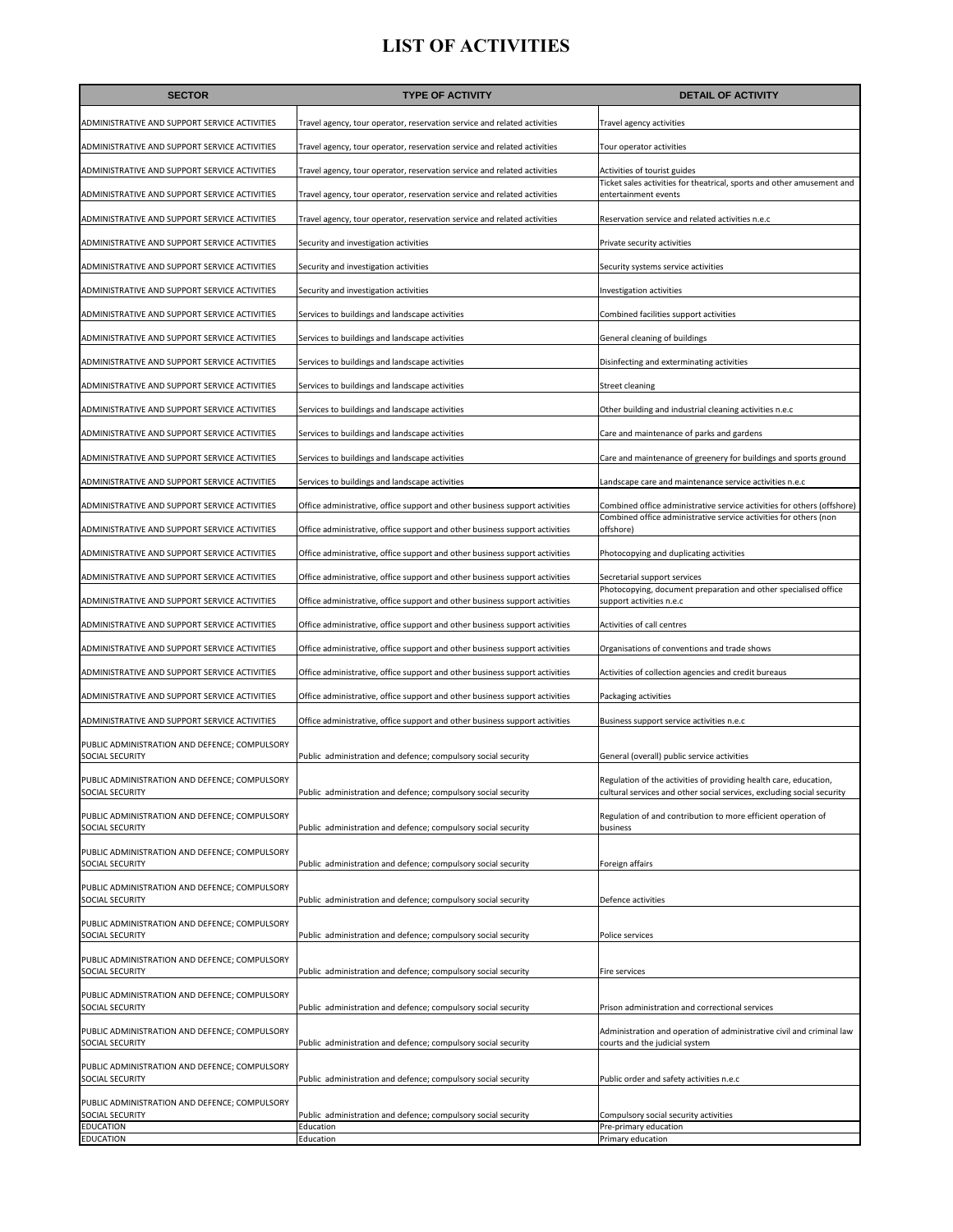| <b>SECTOR</b>                                                           | <b>TYPE OF ACTIVITY</b>                                                     | <b>DETAIL OF ACTIVITY</b>                                                                                                                    |
|-------------------------------------------------------------------------|-----------------------------------------------------------------------------|----------------------------------------------------------------------------------------------------------------------------------------------|
| ADMINISTRATIVE AND SUPPORT SERVICE ACTIVITIES                           | Travel agency, tour operator, reservation service and related activities    | Travel agency activities                                                                                                                     |
| ADMINISTRATIVE AND SUPPORT SERVICE ACTIVITIES                           | Travel agency, tour operator, reservation service and related activities    | Tour operator activities                                                                                                                     |
| ADMINISTRATIVE AND SUPPORT SERVICE ACTIVITIES                           | Travel agency, tour operator, reservation service and related activities    | Activities of tourist guides                                                                                                                 |
| ADMINISTRATIVE AND SUPPORT SERVICE ACTIVITIES                           | Travel agency, tour operator, reservation service and related activities    | Ticket sales activities for theatrical, sports and other amusement and<br>entertainment events                                               |
| ADMINISTRATIVE AND SUPPORT SERVICE ACTIVITIES                           | Travel agency, tour operator, reservation service and related activities    | Reservation service and related activities n.e.c                                                                                             |
| ADMINISTRATIVE AND SUPPORT SERVICE ACTIVITIES                           | Security and investigation activities                                       | Private security activities                                                                                                                  |
| ADMINISTRATIVE AND SUPPORT SERVICE ACTIVITIES                           | Security and investigation activities                                       | Security systems service activities                                                                                                          |
| ADMINISTRATIVE AND SUPPORT SERVICE ACTIVITIES                           | Security and investigation activities                                       | Investigation activities                                                                                                                     |
| ADMINISTRATIVE AND SUPPORT SERVICE ACTIVITIES                           | Services to buildings and landscape activities                              | Combined facilities support activities                                                                                                       |
| ADMINISTRATIVE AND SUPPORT SERVICE ACTIVITIES                           | Services to buildings and landscape activities                              | General cleaning of buildings                                                                                                                |
| ADMINISTRATIVE AND SUPPORT SERVICE ACTIVITIES                           | Services to buildings and landscape activities                              | Disinfecting and exterminating activities                                                                                                    |
| ADMINISTRATIVE AND SUPPORT SERVICE ACTIVITIES                           | Services to buildings and landscape activities                              | <b>Street cleaning</b>                                                                                                                       |
| ADMINISTRATIVE AND SUPPORT SERVICE ACTIVITIES                           | Services to buildings and landscape activities                              | Other building and industrial cleaning activities n.e.c                                                                                      |
| ADMINISTRATIVE AND SUPPORT SERVICE ACTIVITIES                           | Services to buildings and landscape activities                              | Care and maintenance of parks and gardens                                                                                                    |
| ADMINISTRATIVE AND SUPPORT SERVICE ACTIVITIES                           | Services to buildings and landscape activities                              | Care and maintenance of greenery for buildings and sports ground                                                                             |
| ADMINISTRATIVE AND SUPPORT SERVICE ACTIVITIES                           | Services to buildings and landscape activities                              | Landscape care and maintenance service activities n.e.c                                                                                      |
| ADMINISTRATIVE AND SUPPORT SERVICE ACTIVITIES                           | Office administrative, office support and other business support activities | Combined office administrative service activities for others (offshore)<br>Combined office administrative service activities for others (non |
| ADMINISTRATIVE AND SUPPORT SERVICE ACTIVITIES                           | Office administrative, office support and other business support activities | offshore)                                                                                                                                    |
| ADMINISTRATIVE AND SUPPORT SERVICE ACTIVITIES                           | Office administrative, office support and other business support activities | Photocopying and duplicating activities                                                                                                      |
| ADMINISTRATIVE AND SUPPORT SERVICE ACTIVITIES                           | Office administrative, office support and other business support activities | Secretarial support services<br>Photocopying, document preparation and other specialised office                                              |
| ADMINISTRATIVE AND SUPPORT SERVICE ACTIVITIES                           | Office administrative, office support and other business support activities | support activities n.e.c                                                                                                                     |
| ADMINISTRATIVE AND SUPPORT SERVICE ACTIVITIES                           | Office administrative, office support and other business support activities | Activities of call centres                                                                                                                   |
| ADMINISTRATIVE AND SUPPORT SERVICE ACTIVITIES                           | Office administrative, office support and other business support activities | Organisations of conventions and trade shows                                                                                                 |
| ADMINISTRATIVE AND SUPPORT SERVICE ACTIVITIES                           | Office administrative, office support and other business support activities | Activities of collection agencies and credit bureaus                                                                                         |
| ADMINISTRATIVE AND SUPPORT SERVICE ACTIVITIES                           | Office administrative, office support and other business support activities | Packaging activities                                                                                                                         |
| ADMINISTRATIVE AND SUPPORT SERVICE ACTIVITIES                           | Office administrative, office support and other business support activities | Business support service activities n.e.c                                                                                                    |
| PUBLIC ADMINISTRATION AND DEFENCE; COMPULSORY<br>SOCIAL SECURITY        | Public administration and defence; compulsory social security               | General (overall) public service activities                                                                                                  |
| PUBLIC ADMINISTRATION AND DEFENCE; COMPULSORY                           |                                                                             | Regulation of the activities of providing health care, education,                                                                            |
| SOCIAL SECURITY                                                         | Public administration and defence; compulsory social security               | cultural services and other social services, excluding social security                                                                       |
| PUBLIC ADMINISTRATION AND DEFENCE; COMPULSORY<br><b>SOCIAL SECURITY</b> | Public administration and defence; compulsory social security               | Regulation of and contribution to more efficient operation of<br>business                                                                    |
| PUBLIC ADMINISTRATION AND DEFENCE; COMPULSORY                           |                                                                             |                                                                                                                                              |
| SOCIAL SECURITY                                                         | Public administration and defence; compulsory social security               | Foreign affairs                                                                                                                              |
| PUBLIC ADMINISTRATION AND DEFENCE; COMPULSORY<br>SOCIAL SECURITY        | Public administration and defence; compulsory social security               | Defence activities                                                                                                                           |
| PUBLIC ADMINISTRATION AND DEFENCE; COMPULSORY<br>SOCIAL SECURITY        | Public administration and defence; compulsory social security               | Police services                                                                                                                              |
| PUBLIC ADMINISTRATION AND DEFENCE; COMPULSORY<br><b>SOCIAL SECURITY</b> | Public administration and defence; compulsory social security               | Fire services                                                                                                                                |
| PUBLIC ADMINISTRATION AND DEFENCE; COMPULSORY<br>SOCIAL SECURITY        | Public administration and defence; compulsory social security               | Prison administration and correctional services                                                                                              |
| PUBLIC ADMINISTRATION AND DEFENCE; COMPULSORY<br>SOCIAL SECURITY        | Public administration and defence; compulsory social security               | Administration and operation of administrative civil and criminal law<br>courts and the judicial system                                      |
| PUBLIC ADMINISTRATION AND DEFENCE; COMPULSORY<br>SOCIAL SECURITY        | Public administration and defence; compulsory social security               | Public order and safety activities n.e.c                                                                                                     |
| PUBLIC ADMINISTRATION AND DEFENCE; COMPULSORY<br>SOCIAL SECURITY        | Public administration and defence; compulsory social security               | Compulsory social security activities                                                                                                        |
| <b>EDUCATION</b><br>EDUCATION                                           | Education<br>Education                                                      | Pre-primary education<br>Primary education                                                                                                   |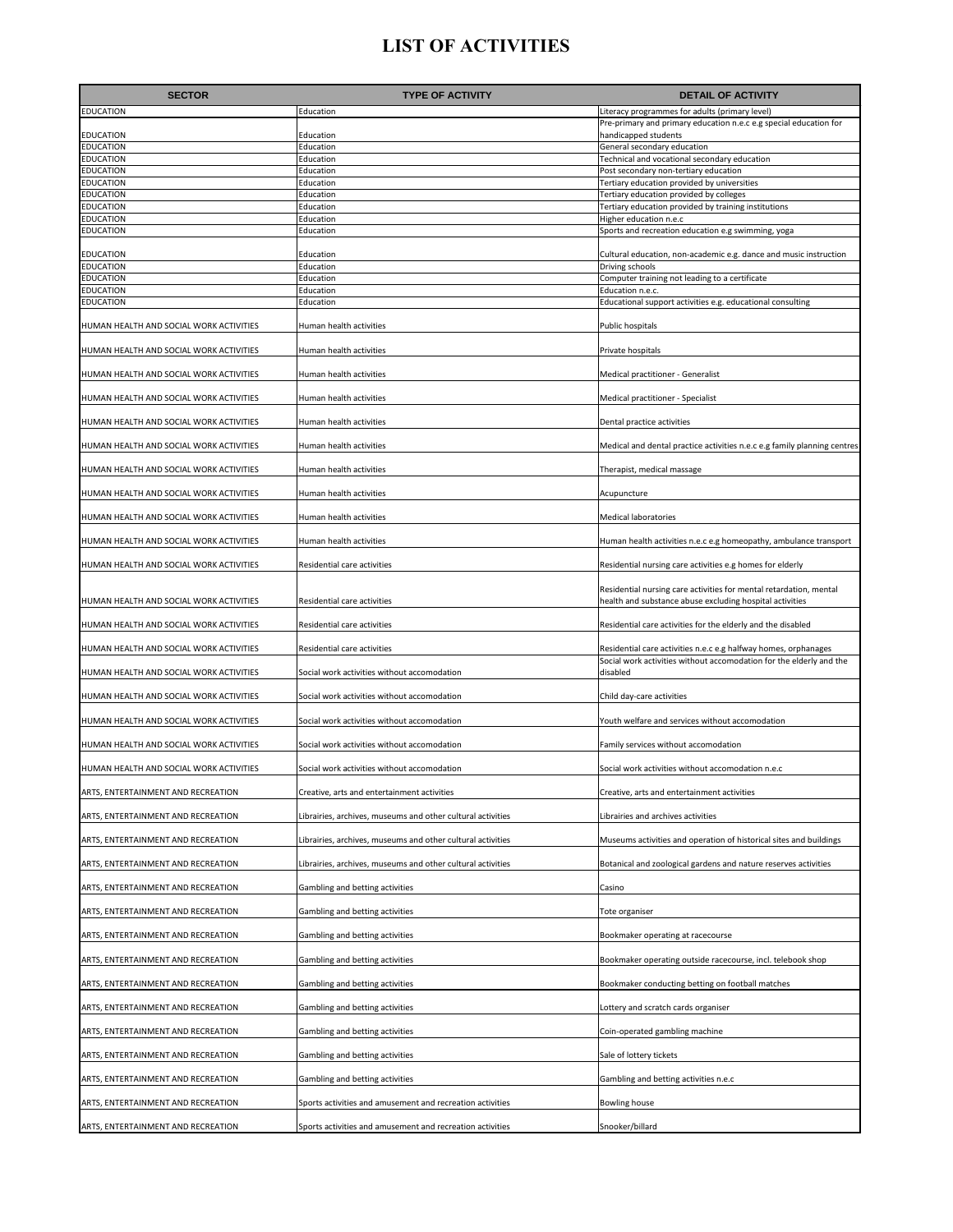| <b>SECTOR</b>                           | <b>TYPE OF ACTIVITY</b>                                     | <b>DETAIL OF ACTIVITY</b>                                                                                                              |
|-----------------------------------------|-------------------------------------------------------------|----------------------------------------------------------------------------------------------------------------------------------------|
| EDUCATION                               | Education                                                   | Literacy programmes for adults (primary level)                                                                                         |
| EDUCATION                               | Education                                                   | Pre-primary and primary education n.e.c e.g special education for<br>handicapped students                                              |
| EDUCATION                               | Education                                                   | General secondary education                                                                                                            |
| EDUCATION                               | Education                                                   | Technical and vocational secondary education                                                                                           |
| EDUCATION<br>EDUCATION                  | Education<br>Education                                      | Post secondary non-tertiary education<br>Tertiary education provided by universities                                                   |
| EDUCATION                               | Education                                                   | Tertiary education provided by colleges                                                                                                |
| EDUCATION                               | Education                                                   | Tertiary education provided by training institutions                                                                                   |
| EDUCATION<br><b>EDUCATION</b>           | Education<br>Education                                      | Higher education n.e.c<br>Sports and recreation education e.g swimming, yoga                                                           |
| EDUCATION                               | Education                                                   | Cultural education, non-academic e.g. dance and music instruction                                                                      |
| EDUCATION                               | Education                                                   | Driving schools                                                                                                                        |
| EDUCATION<br><b>EDUCATION</b>           | Education<br>Education                                      | Computer training not leading to a certificate<br>Education n.e.c.                                                                     |
| EDUCATION                               | Education                                                   | Educational support activities e.g. educational consulting                                                                             |
| HUMAN HEALTH AND SOCIAL WORK ACTIVITIES | Human health activities                                     | Public hospitals                                                                                                                       |
| HUMAN HEALTH AND SOCIAL WORK ACTIVITIES | Human health activities                                     | Private hospitals                                                                                                                      |
| HUMAN HEALTH AND SOCIAL WORK ACTIVITIES | Human health activities                                     | Medical practitioner - Generalist                                                                                                      |
| HUMAN HEALTH AND SOCIAL WORK ACTIVITIES | Human health activities                                     | Medical practitioner - Specialist                                                                                                      |
| HUMAN HEALTH AND SOCIAL WORK ACTIVITIES | Human health activities                                     | Dental practice activities                                                                                                             |
| HUMAN HEALTH AND SOCIAL WORK ACTIVITIES | Human health activities                                     | Medical and dental practice activities n.e.c e.g family planning centres                                                               |
| HUMAN HEALTH AND SOCIAL WORK ACTIVITIES | Human health activities                                     | Therapist, medical massage                                                                                                             |
| HUMAN HEALTH AND SOCIAL WORK ACTIVITIES | Human health activities                                     | Acupuncture                                                                                                                            |
| HUMAN HEALTH AND SOCIAL WORK ACTIVITIES | Human health activities                                     | <b>Medical laboratories</b>                                                                                                            |
| HUMAN HEALTH AND SOCIAL WORK ACTIVITIES | Human health activities                                     | Human health activities n.e.c e.g homeopathy, ambulance transport                                                                      |
| HUMAN HEALTH AND SOCIAL WORK ACTIVITIES | Residential care activities                                 | Residential nursing care activities e.g homes for elderly                                                                              |
| HUMAN HEALTH AND SOCIAL WORK ACTIVITIES | Residential care activities                                 | Residential nursing care activities for mental retardation, mental<br>health and substance abuse excluding hospital activities         |
| HUMAN HEALTH AND SOCIAL WORK ACTIVITIES | Residential care activities                                 | Residential care activities for the elderly and the disabled                                                                           |
| HUMAN HEALTH AND SOCIAL WORK ACTIVITIES | Residential care activities                                 | Residential care activities n.e.c e.g halfway homes, orphanages<br>Social work activities without accomodation for the elderly and the |
| HUMAN HEALTH AND SOCIAL WORK ACTIVITIES | Social work activities without accomodation                 | disabled                                                                                                                               |
| HUMAN HEALTH AND SOCIAL WORK ACTIVITIES | Social work activities without accomodation                 | Child day-care activities                                                                                                              |
| HUMAN HEALTH AND SOCIAL WORK ACTIVITIES | Social work activities without accomodation                 | Youth welfare and services without accomodation                                                                                        |
| HUMAN HEALTH AND SOCIAL WORK ACTIVITIES | Social work activities without accomodation                 | Family services without accomodation                                                                                                   |
| HUMAN HEALTH AND SOCIAL WORK ACTIVITIES | Social work activities without accomodation                 | Social work activities without accomodation n.e.c                                                                                      |
| ARTS, ENTERTAINMENT AND RECREATION      | Creative, arts and entertainment activities                 | Creative, arts and entertainment activities                                                                                            |
| ARTS, ENTERTAINMENT AND RECREATION      | Librairies, archives, museums and other cultural activities | Librairies and archives activities                                                                                                     |
| ARTS, ENTERTAINMENT AND RECREATION      | Librairies, archives, museums and other cultural activities | Museums activities and operation of historical sites and buildings                                                                     |
| ARTS, ENTERTAINMENT AND RECREATION      | Librairies, archives, museums and other cultural activities | Botanical and zoological gardens and nature reserves activities                                                                        |
| ARTS, ENTERTAINMENT AND RECREATION      | Gambling and betting activities                             | Casino                                                                                                                                 |
| ARTS, ENTERTAINMENT AND RECREATION      | Gambling and betting activities                             | Tote organiser                                                                                                                         |
| ARTS, ENTERTAINMENT AND RECREATION      | Gambling and betting activities                             | Bookmaker operating at racecourse                                                                                                      |
| ARTS, ENTERTAINMENT AND RECREATION      | Gambling and betting activities                             | Bookmaker operating outside racecourse, incl. telebook shop                                                                            |
| ARTS, ENTERTAINMENT AND RECREATION      | Gambling and betting activities                             | Bookmaker conducting betting on football matches                                                                                       |
| ARTS, ENTERTAINMENT AND RECREATION      | Gambling and betting activities                             | Lottery and scratch cards organiser                                                                                                    |
| ARTS, ENTERTAINMENT AND RECREATION      | Gambling and betting activities                             | Coin-operated gambling machine                                                                                                         |
| ARTS, ENTERTAINMENT AND RECREATION      | Gambling and betting activities                             | Sale of lottery tickets                                                                                                                |
| ARTS, ENTERTAINMENT AND RECREATION      | Gambling and betting activities                             | Gambling and betting activities n.e.c                                                                                                  |
| ARTS, ENTERTAINMENT AND RECREATION      | Sports activities and amusement and recreation activities   | Bowling house                                                                                                                          |
| ARTS, ENTERTAINMENT AND RECREATION      | Sports activities and amusement and recreation activities   | Snooker/billard                                                                                                                        |